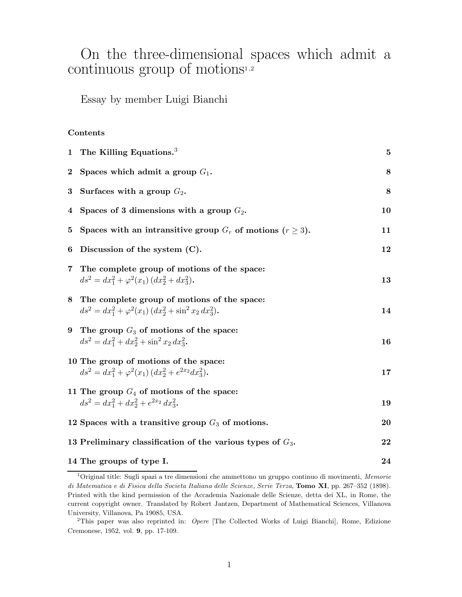# On the three-dimensional spaces which admit a continuous group of motions<sup>1,2</sup>

Essay by member Luigi Bianchi

#### **Contents**

|             | 1 The Killing Equations. $3$                                                                                                          | $\bf{5}$ |
|-------------|---------------------------------------------------------------------------------------------------------------------------------------|----------|
| $2^{\circ}$ | Spaces which admit a group $G_1$ .                                                                                                    | 8        |
| $\bf{3}$    | Surfaces with a group $G_2$ .                                                                                                         | 8        |
| 4           | Spaces of 3 dimensions with a group $G_2$ .                                                                                           | 10       |
| 5           | Spaces with an intransitive group $G_r$ of motions $(r \geq 3)$ .                                                                     | 11       |
| 6           | Discussion of the system $(C)$ .                                                                                                      | 12       |
| 7           | The complete group of motions of the space:<br>$ds^{2} = dx_{1}^{2} + \varphi^{2}(x_{1}) (dx_{2}^{2} + dx_{3}^{2}).$                  | 13       |
|             | 8 The complete group of motions of the space:<br>$ds^{2} = dx_{1}^{2} + \varphi^{2}(x_{1}) (dx_{2}^{2} + \sin^{2} x_{2} dx_{3}^{2}).$ | 14       |
|             | 9 The group $G_3$ of motions of the space:<br>$ds^2 = dx_1^2 + dx_2^2 + \sin^2 x_2 dx_3^2$ .                                          | 16       |
|             | 10 The group of motions of the space:<br>$ds^{2} = dx_{1}^{2} + \varphi^{2}(x_{1}) (dx_{2}^{2} + e^{2x_{2}} dx_{3}^{2}).$             | 17       |
|             | 11 The group $G_4$ of motions of the space:<br>$ds^2 = dx_1^2 + dx_2^2 + e^{2x_2} dx_3^2$ .                                           | 19       |
|             | 12 Spaces with a transitive group $G_3$ of motions.                                                                                   | 20       |
|             | 13 Preliminary classification of the various types of $G_3$ .                                                                         | 22       |
|             | 14 The groups of type I.                                                                                                              | 24       |

<sup>1</sup>Original title: Sugli spazi a tre dimensioni che ammettono un gruppo continuo di movimenti, Memorie di Matematica e di Fisica della Societa Italiana delle Scienze, Serie Terza, **Tomo XI**, pp. 267–352 (1898). Printed with the kind permission of the Accademia Nazionale delle Scienze, detta dei XL, in Rome, the current copyright owner. Translated by Robert Jantzen, Department of Mathematical Sciences, Villanova University, Villanova, Pa 19085, USA.

<sup>&</sup>lt;sup>2</sup>This paper was also reprinted in: *Opere* [The Collected Works of Luigi Bianchi], Rome, Edizione Cremonese, 1952, vol. **9**, pp. 17-109.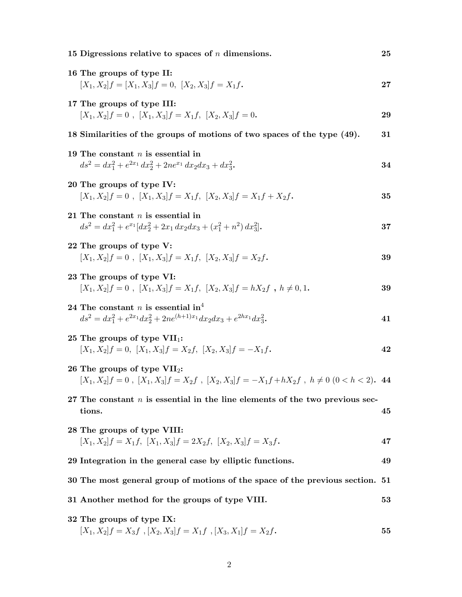| 15 Digressions relative to spaces of $n$ dimensions.                                                                                                         | 25 |
|--------------------------------------------------------------------------------------------------------------------------------------------------------------|----|
| 16 The groups of type II:<br>$[X_1, X_2]f = [X_1, X_3]f = 0, \ [X_2, X_3]f = X_1f.$                                                                          | 27 |
| 17 The groups of type III:<br>$[X_1, X_2]f = 0$ , $[X_1, X_3]f = X_1f$ , $[X_2, X_3]f = 0$ .                                                                 | 29 |
| 18 Similarities of the groups of motions of two spaces of the type (49).                                                                                     | 31 |
| 19 The constant $n$ is essential in<br>$ds^{2} = dx_{1}^{2} + e^{2x_{1}} dx_{2}^{2} + 2ne^{x_{1}} dx_{2} dx_{3} + dx_{3}^{2}$                                | 34 |
| 20 The groups of type IV:<br>$[X_1, X_2]f = 0$ , $[X_1, X_3]f = X_1f$ , $[X_2, X_3]f = X_1f + X_2f$ .                                                        | 35 |
| 21 The constant $n$ is essential in<br>$ds^{2} = dx_{1}^{2} + e^{x_{1}}[dx_{2}^{2} + 2x_{1} dx_{2} dx_{3} + (x_{1}^{2} + n^{2}) dx_{3}^{2}].$                | 37 |
| 22 The groups of type V:<br>$[X_1, X_2]f = 0$ , $[X_1, X_3]f = X_1f$ , $[X_2, X_3]f = X_2f$ .                                                                | 39 |
| 23 The groups of type VI:<br>$[X_1, X_2]f = 0$ , $[X_1, X_3]f = X_1f$ , $[X_2, X_3]f = hX_2f$ , $h \neq 0, 1$ .                                              | 39 |
| 24 The constant <i>n</i> is essential in <sup>4</sup><br>$ds^{2} = dx_{1}^{2} + e^{2x_{1}}dx_{2}^{2} + 2ne^{(h+1)x_{1}}dx_{2}dx_{3} + e^{2hx_{1}}dx_{3}^{2}$ | 41 |
| 25 The groups of type $VII_1$ :<br>$[X_1, X_2]f = 0$ , $[X_1, X_3]f = X_2f$ , $[X_2, X_3]f = -X_1f$ .                                                        | 42 |
| 26 The groups of type $VII_2$ :<br>$[X_1, X_2]f = 0$ , $[X_1, X_3]f = X_2f$ , $[X_2, X_3]f = -X_1f + hX_2f$ , $h \neq 0$ $(0 < h < 2)$ . 44                  |    |
| 27 The constant $n$ is essential in the line elements of the two previous sec-<br>tions.                                                                     | 45 |
| 28 The groups of type VIII:<br>$[X_1, X_2]f = X_1f, [X_1, X_3]f = 2X_2f, [X_2, X_3]f = X_3f.$                                                                | 47 |
| 29 Integration in the general case by elliptic functions.                                                                                                    | 49 |
| 30 The most general group of motions of the space of the previous section. 51                                                                                |    |
| 31 Another method for the groups of type VIII.                                                                                                               | 53 |
| 32 The groups of type IX:<br>$[X_1, X_2]f = X_3f$ , $[X_2, X_3]f = X_1f$ , $[X_3, X_1]f = X_2f$ .                                                            | 55 |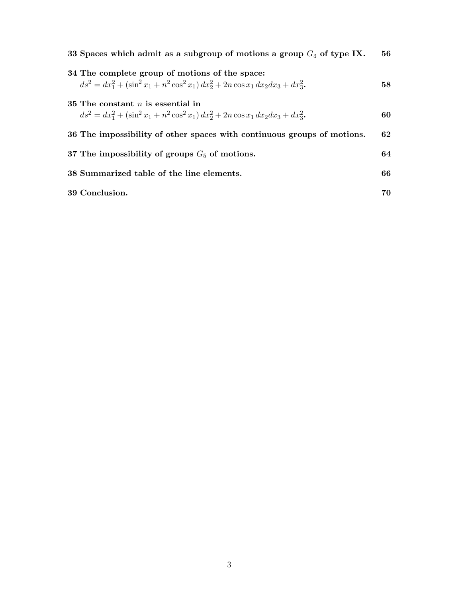| 33 Spaces which admit as a subgroup of motions a group $G_3$ of type IX.                                                                                                 | 56 |
|--------------------------------------------------------------------------------------------------------------------------------------------------------------------------|----|
| 34 The complete group of motions of the space:<br>$ds^{2} = dx_{1}^{2} + (\sin^{2} x_{1} + n^{2} \cos^{2} x_{1}) dx_{2}^{2} + 2n \cos x_{1} dx_{2} dx_{3} + dx_{3}^{2}.$ | 58 |
| 35 The constant $n$ is essential in<br>$ds^{2} = dx_{1}^{2} + (\sin^{2} x_{1} + n^{2} \cos^{2} x_{1}) dx_{2}^{2} + 2n \cos x_{1} dx_{2} dx_{3} + dx_{3}^{2}.$            | 60 |
| 36 The impossibility of other spaces with continuous groups of motions.                                                                                                  | 62 |
| 37 The impossibility of groups $G_5$ of motions.                                                                                                                         | 64 |
| 38 Summarized table of the line elements.                                                                                                                                | 66 |
| 39 Conclusion.                                                                                                                                                           | 70 |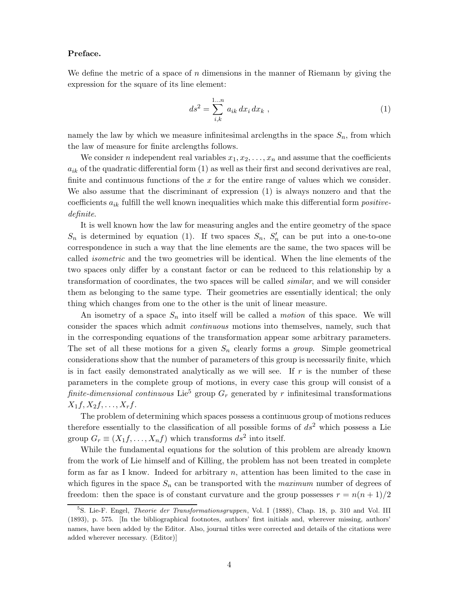#### **Preface.**

We define the metric of a space of *n* dimensions in the manner of Riemann by giving the expression for the square of its line element:

$$
ds^{2} = \sum_{i,k}^{1...n} a_{ik} dx_{i} dx_{k} , \qquad (1)
$$

namely the law by which we measure infinitesimal arclengths in the space  $S_n$ , from which the law of measure for finite arclengths follows.

We consider *n* independent real variables  $x_1, x_2, \ldots, x_n$  and assume that the coefficients  $a_{ik}$  of the quadratic differential form  $(1)$  as well as their first and second derivatives are real, finite and continuous functions of the *x* for the entire range of values which we consider. We also assume that the discriminant of expression (1) is always nonzero and that the coefficients *a*ik fulfill the well known inequalities which make this differential form *positivedefinite*.

It is well known how the law for measuring angles and the entire geometry of the space  $S_n$  is determined by equation (1). If two spaces  $S_n$ ,  $S'_n$  can be put into a one-to-one correspondence in such a way that the line elements are the same, the two spaces will be called *isometric* and the two geometries will be identical. When the line elements of the two spaces only differ by a constant factor or can be reduced to this relationship by a transformation of coordinates, the two spaces will be called *similar*, and we will consider them as belonging to the same type. Their geometries are essentially identical; the only thing which changes from one to the other is the unit of linear measure.

An isometry of a space  $S_n$  into itself will be called a *motion* of this space. We will consider the spaces which admit *continuous* motions into themselves, namely, such that in the corresponding equations of the transformation appear some arbitrary parameters. The set of all these motions for a given  $S_n$  clearly forms a *group*. Simple geometrical considerations show that the number of parameters of this group is necessarily finite, which is in fact easily demonstrated analytically as we will see. If *r* is the number of these parameters in the complete group of motions, in every case this group will consist of a *finite-dimensional continuous* Lie<sup>5</sup> group  $G_r$  generated by  $r$  infinitesimal transformations  $X_1 f, X_2 f, \ldots, X_r f.$ 

The problem of determining which spaces possess a continuous group of motions reduces therefore essentially to the classification of all possible forms of *ds*<sup>2</sup> which possess a Lie group  $G_r \equiv (X_1 f, \ldots, X_n f)$  which transforms  $ds^2$  into itself.

While the fundamental equations for the solution of this problem are already known from the work of Lie himself and of Killing, the problem has not been treated in complete form as far as I know. Indeed for arbitrary *n*, attention has been limited to the case in which figures in the space  $S_n$  can be transported with the *maximum* number of degrees of freedom: then the space is of constant curvature and the group possesses  $r = n(n+1)/2$ 

<sup>&</sup>lt;sup>5</sup>S. Lie-F. Engel, *Theorie der Transformationsgruppen*, Vol. I (1888), Chap. 18, p. 310 and Vol. III (1893), p. 575. [In the bibliographical footnotes, authors' first initials and, wherever missing, authors' names, have been added by the Editor. Also, journal titles were corrected and details of the citations were added wherever necessary. (Editor)]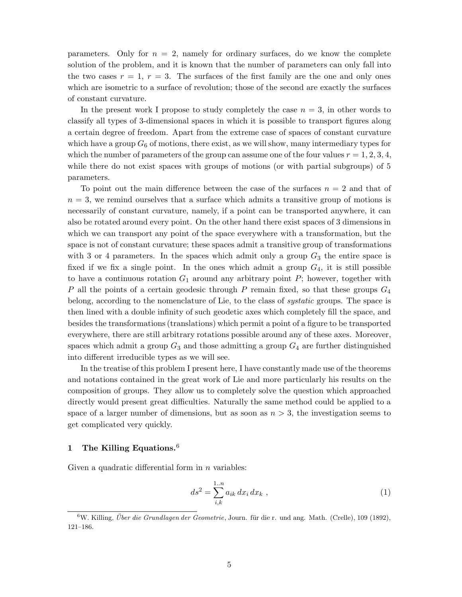parameters. Only for  $n = 2$ , namely for ordinary surfaces, do we know the complete solution of the problem, and it is known that the number of parameters can only fall into the two cases  $r = 1$ ,  $r = 3$ . The surfaces of the first family are the one and only ones which are isometric to a surface of revolution; those of the second are exactly the surfaces of constant curvature.

In the present work I propose to study completely the case *n* = 3, in other words to classify all types of 3-dimensional spaces in which it is possible to transport figures along a certain degree of freedom. Apart from the extreme case of spaces of constant curvature which have a group  $G_6$  of motions, there exist, as we will show, many intermediary types for which the number of parameters of the group can assume one of the four values  $r = 1, 2, 3, 4$ , while there do not exist spaces with groups of motions (or with partial subgroups) of 5 parameters.

To point out the main difference between the case of the surfaces *n* = 2 and that of  $n = 3$ , we remind ourselves that a surface which admits a transitive group of motions is necessarily of constant curvature, namely, if a point can be transported anywhere, it can also be rotated around every point. On the other hand there exist spaces of 3 dimensions in which we can transport any point of the space everywhere with a transformation, but the space is not of constant curvature; these spaces admit a transitive group of transformations with 3 or 4 parameters. In the spaces which admit only a group  $G_3$  the entire space is fixed if we fix a single point. In the ones which admit a group  $G_4$ , it is still possible to have a continuous rotation *G*<sup>1</sup> around any arbitrary point *P*; however, together with *P* all the points of a certain geodesic through *P* remain fixed, so that these groups *G*<sup>4</sup> belong, according to the nomenclature of Lie, to the class of *systatic* groups. The space is then lined with a double infinity of such geodetic axes which completely fill the space, and besides the transformations (translations) which permit a point of a figure to be transported everywhere, there are still arbitrary rotations possible around any of these axes. Moreover, spaces which admit a group  $G_3$  and those admitting a group  $G_4$  are further distinguished into different irreducible types as we will see.

In the treatise of this problem I present here, I have constantly made use of the theorems and notations contained in the great work of Lie and more particularly his results on the composition of groups. They allow us to completely solve the question which approached directly would present great difficulties. Naturally the same method could be applied to a space of a larger number of dimensions, but as soon as  $n > 3$ , the investigation seems to get complicated very quickly.

#### **1 The Killing Equations.**<sup>6</sup>

Given a quadratic differential form in *n* variables:

$$
ds^2 = \sum_{i,k}^{1..n} a_{ik} \, dx_i \, dx_k \;, \tag{1}
$$

 $6W$ . Killing, Über die Grundlagen der Geometrie, Journ. für die r. und ang. Math. (Crelle), 109 (1892), 121–186.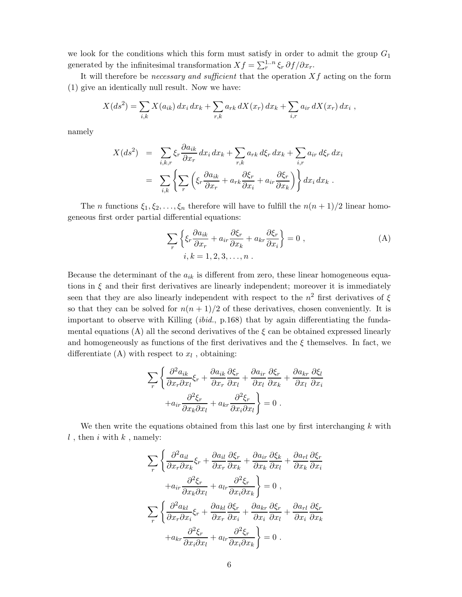we look for the conditions which this form must satisfy in order to admit the group *G*<sup>1</sup> generated by the infinitesimal transformation  $Xf = \sum_{r}^{1..n} \xi_r \partial f / \partial x_r$ .

It will therefore be *necessary and sufficient* that the operation *Xf* acting on the form (1) give an identically null result. Now we have:

$$
X(ds^2) = \sum_{i,k} X(a_{ik}) dx_i dx_k + \sum_{r,k} a_{rk} dX(x_r) dx_k + \sum_{i,r} a_{ir} dX(x_r) dx_i ,
$$

namely

$$
X(ds^2) = \sum_{i,k,r} \xi_r \frac{\partial a_{ik}}{\partial x_r} dx_i dx_k + \sum_{r,k} a_{rk} d\xi_r dx_k + \sum_{i,r} a_{ir} d\xi_r dx_i
$$
  

$$
= \sum_{i,k} \left\{ \sum_r \left( \xi_r \frac{\partial a_{ik}}{\partial x_r} + a_{rk} \frac{\partial \xi_r}{\partial x_i} + a_{ir} \frac{\partial \xi_r}{\partial x_k} \right) \right\} dx_i dx_k.
$$

The *n* functions  $\xi_1, \xi_2, \ldots, \xi_n$  therefore will have to fulfill the  $n(n+1)/2$  linear homogeneous first order partial differential equations:

$$
\sum_{r} \left\{ \xi_r \frac{\partial a_{ik}}{\partial x_r} + a_{ir} \frac{\partial \xi_r}{\partial x_k} + a_{kr} \frac{\partial \xi_r}{\partial x_i} \right\} = 0 ,
$$
\n(A)\n  
\n $i, k = 1, 2, 3, \dots, n .$ 

Because the determinant of the  $a_{ik}$  is different from zero, these linear homogeneous equations in  $\xi$  and their first derivatives are linearly independent; moreover it is immediately seen that they are also linearly independent with respect to the  $n^2$  first derivatives of  $\xi$ so that they can be solved for  $n(n+1)/2$  of these derivatives, chosen conveniently. It is important to observe with Killing (*ibid.*, p.168) that by again differentiating the fundamental equations (A) all the second derivatives of the  $\xi$  can be obtained expressed linearly and homogeneously as functions of the first derivatives and the  $\xi$  themselves. In fact, we differentiate (A) with respect to  $x_l$ , obtaining:

$$
\sum_{r} \left\{ \frac{\partial^2 a_{ik}}{\partial x_r \partial x_l} \xi_r + \frac{\partial a_{ik}}{\partial x_r} \frac{\partial \xi_r}{\partial x_l} + \frac{\partial a_{ir}}{\partial x_l} \frac{\partial \xi_r}{\partial x_k} + \frac{\partial a_{kr}}{\partial x_l} \frac{\partial \xi_l}{\partial x_i} + a_{ir} \frac{\partial^2 \xi_r}{\partial x_k \partial x_l} + a_{kr} \frac{\partial^2 \xi_r}{\partial x_i \partial x_l} \right\} = 0.
$$

We then write the equations obtained from this last one by first interchanging *k* with  $l$  , then  $i$  with  $k$  , namely:

$$
\sum_{r} \left\{ \frac{\partial^2 a_{il}}{\partial x_r \partial x_k} \xi_r + \frac{\partial a_{il}}{\partial x_r} \frac{\partial \xi_r}{\partial x_k} + \frac{\partial a_{ir}}{\partial x_k} \frac{\partial \xi_k}{\partial x_l} + \frac{\partial a_{rl}}{\partial x_k} \frac{\partial \xi_r}{\partial x_i} + a_{ir} \frac{\partial^2 \xi_r}{\partial x_k \partial x_l} + a_{ir} \frac{\partial^2 \xi_r}{\partial x_i \partial x_k} \right\} = 0,
$$
\n
$$
\sum_{r} \left\{ \frac{\partial^2 a_{kl}}{\partial x_r \partial x_i} \xi_r + \frac{\partial a_{kl}}{\partial x_r} \frac{\partial \xi_r}{\partial x_i} + \frac{\partial a_{kr}}{\partial x_i} \frac{\partial \xi_r}{\partial x_l} + \frac{\partial a_{rl}}{\partial x_i} \frac{\partial \xi_r}{\partial x_k} + a_{kr} \frac{\partial^2 \xi_r}{\partial x_i \partial x_l} + a_{ir} \frac{\partial^2 \xi_r}{\partial x_i \partial x_k} \right\} = 0.
$$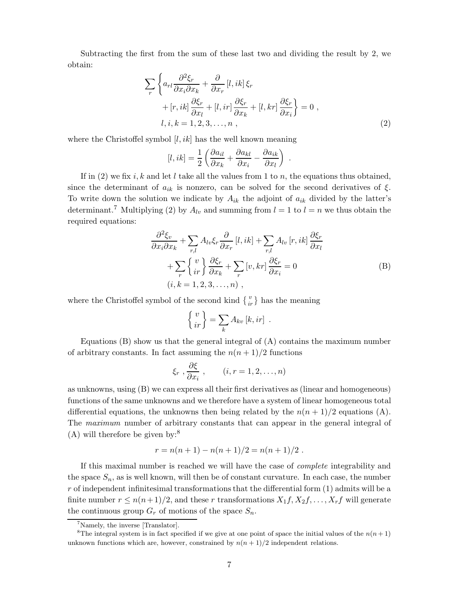Subtracting the first from the sum of these last two and dividing the result by 2, we obtain:

$$
\sum_{r} \left\{ a_{rl} \frac{\partial^2 \xi_r}{\partial x_i \partial x_k} + \frac{\partial}{\partial x_r} [l, ik] \xi_r + [r, ik] \frac{\partial \xi_r}{\partial x_l} + [l, ir] \frac{\partial \xi_r}{\partial x_k} + [l, kr] \frac{\partial \xi_r}{\partial x_i} \right\} = 0 ,
$$
  

$$
l, i, k = 1, 2, 3, ..., n ,
$$
 (2)

where the Christoffel symbol [*l, ik*] has the well known meaning

$$
[l,ik] = \frac{1}{2} \left( \frac{\partial a_{il}}{\partial x_k} + \frac{\partial a_{kl}}{\partial x_i} - \frac{\partial a_{ik}}{\partial x_l} \right) .
$$

If in  $(2)$  we fix *i, k* and let *l* take all the values from 1 to *n*, the equations thus obtained, since the determinant of  $a_{ik}$  is nonzero, can be solved for the second derivatives of  $\xi$ . To write down the solution we indicate by  $A_{ik}$  the adjoint of  $a_{ik}$  divided by the latter's determinant.<sup>7</sup> Multiplying (2) by  $A_{lv}$  and summing from  $l = 1$  to  $l = n$  we thus obtain the required equations:

$$
\frac{\partial^2 \xi_v}{\partial x_i \partial x_k} + \sum_{r,l} A_{lv} \xi_r \frac{\partial}{\partial x_r} [l, ik] + \sum_{r,l} A_{lv} [r, ik] \frac{\partial \xi_r}{\partial x_l} \n+ \sum_r \begin{Bmatrix} v \\ ir \end{Bmatrix} \frac{\partial \xi_r}{\partial x_k} + \sum_r [v, kr] \frac{\partial \xi_r}{\partial x_i} = 0
$$
\n(B)\n  
\n $(i, k = 1, 2, 3, ..., n)$ ,

where the Christoffel symbol of the second kind  $\{v \atop ir\}$  has the meaning

$$
\left\{ \frac{v}{ir} \right\} = \sum_{k} A_{kv} [k, ir] .
$$

Equations  $(B)$  show us that the general integral of  $(A)$  contains the maximum number of arbitrary constants. In fact assuming the  $n(n+1)/2$  functions

$$
\xi_r, \frac{\partial \xi}{\partial x_i}, \qquad (i, r = 1, 2, \dots, n)
$$

as unknowns, using (B) we can express all their first derivatives as (linear and homogeneous) functions of the same unknowns and we therefore have a system of linear homogeneous total differential equations, the unknowns then being related by the  $n(n+1)/2$  equations (A). The *maximum* number of arbitrary constants that can appear in the general integral of  $(A)$  will therefore be given by:<sup>8</sup>

$$
r = n(n + 1) - n(n + 1)/2 = n(n + 1)/2.
$$

If this maximal number is reached we will have the case of *complete* integrability and the space  $S_n$ , as is well known, will then be of constant curvature. In each case, the number *r* of independent infinitesimal transformations that the differential form (1) admits will be a finite number  $r \leq n(n+1)/2$ , and these r transformations  $X_1 f, X_2 f, \ldots, X_r f$  will generate the continuous group  $G_r$  of motions of the space  $S_n$ .

<sup>&</sup>lt;sup>7</sup>Namely, the inverse [Translator].

<sup>&</sup>lt;sup>8</sup>The integral system is in fact specified if we give at one point of space the initial values of the  $n(n+1)$ unknown functions which are, however, constrained by  $n(n + 1)/2$  independent relations.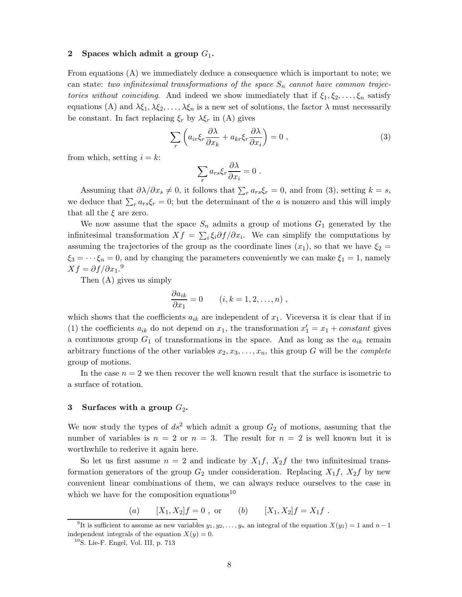#### **2 Spaces which admit a group** *G*1**.**

From equations (A) we immediately deduce a consequence which is important to note; we can state: *two infinitesimal transformations of the space*  $S_n$  *cannot have common trajectories without coinciding.* And indeed we show immediately that if  $\xi_1, \xi_2, \ldots, \xi_n$  satisfy equations (A) and  $\lambda \xi_1, \lambda \xi_2, \ldots, \lambda \xi_n$  is a new set of solutions, the factor  $\lambda$  must necessarily be constant. In fact replacing  $\xi_r$  by  $\lambda \xi_r$  in (A) gives

$$
\sum_{r} \left( a_{ir} \xi_r \frac{\partial \lambda}{\partial x_k} + a_{kr} \xi_r \frac{\partial \lambda}{\partial x_i} \right) = 0 ,
$$
\n(3)

from which, setting  $i = k$ :

$$
\sum_r a_{rs} \xi_r \frac{\partial \lambda}{\partial x_i} = 0 \ .
$$

Assuming that  $\partial \lambda / \partial x_s \neq 0$ , it follows that  $\sum_r a_{rs} \xi_r = 0$ , and from (3), setting  $k = s$ , we deduce that  $\sum_{r} a_{rs} \xi_r = 0$ ; but the determinant of the *a* is nonzero and this will imply that all the *ξ* are zero.

We now assume that the space  $S_n$  admits a group of motions  $G_1$  generated by the infinitesimal transformation  $Xf = \sum_i \xi_i \partial f / \partial x_i$ . We can simplify the computations by assuming the trajectories of the group as the coordinate lines  $(x_1)$ , so that we have  $\xi_2 =$  $\xi_3 = \cdots \xi_n = 0$ , and by changing the parameters conveniently we can make  $\xi_1 = 1$ , namely  $Xf = \partial f / \partial x_1$ .<sup>9</sup>

Then (A) gives us simply

$$
\frac{\partial a_{ik}}{\partial x_1} = 0 \qquad (i, k = 1, 2, \dots, n) ,
$$

which shows that the coefficients  $a_{ik}$  are independent of  $x_1$ . Viceversa it is clear that if in (1) the coefficients  $a_{ik}$  do not depend on  $x_1$ , the transformation  $x_1' = x_1 + constant$  gives a continuous group  $G_1$  of transformations in the space. And as long as the  $a_{ik}$  remain arbitrary functions of the other variables  $x_2, x_3, \ldots, x_n$ , this group *G* will be the *complete* group of motions.

In the case  $n = 2$  we then recover the well known result that the surface is isometric to a surface of rotation.

#### **3** Surfaces with a group  $G_2$ .

We now study the types of  $ds^2$  which admit a group  $G_2$  of motions, assuming that the number of variables is  $n = 2$  or  $n = 3$ . The result for  $n = 2$  is well known but it is worthwhile to rederive it again here.

So let us first assume  $n = 2$  and indicate by  $X_1 f$ ,  $X_2 f$  the two infinitesimal transformation generators of the group  $G_2$  under consideration. Replacing  $X_1 f$ ,  $X_2 f$  by new convenient linear combinations of them, we can always reduce ourselves to the case in which we have for the composition equations<sup>10</sup>

(*a*)  $[X_1, X_2]f = 0$ , or (*b*)  $[X_1, X_2]f = X_1f$ .

<sup>&</sup>lt;sup>9</sup>It is sufficient to assume as new variables  $y_1, y_2, \ldots, y_n$  an integral of the equation  $X(y_1) = 1$  and  $n-1$ independent integrals of the equation  $X(y) = 0$ .

 $10$ S. Lie-F. Engel, Vol. III, p. 713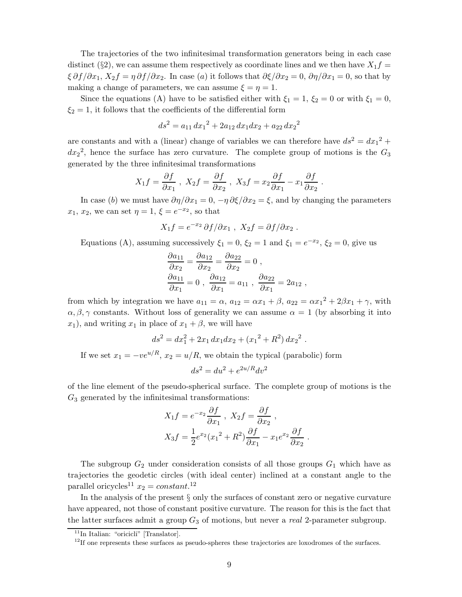The trajectories of the two infinitesimal transformation generators being in each case distinct (§2), we can assume them respectively as coordinate lines and we then have  $X_1 f =$ *ξ*  $\partial f/\partial x_1$ *,*  $X_2 f = \eta \partial f/\partial x_2$ *.* In case (*a*) it follows that  $\partial \xi/\partial x_2 = 0$ ,  $\partial \eta/\partial x_1 = 0$ , so that by making a change of parameters, we can assume  $\xi = \eta = 1$ .

Since the equations (A) have to be satisfied either with  $\xi_1 = 1$ ,  $\xi_2 = 0$  or with  $\xi_1 = 0$ ,  $\xi_2 = 1$ , it follows that the coefficients of the differential form

$$
ds^2 = a_{11} dx_1^2 + 2a_{12} dx_1 dx_2 + a_{22} dx_2^2
$$

are constants and with a (linear) change of variables we can therefore have  $ds^2 = dx_1^2 +$  $dx_2^2$ , hence the surface has zero curvature. The complete group of motions is the  $G_3$ generated by the three infinitesimal transformations

$$
X_1 f = \frac{\partial f}{\partial x_1} , \ X_2 f = \frac{\partial f}{\partial x_2} , \ X_3 f = x_2 \frac{\partial f}{\partial x_1} - x_1 \frac{\partial f}{\partial x_2} .
$$

In case (*b*) we must have  $\partial \eta / \partial x_1 = 0$ ,  $-\eta \partial \xi / \partial x_2 = \xi$ , and by changing the parameters *x*<sub>1</sub>, *x*<sub>2</sub>, we can set  $\eta = 1, \xi = e^{-x^2}$ , so that

$$
X_1 f = e^{-x_2} \partial f / \partial x_1 , \ X_2 f = \partial f / \partial x_2 .
$$

Equations (A), assuming successively  $\xi_1 = 0$ ,  $\xi_2 = 1$  and  $\xi_1 = e^{-x_2}$ ,  $\xi_2 = 0$ , give us

$$
\frac{\partial a_{11}}{\partial x_2} = \frac{\partial a_{12}}{\partial x_2} = \frac{\partial a_{22}}{\partial x_2} = 0,
$$
  

$$
\frac{\partial a_{11}}{\partial x_1} = 0, \quad \frac{\partial a_{12}}{\partial x_1} = a_{11}, \quad \frac{\partial a_{22}}{\partial x_1} = 2a_{12},
$$

from which by integration we have  $a_{11} = \alpha$ ,  $a_{12} = \alpha x_1 + \beta$ ,  $a_{22} = \alpha x_1^2 + 2\beta x_1 + \gamma$ , with  $\alpha, \beta, \gamma$  constants. Without loss of generality we can assume  $\alpha = 1$  (by absorbing it into  $(x_1)$ , and writing  $x_1$  in place of  $x_1 + \beta$ , we will have

$$
ds^2 = dx_1^2 + 2x_1 dx_1 dx_2 + (x_1^2 + R^2) dx_2^2.
$$

If we set  $x_1 = -ve^{u/R}$ ,  $x_2 = u/R$ , we obtain the typical (parabolic) form

$$
ds^2 = du^2 + e^{2u/R} dv^2
$$

of the line element of the pseudo-spherical surface. The complete group of motions is the *G*<sup>3</sup> generated by the infinitesimal transformations:

$$
X_1 f = e^{-x_2} \frac{\partial f}{\partial x_1}, \quad X_2 f = \frac{\partial f}{\partial x_2},
$$
  

$$
X_3 f = \frac{1}{2} e^{x_2} (x_1^2 + R^2) \frac{\partial f}{\partial x_1} - x_1 e^{x_2} \frac{\partial f}{\partial x_2}.
$$

The subgroup  $G_2$  under consideration consists of all those groups  $G_1$  which have as trajectories the geodetic circles (with ideal center) inclined at a constant angle to the parallel oricycles<sup>11</sup>  $x_2 = constant$ .<sup>12</sup>

In the analysis of the present § only the surfaces of constant zero or negative curvature have appeared, not those of constant positive curvature. The reason for this is the fact that the latter surfaces admit a group *G*<sup>3</sup> of motions, but never a *real* 2-parameter subgroup.

<sup>&</sup>lt;sup>11</sup>In Italian: "oricicli" [Translator].

 $12$ If one represents these surfaces as pseudo-spheres these trajectories are loxodromes of the surfaces.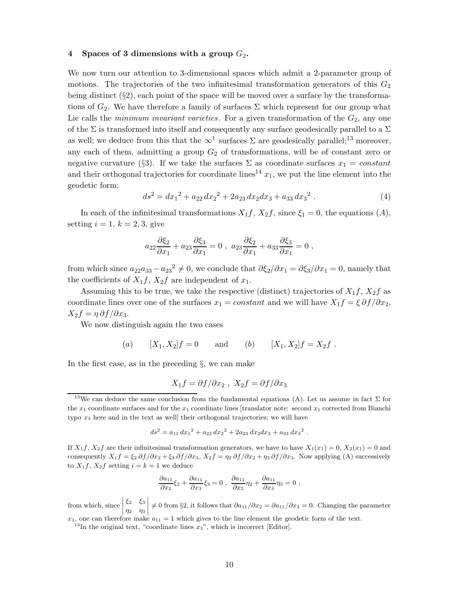#### **4 Spaces of 3 dimensions with a group** *G*2**.**

We now turn our attention to 3-dimensional spaces which admit a 2-parameter group of motions. The trajectories of the two infinitesimal transformation generators of this  $G_2$ being distinct  $(\S 2)$ , each point of the space will be moved over a surface by the transformations of  $G_2$ . We have therefore a family of surfaces  $\Sigma$  which represent for our group what Lie calls the *minimum invariant varieties*. For a given transformation of the  $G_2$ , any one of the Σ is transformed into itself and consequently any surface geodesically parallel to a Σ as well; we deduce from this that the  $\infty^1$  surfaces  $\Sigma$  are geodesically parallel;<sup>13</sup> moreover, any each of them, admitting a group  $G_2$  of transformations, will be of constant zero or negative curvature (§3). If we take the surfaces  $\Sigma$  as coordinate surfaces  $x_1 = constant$ and their orthogonal trajectories for coordinate lines<sup>14</sup>  $x_1$ , we put the line element into the geodetic form:

$$
ds^{2} = dx_{1}^{2} + a_{22} dx_{2}^{2} + 2a_{23} dx_{2} dx_{3} + a_{33} dx_{3}^{2}
$$
 (4)

In each of the infinitesimal transformations  $X_1 f$ ,  $X_2 f$ , since  $\xi_1 = 0$ , the equations  $(A)$ , setting  $i = 1, k = 2, 3$ , give

$$
a_{22}\frac{\partial \xi_2}{\partial x_1} + a_{23}\frac{\partial \xi_3}{\partial x_1} = 0 , a_{23}\frac{\partial \xi_2}{\partial x_1} + a_{33}\frac{\partial \xi_3}{\partial x_1} = 0 ,
$$

from which since  $a_{22}a_{33} - a_{23}^2 \neq 0$ , we conclude that  $\partial \xi_2 / \partial x_1 = \partial \xi_3 / \partial x_1 = 0$ , namely that the coefficients of  $X_1 f$ ,  $X_2 f$  are independent of  $x_1$ .

Assuming this to be true, we take the respective (distinct) trajectories of  $X_1 f$ ,  $X_2 f$  as coordinate lines over one of the surfaces  $x_1 = constant$  and we will have  $X_1 f = \xi \partial f / \partial x_2$ ,  $X_2f = \eta \frac{\partial f}{\partial x_3}$ .

We now distinguish again the two cases

(a) 
$$
[X_1, X_2]f = 0
$$
 and (b)  $[X_1, X_2]f = X_2f$ .

In the first case, as in the preceding §, we can make

$$
X_1 f = \partial f / \partial x_2 , \ X_2 f = \partial f / \partial x_3
$$

$$
ds2 = a11 dx12 + a22 dx22 + 2a23 dx2 dx3 + a33 dx32.
$$

If  $X_1 f$ ,  $X_2 f$  are their infinitesimal transformation generators, we have to have  $X_1(x_1) = 0$ ,  $X_2(x_1) = 0$  and consequently  $X_1 f = \xi_2 \partial f / \partial x_2 + \xi_3 \partial f / \partial x_3$ ,  $X_2 f = \eta_2 \partial f / \partial x_2 + \eta_3 \partial f / \partial x_3$ . Now applying (A) successively to  $X_1 f$ ,  $X_2 f$  setting  $i = k = 1$  we deduce

$$
\frac{\partial a_{11}}{\partial x_2}\xi_2 + \frac{\partial a_{11}}{\partial x_3}\xi_3 = 0 , \frac{\partial a_{11}}{\partial x_2}\eta_2 + \frac{\partial a_{11}}{\partial x_3}\eta_3 = 0 ,
$$

from which, since  $\begin{array}{c} \hline \end{array}$ *ξ*<sup>2</sup> *ξ*<sup>3</sup> *η*<sup>2</sup> *η*<sup>3</sup>  $\neq 0$  from §2, it follows that  $\partial a_{11}/\partial x_2 = \partial a_{11}/\partial x_3 = 0$ . Changing the parameter  $x_1$ , one can therefore make  $a_{11} = 1$  which gives to the line element the geodetic form of the text.

<sup>14</sup>In the original text, "coordinate lines  $x_3$ ", which is incorrect [Editor].

<sup>&</sup>lt;sup>13</sup>We can deduce the same conclusion from the fundamental equations (A). Let us assume in fact  $\Sigma$  for the  $x_1$  coordinate surfaces and for the  $x_1$  coordinate lines [translator note: second  $x_1$  corrected from Bianchi typo *x*<sup>3</sup> here and in the text as well] their orthogonal trajectories; we will have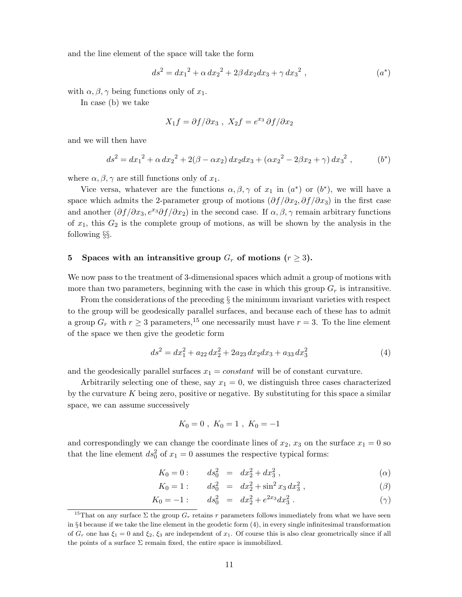and the line element of the space will take the form

$$
ds^{2} = dx_{1}^{2} + \alpha dx_{2}^{2} + 2\beta dx_{2}dx_{3} + \gamma dx_{3}^{2} , \qquad (a^{*})
$$

with  $\alpha$ ,  $\beta$ ,  $\gamma$  being functions only of  $x_1$ .

In case (b) we take

$$
X_1 f = \partial f / \partial x_3 , X_2 f = e^{x_3} \partial f / \partial x_2
$$

and we will then have

$$
ds^{2} = dx_{1}^{2} + \alpha dx_{2}^{2} + 2(\beta - \alpha x_{2}) dx_{2} dx_{3} + (\alpha x_{2}^{2} - 2\beta x_{2} + \gamma) dx_{3}^{2}, \qquad (b^{*})
$$

where  $\alpha, \beta, \gamma$  are still functions only of  $x_1$ .

Vice versa, whatever are the functions  $\alpha, \beta, \gamma$  of  $x_1$  in  $(a^*)$  or  $(b^*)$ , we will have a space which admits the 2-parameter group of motions (*∂f /∂x*2*, ∂f /∂x*3) in the first case and another  $(\partial f/\partial x_3, e^{x_3}\partial f/\partial x_2)$  in the second case. If  $\alpha, \beta, \gamma$  remain arbitrary functions of  $x_1$ , this  $G_2$  is the complete group of motions, as will be shown by the analysis in the following §§.

#### **5** Spaces with an intransitive group  $G_r$  of motions  $(r \geq 3)$ .

We now pass to the treatment of 3-dimensional spaces which admit a group of motions with more than two parameters, beginning with the case in which this group  $G_r$  is intransitive.

From the considerations of the preceding § the minimum invariant varieties with respect to the group will be geodesically parallel surfaces, and because each of these has to admit a group  $G_r$  with  $r \geq 3$  parameters,<sup>15</sup> one necessarily must have  $r = 3$ . To the line element of the space we then give the geodetic form

$$
ds^{2} = dx_{1}^{2} + a_{22} dx_{2}^{2} + 2a_{23} dx_{2} dx_{3} + a_{33} dx_{3}^{2}
$$
\n<sup>(4)</sup>

and the geodesically parallel surfaces  $x_1 = constant$  will be of constant curvature.

Arbitrarily selecting one of these, say  $x_1 = 0$ , we distinguish three cases characterized by the curvature *K* being zero, positive or negative. By substituting for this space a similar space, we can assume successively

$$
K_0 = 0 \; , \; K_0 = 1 \; , \; K_0 = -1
$$

and correspondingly we can change the coordinate lines of  $x_2$ ,  $x_3$  on the surface  $x_1 = 0$  so that the line element  $ds_0^2$  of  $x_1 = 0$  assumes the respective typical forms:

$$
K_0 = 0: \t ds_0^2 = dx_2^2 + dx_3^2 , \t (0)
$$

$$
K_0 = 1: \t ds_0^2 = dx_2^2 + \sin^2 x_3 dx_3^2 , \t\t( \beta )
$$

$$
K_0 = -1: \t ds_0^2 = dx_2^2 + e^{2x_3} dx_3^2 . \t\t (\gamma)
$$

<sup>&</sup>lt;sup>15</sup>That on any surface  $\Sigma$  the group  $G_r$  retains  $r$  parameters follows immediately from what we have seen in §4 because if we take the line element in the geodetic form (4), in every single infinitesimal transformation of  $G_r$  one has  $\xi_1 = 0$  and  $\xi_2$ ,  $\xi_3$  are independent of  $x_1$ . Of course this is also clear geometrically since if all the points of a surface  $\Sigma$  remain fixed, the entire space is immobilized.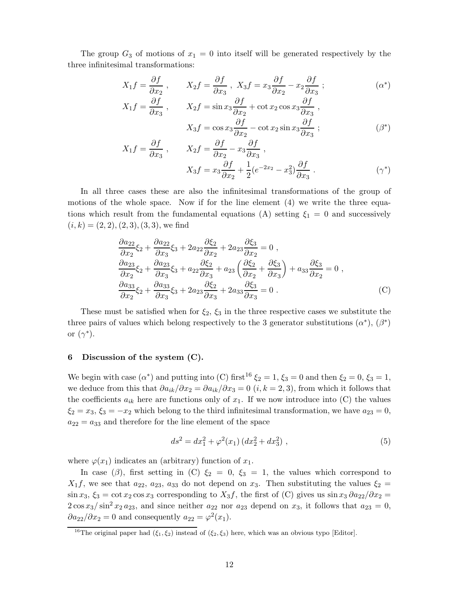The group  $G_3$  of motions of  $x_1 = 0$  into itself will be generated respectively by the three infinitesimal transformations:

$$
X_1 f = \frac{\partial f}{\partial x_2}, \qquad X_2 f = \frac{\partial f}{\partial x_3}, \quad X_3 f = x_3 \frac{\partial f}{\partial x_2} - x_2 \frac{\partial f}{\partial x_3}; \tag{a*}
$$

$$
X_1 f = \frac{\partial f}{\partial x_3}, \qquad X_2 f = \sin x_3 \frac{\partial f}{\partial x_2} + \cot x_2 \cos x_3 \frac{\partial f}{\partial x_3},
$$

$$
X_3 f = \cos x_3 \frac{\partial f}{\partial x_2} - \cot x_2 \sin x_3 \frac{\partial f}{\partial x_3};
$$

$$
(\beta^*)
$$

$$
X_1 f = \frac{\partial f}{\partial x_3} , \qquad X_2 f = \frac{\partial f}{\partial x_2} - x_3 \frac{\partial f}{\partial x_3} ,
$$
  

$$
X_3 f = x_3 \frac{\partial f}{\partial x_2} + \frac{1}{2} (e^{-2x_2} - x_3^2) \frac{\partial f}{\partial x_3} .
$$
 (7\*)

In all three cases these are also the infinitesimal transformations of the group of motions of the whole space. Now if for the line element (4) we write the three equations which result from the fundamental equations (A) setting  $\xi_1 = 0$  and successively  $(i, k) = (2, 2), (2, 3), (3, 3),$  we find

$$
\frac{\partial a_{22}}{\partial x_2}\xi_2 + \frac{\partial a_{22}}{\partial x_3}\xi_3 + 2a_{22}\frac{\partial\xi_2}{\partial x_2} + 2a_{23}\frac{\partial\xi_3}{\partial x_2} = 0 ,\n\frac{\partial a_{23}}{\partial x_2}\xi_2 + \frac{\partial a_{23}}{\partial x_3}\xi_3 + a_{22}\frac{\partial\xi_2}{\partial x_3} + a_{23}\left(\frac{\partial\xi_2}{\partial x_2} + \frac{\partial\xi_3}{\partial x_3}\right) + a_{33}\frac{\partial\xi_3}{\partial x_2} = 0 ,\n\frac{\partial a_{33}}{\partial x_2}\xi_2 + \frac{\partial a_{33}}{\partial x_3}\xi_3 + 2a_{23}\frac{\partial\xi_2}{\partial x_3} + 2a_{33}\frac{\partial\xi_3}{\partial x_3} = 0 .
$$
\n(C)

These must be satisfied when for *ξ*2, *ξ*<sup>3</sup> in the three respective cases we substitute the three pairs of values which belong respectively to the 3 generator substitutions  $(\alpha^*), (\beta^*)$ or (*γ*∗).

#### **6 Discussion of the system (C).**

We begin with case  $(\alpha^*)$  and putting into (C) first<sup>16</sup>  $\xi_2 = 1$ ,  $\xi_3 = 0$  and then  $\xi_2 = 0$ ,  $\xi_3 = 1$ , we deduce from this that  $\partial a_{ik}/\partial x_2 = \partial a_{ik}/\partial x_3 = 0$  (*i*,  $k = 2, 3$ ), from which it follows that the coefficients  $a_{ik}$  here are functions only of  $x_1$ . If we now introduce into (C) the values  $\xi_2 = x_3, \xi_3 = -x_2$  which belong to the third infinitesimal transformation, we have  $a_{23} = 0$ ,  $a_{22} = a_{33}$  and therefore for the line element of the space

$$
ds^{2} = dx_{1}^{2} + \varphi^{2}(x_{1}) \left( dx_{2}^{2} + dx_{3}^{2} \right), \qquad (5)
$$

where  $\varphi(x_1)$  indicates an (arbitrary) function of  $x_1$ .

In case ( $\beta$ ), first setting in (C)  $\xi_2 = 0$ ,  $\xi_3 = 1$ , the values which correspond to  $X_1 f$ , we see that  $a_{22}$ ,  $a_{23}$ ,  $a_{33}$  do not depend on *x*<sub>3</sub>. Then substituting the values  $\xi_2$  =  $\sin x_3$ ,  $\xi_3 = \cot x_2 \cos x_3$  corresponding to  $X_3 f$ , the first of (C) gives us  $\sin x_3 \frac{\partial a_{22}}{\partial x_2} =$  $2\cos x_3/\sin^2 x_2 a_{23}$ , and since neither  $a_{22}$  nor  $a_{23}$  depend on  $x_3$ , it follows that  $a_{23} = 0$ ,  $\partial a_{22}/\partial x_2 = 0$  and consequently  $a_{22} = \varphi^2(x_1)$ .

<sup>&</sup>lt;sup>16</sup>The original paper had  $(\xi_1, \xi_2)$  instead of  $(\xi_2, \xi_3)$  here, which was an obvious typo [Editor].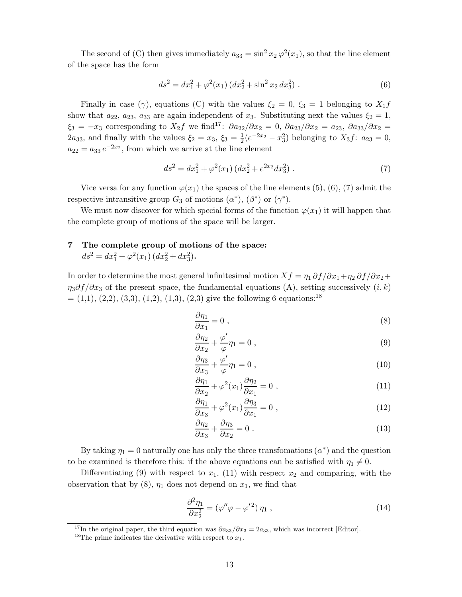The second of (C) then gives immediately  $a_{33} = \sin^2 x_2 \varphi^2(x_1)$ , so that the line element of the space has the form

$$
ds^{2} = dx_{1}^{2} + \varphi^{2}(x_{1}) \left( dx_{2}^{2} + \sin^{2} x_{2} \, dx_{3}^{2} \right). \tag{6}
$$

Finally in case ( $\gamma$ ), equations (C) with the values  $\xi_2 = 0$ ,  $\xi_3 = 1$  belonging to  $X_1 f$ show that  $a_{22}, a_{23}, a_{33}$  are again independent of  $x_3$ . Substituting next the values  $\xi_2 = 1$ ,  $\xi_3 = -x_3$  corresponding to  $X_2 f$  we find<sup>17</sup>:  $\partial a_{22}/\partial x_2 = 0$ ,  $\partial a_{23}/\partial x_2 = a_{23}$ ,  $\partial a_{33}/\partial x_2 = a_{33}$ 2*a*<sub>33</sub>, and finally with the values  $\xi_2 = x_3$ ,  $\xi_3 = \frac{1}{2}(e^{-2x_2} - x_3^2)$  belonging to  $X_3 f$ :  $a_{23} = 0$ ,  $a_{22} = a_{33} e^{-2x_2}$ , from which we arrive at the line element

$$
ds^{2} = dx_{1}^{2} + \varphi^{2}(x_{1}) \left( dx_{2}^{2} + e^{2x_{2}} dx_{3}^{2} \right). \tag{7}
$$

Vice versa for any function  $\varphi(x_1)$  the spaces of the line elements (5), (6), (7) admit the respective intransitive group  $G_3$  of motions  $(\alpha^*)$ ,  $(\beta^*)$  or  $(\gamma^*)$ .

We must now discover for which special forms of the function  $\varphi(x_1)$  it will happen that the complete group of motions of the space will be larger.

## **7 The complete group of motions of the space:**

 $ds^2 = dx_1^2 + \varphi^2(x_1) (dx_2^2 + dx_3^2)$ .

In order to determine the most general infinitesimal motion  $Xf = \eta_1 \frac{\partial f}{\partial x_1} + \eta_2 \frac{\partial f}{\partial x_2} +$ *η*3*∂f /∂x*<sup>3</sup> of the present space, the fundamental equations (A), setting successively (*i, k*)  $=(1,1), (2,2), (3,3), (1,2), (1,3), (2,3)$  give the following 6 equations:<sup>18</sup>

$$
\frac{\partial \eta_1}{\partial x_1} = 0 \tag{8}
$$

$$
\frac{\partial \eta_2}{\partial x_2} + \frac{\varphi'}{\varphi} \eta_1 = 0 , \qquad (9)
$$

$$
\frac{\partial \eta_3}{\partial x_3} + \frac{\varphi'}{\varphi} \eta_1 = 0 , \qquad (10)
$$

$$
\frac{\partial \eta_1}{\partial x_2} + \varphi^2(x_1) \frac{\partial \eta_2}{\partial x_1} = 0 , \qquad (11)
$$

$$
\frac{\partial \eta_1}{\partial x_3} + \varphi^2(x_1) \frac{\partial \eta_3}{\partial x_1} = 0 \tag{12}
$$

$$
\frac{\partial \eta_2}{\partial x_3} + \frac{\partial \eta_3}{\partial x_2} = 0 \tag{13}
$$

By taking  $\eta_1 = 0$  naturally one has only the three transfomations  $(\alpha^*)$  and the question to be examined is therefore this: if the above equations can be satisfied with  $\eta_1 \neq 0$ .

Differentiating  $(9)$  with respect to  $x_1$ ,  $(11)$  with respect  $x_2$  and comparing, with the observation that by  $(8)$ ,  $\eta_1$  does not depend on  $x_1$ , we find that

$$
\frac{\partial^2 \eta_1}{\partial x_2^2} = (\varphi'' \varphi - \varphi'^2) \eta_1 , \qquad (14)
$$

<sup>17</sup>In the original paper, the third equation was  $\partial a_{33}/\partial x_3 = 2a_{33}$ , which was incorrect [Editor].

<sup>&</sup>lt;sup>18</sup>The prime indicates the derivative with respect to  $x_1$ .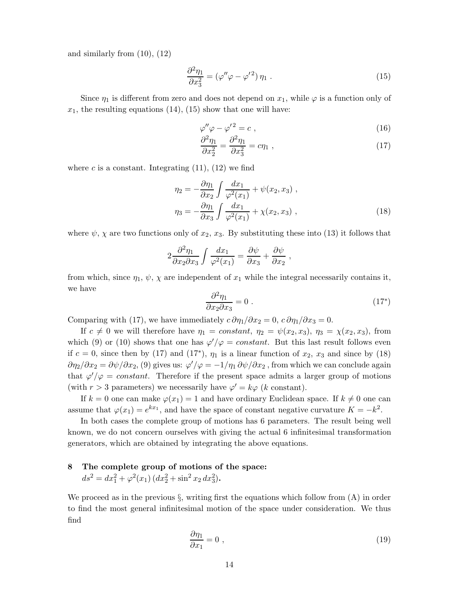and similarly from (10), (12)

$$
\frac{\partial^2 \eta_1}{\partial x_3^2} = (\varphi'' \varphi - \varphi'^2) \eta_1 \tag{15}
$$

Since  $\eta_1$  is different from zero and does not depend on  $x_1$ , while  $\varphi$  is a function only of  $x_1$ , the resulting equations  $(14)$ ,  $(15)$  show that one will have:

$$
\varphi''\varphi - \varphi'^2 = c \;, \tag{16}
$$

$$
\frac{\partial^2 \eta_1}{\partial x_2^2} = \frac{\partial^2 \eta_1}{\partial x_3^2} = c \eta_1 \tag{17}
$$

where  $c$  is a constant. Integrating  $(11)$ ,  $(12)$  we find

$$
\eta_2 = -\frac{\partial \eta_1}{\partial x_2} \int \frac{dx_1}{\varphi^2(x_1)} + \psi(x_2, x_3) ,
$$
  

$$
\eta_3 = -\frac{\partial \eta_1}{\partial x_3} \int \frac{dx_1}{\varphi^2(x_1)} + \chi(x_2, x_3) ,
$$
 (18)

where  $\psi$ ,  $\chi$  are two functions only of  $x_2$ ,  $x_3$ . By substituting these into (13) it follows that

$$
2\frac{\partial^2 \eta_1}{\partial x_2 \partial x_3} \int \frac{dx_1}{\varphi^2(x_1)} = \frac{\partial \psi}{\partial x_3} + \frac{\partial \psi}{\partial x_2} ,
$$

from which, since  $\eta_1$ ,  $\psi$ ,  $\chi$  are independent of  $x_1$  while the integral necessarily contains it, we have

$$
\frac{\partial^2 \eta_1}{\partial x_2 \partial x_3} = 0 \tag{17}^*
$$

Comparing with (17), we have immediately  $c \partial \eta_1 / \partial x_2 = 0$ ,  $c \partial \eta_1 / \partial x_3 = 0$ .

If  $c \neq 0$  we will therefore have  $\eta_1 = constant$ ,  $\eta_2 = \psi(x_2, x_3)$ ,  $\eta_3 = \chi(x_2, x_3)$ , from which (9) or (10) shows that one has  $\varphi'/\varphi = constant$ . But this last result follows even if  $c = 0$ , since then by (17) and (17<sup>\*</sup>),  $\eta_1$  is a linear function of  $x_2$ ,  $x_3$  and since by (18)  $\partial \eta_2/\partial x_2 = \partial \psi/\partial x_2$ , (9) gives us:  $\varphi'/\varphi = -1/\eta_1 \partial \psi/\partial x_2$ , from which we can conclude again that  $\varphi' / \varphi = constant$ . Therefore if the present space admits a larger group of motions (with  $r > 3$  parameters) we necessarily have  $\varphi' = k\varphi$  (*k* constant).

If  $k = 0$  one can make  $\varphi(x_1) = 1$  and have ordinary Euclidean space. If  $k \neq 0$  one can assume that  $\varphi(x_1) = e^{kx_1}$ , and have the space of constant negative curvature  $K = -k^2$ .

In both cases the complete group of motions has 6 parameters. The result being well known, we do not concern ourselves with giving the actual 6 infinitesimal transformation generators, which are obtained by integrating the above equations.

## **8 The complete group of motions of the space:**  $ds^2 = dx_1^2 + \varphi^2(x_1) (dx_2^2 + \sin^2 x_2 dx_3^2)$ .

We proceed as in the previous  $\S$ , writing first the equations which follow from  $(A)$  in order to find the most general infinitesimal motion of the space under consideration. We thus find

$$
\frac{\partial \eta_1}{\partial x_1} = 0 \tag{19}
$$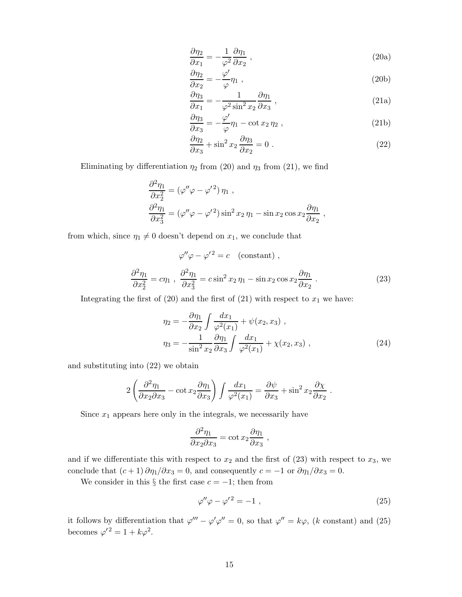$$
\frac{\partial \eta_2}{\partial x_1} = -\frac{1}{\varphi^2} \frac{\partial \eta_1}{\partial x_2} \,,\tag{20a}
$$

$$
\frac{\partial \eta_2}{\partial x_2} = -\frac{\varphi'}{\varphi} \eta_1 \tag{20b}
$$

$$
\frac{\partial \eta_3}{\partial x_1} = -\frac{1}{\varphi^2 \sin^2 x_2} \frac{\partial \eta_1}{\partial x_3} , \qquad (21a)
$$

$$
\frac{\partial \eta_3}{\partial x_3} = -\frac{\varphi'}{\varphi} \eta_1 - \cot x_2 \eta_2 , \qquad (21b)
$$

$$
\frac{\partial \eta_2}{\partial x_3} + \sin^2 x_2 \frac{\partial \eta_3}{\partial x_2} = 0.
$$
\n(22)

Eliminating by differentiation  $\eta_2$  from (20) and  $\eta_3$  from (21), we find

$$
\frac{\partial^2 \eta_1}{\partial x_2^2} = (\varphi'' \varphi - \varphi'^2) \eta_1 ,
$$
  

$$
\frac{\partial^2 \eta_1}{\partial x_3^2} = (\varphi'' \varphi - \varphi'^2) \sin^2 x_2 \eta_1 - \sin x_2 \cos x_2 \frac{\partial \eta_1}{\partial x_2} ,
$$

from which, since  $\eta_1 \neq 0$  doesn't depend on  $x_1$ , we conclude that

$$
\varphi''\varphi - \varphi'^2 = c \quad \text{(constant)} ,
$$
  

$$
\frac{\partial^2 \eta_1}{\partial x_2^2} = c\eta_1 , \quad \frac{\partial^2 \eta_1}{\partial x_3^2} = c \sin^2 x_2 \eta_1 - \sin x_2 \cos x_2 \frac{\partial \eta_1}{\partial x_2} .
$$
 (23)

Integrating the first of  $(20)$  and the first of  $(21)$  with respect to  $x_1$  we have:

$$
\eta_2 = -\frac{\partial \eta_1}{\partial x_2} \int \frac{dx_1}{\varphi^2(x_1)} + \psi(x_2, x_3) ,
$$
  

$$
\eta_3 = -\frac{1}{\sin^2 x_2} \frac{\partial \eta_1}{\partial x_3} \int \frac{dx_1}{\varphi^2(x_1)} + \chi(x_2, x_3) ,
$$
 (24)

and substituting into (22) we obtain

$$
2\left(\frac{\partial^2 \eta_1}{\partial x_2 \partial x_3} - \cot x_2 \frac{\partial \eta_1}{\partial x_3}\right) \int \frac{dx_1}{\varphi^2(x_1)} = \frac{\partial \psi}{\partial x_3} + \sin^2 x_2 \frac{\partial \chi}{\partial x_2}.
$$

Since  $x_1$  appears here only in the integrals, we necessarily have

$$
\frac{\partial^2 \eta_1}{\partial x_2 \partial x_3} = \cot x_2 \frac{\partial \eta_1}{\partial x_3} ,
$$

and if we differentiate this with respect to  $x_2$  and the first of  $(23)$  with respect to  $x_3$ , we conclude that  $(c+1) \partial \eta_1/\partial x_3 = 0$ , and consequently  $c = -1$  or  $\partial \eta_1/\partial x_3 = 0$ .

We consider in this  $\S$  the first case  $c = -1$ ; then from

$$
\varphi''\varphi - \varphi'^2 = -1 \;, \tag{25}
$$

it follows by differentiation that  $\varphi''' - \varphi'\varphi'' = 0$ , so that  $\varphi'' = k\varphi$ , (*k* constant) and (25) becomes  $\varphi'^2 = 1 + k\varphi^2$ .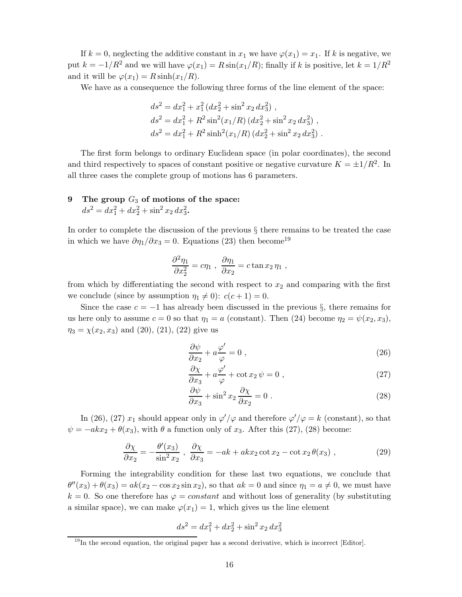If  $k = 0$ , neglecting the additive constant in  $x_1$  we have  $\varphi(x_1) = x_1$ . If k is negative, we put  $k = -1/R^2$  and we will have  $\varphi(x_1) = R \sin(x_1/R)$ ; finally if *k* is positive, let  $k = 1/R^2$ and it will be  $\varphi(x_1) = R \sinh(x_1/R)$ .

We have as a consequence the following three forms of the line element of the space:

$$
ds^{2} = dx_{1}^{2} + x_{1}^{2} (dx_{2}^{2} + \sin^{2} x_{2} dx_{3}^{2}),
$$
  
\n
$$
ds^{2} = dx_{1}^{2} + R^{2} \sin^{2} (x_{1}/R) (dx_{2}^{2} + \sin^{2} x_{2} dx_{3}^{2}),
$$
  
\n
$$
ds^{2} = dx_{1}^{2} + R^{2} \sinh^{2} (x_{1}/R) (dx_{2}^{2} + \sin^{2} x_{2} dx_{3}^{2}).
$$

The first form belongs to ordinary Euclidean space (in polar coordinates), the second and third respectively to spaces of constant positive or negative curvature  $K = \pm 1/R^2$ . In all three cases the complete group of motions has 6 parameters.

## **9 The group** *G*<sup>3</sup> **of motions of the space:**

 $ds^2 = dx_1^2 + dx_2^2 + \sin^2 x_2 dx_3^2$ .

In order to complete the discussion of the previous § there remains to be treated the case in which we have  $\partial \eta_1 / \partial x_3 = 0$ . Equations (23) then become<sup>19</sup>

$$
\frac{\partial^2 \eta_1}{\partial x_2^2} = c \eta_1 \ , \ \frac{\partial \eta_1}{\partial x_2} = c \tan x_2 \eta_1 \ ,
$$

from which by differentiating the second with respect to  $x_2$  and comparing with the first we conclude (since by assumption  $\eta_1 \neq 0$ ):  $c(c+1) = 0$ .

Since the case  $c = -1$  has already been discussed in the previous  $\S$ , there remains for us here only to assume  $c = 0$  so that  $\eta_1 = a$  (constant). Then (24) become  $\eta_2 = \psi(x_2, x_3)$ ,  $\eta_3 = \chi(x_2, x_3)$  and (20), (21), (22) give us

$$
\frac{\partial \psi}{\partial x_2} + a \frac{\varphi'}{\varphi} = 0 , \qquad (26)
$$

$$
\frac{\partial \chi}{\partial x_3} + a \frac{\varphi'}{\varphi} + \cot x_2 \,\psi = 0 \;, \tag{27}
$$

$$
\frac{\partial \psi}{\partial x_3} + \sin^2 x_2 \frac{\partial \chi}{\partial x_2} = 0.
$$
 (28)

In (26), (27)  $x_1$  should appear only in  $\varphi'/\varphi$  and therefore  $\varphi'/\varphi = k$  (constant), so that  $\psi = -akx_2 + \theta(x_3)$ , with  $\theta$  a function only of *x*<sub>3</sub>. After this (27), (28) become:

$$
\frac{\partial \chi}{\partial x_2} = -\frac{\theta'(x_3)}{\sin^2 x_2}, \quad \frac{\partial \chi}{\partial x_3} = -ak + akx_2 \cot x_2 - \cot x_2 \theta(x_3) \tag{29}
$$

Forming the integrability condition for these last two equations, we conclude that  $\theta''(x_3) + \theta(x_3) = ak(x_2 - \cos x_2 \sin x_2)$ , so that  $ak = 0$  and since  $\eta_1 = a \neq 0$ , we must have  $k = 0$ . So one therefore has  $\varphi = constant$  and without loss of generality (by substituting a similar space), we can make  $\varphi(x_1) = 1$ , which gives us the line element

$$
ds^2 = dx_1^2 + dx_2^2 + \sin^2 x_2 dx_3^2
$$

 $^{19}$ In the second equation, the original paper has a second derivative, which is incorrect [Editor].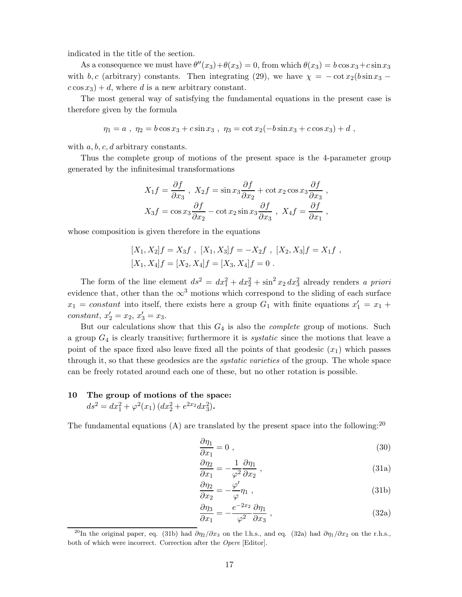indicated in the title of the section.

As a consequence we must have  $\theta''(x_3)+\theta(x_3)=0$ , from which  $\theta(x_3)=b\cos x_3+c\sin x_3$ with *b, c* (arbitrary) constants. Then integrating (29), we have  $\chi = -\cot x_2(b \sin x_3$  $c \cos x_3$  + *d*, where *d* is a new arbitrary constant.

The most general way of satisfying the fundamental equations in the present case is therefore given by the formula

$$
\eta_1 = a , \ \eta_2 = b \cos x_3 + c \sin x_3 , \ \eta_3 = \cot x_2(-b \sin x_3 + c \cos x_3) + d ,
$$

with *a, b, c, d* arbitrary constants.

Thus the complete group of motions of the present space is the 4-parameter group generated by the infinitesimal transformations

$$
X_1 f = \frac{\partial f}{\partial x_3}, \quad X_2 f = \sin x_3 \frac{\partial f}{\partial x_2} + \cot x_2 \cos x_3 \frac{\partial f}{\partial x_3},
$$

$$
X_3 f = \cos x_3 \frac{\partial f}{\partial x_2} - \cot x_2 \sin x_3 \frac{\partial f}{\partial x_3}, \quad X_4 f = \frac{\partial f}{\partial x_1},
$$

whose composition is given therefore in the equations

$$
[X_1, X_2]f = X_3f , [X_1, X_3]f = -X_2f , [X_2, X_3]f = X_1f ,
$$
  

$$
[X_1, X_4]f = [X_2, X_4]f = [X_3, X_4]f = 0 .
$$

The form of the line element  $ds^2 = dx_1^2 + dx_2^2 + \sin^2 x_2 dx_3^2$  already renders *a priori* evidence that, other than the  $\infty^3$  motions which correspond to the sliding of each surface  $x_1 = constant$  into itself, there exists here a group  $G_1$  with finite equations  $x_1' = x_1 +$ *constant*,  $x'_2 = x_2, x'_3 = x_3.$ 

But our calculations show that this *G*<sup>4</sup> is also the *complete* group of motions. Such a group *G*<sup>4</sup> is clearly transitive; furthermore it is *systatic* since the motions that leave a point of the space fixed also leave fixed all the points of that geodesic  $(x_1)$  which passes through it, so that these geodesics are the *systatic varieties* of the group. The whole space can be freely rotated around each one of these, but no other rotation is possible.

## **10 The group of motions of the space:**

$$
ds^{2} = dx_{1}^{2} + \varphi^{2}(x_{1}) \left( dx_{2}^{2} + e^{2x_{2}} dx_{3}^{2} \right).
$$

The fundamental equations (A) are translated by the present space into the following:  $^{20}$ 

$$
\frac{\partial \eta_1}{\partial x_1} = 0 \tag{30}
$$

$$
\frac{\partial \eta_2}{\partial x_1} = -\frac{1}{\varphi^2} \frac{\partial \eta_1}{\partial x_2} \,, \tag{31a}
$$

$$
\frac{\partial \eta_2}{\partial x_2} = -\frac{\varphi'}{\varphi} \eta_1 \tag{31b}
$$

$$
\frac{\partial \eta_3}{\partial x_1} = -\frac{e^{-2x_2}}{\varphi^2} \frac{\partial \eta_1}{\partial x_3} \,, \tag{32a}
$$

<sup>&</sup>lt;sup>20</sup>In the original paper, eq. (31b) had  $\partial \eta_2 / \partial x_3$  on the l.h.s., and eq. (32a) had  $\partial \eta_1 / \partial x_2$  on the r.h.s., both of which were incorrect. Correction after the Opere [Editor].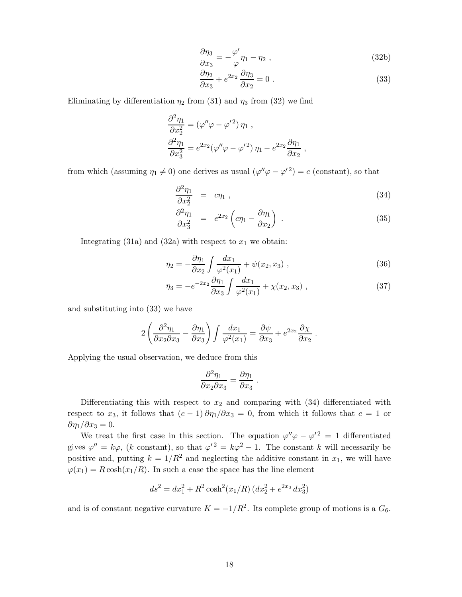$$
\frac{\partial \eta_3}{\partial x_3} = -\frac{\varphi'}{\varphi} \eta_1 - \eta_2 , \qquad (32b)
$$

$$
\frac{\partial \eta_2}{\partial x_3} + e^{2x_2} \frac{\partial \eta_3}{\partial x_2} = 0.
$$
\n(33)

Eliminating by differentiation  $\eta_2$  from (31) and  $\eta_3$  from (32) we find

$$
\frac{\partial^2 \eta_1}{\partial x_2^2} = (\varphi'' \varphi - \varphi'^2) \eta_1 ,
$$
  

$$
\frac{\partial^2 \eta_1}{\partial x_3^2} = e^{2x_2} (\varphi'' \varphi - \varphi'^2) \eta_1 - e^{2x_2} \frac{\partial \eta_1}{\partial x_2} ,
$$

from which (assuming  $\eta_1 \neq 0$ ) one derives as usual  $(\varphi''\varphi - \varphi'^2) = c$  (constant), so that

$$
\frac{\partial^2 \eta_1}{\partial x_2^2} = c \eta_1 , \qquad (34)
$$

$$
\frac{\partial^2 \eta_1}{\partial x_3^2} = e^{2x_2} \left( c \eta_1 - \frac{\partial \eta_1}{\partial x_2} \right) . \tag{35}
$$

Integrating  $(31a)$  and  $(32a)$  with respect to  $x_1$  we obtain:

$$
\eta_2 = -\frac{\partial \eta_1}{\partial x_2} \int \frac{dx_1}{\varphi^2(x_1)} + \psi(x_2, x_3) , \qquad (36)
$$

$$
\eta_3 = -e^{-2x_2} \frac{\partial \eta_1}{\partial x_3} \int \frac{dx_1}{\varphi^2(x_1)} + \chi(x_2, x_3) , \qquad (37)
$$

*.*

and substituting into (33) we have

$$
2\left(\frac{\partial^2 \eta_1}{\partial x_2 \partial x_3}-\frac{\partial \eta_1}{\partial x_3}\right)\int \frac{dx_1}{\varphi^2(x_1)}=\frac{\partial \psi}{\partial x_3}+e^{2x_2}\frac{\partial \chi}{\partial x_2}
$$

Applying the usual observation, we deduce from this

$$
\frac{\partial^2 \eta_1}{\partial x_2 \partial x_3} = \frac{\partial \eta_1}{\partial x_3}
$$

*.*

Differentiating this with respect to  $x_2$  and comparing with  $(34)$  differentiated with respect to  $x_3$ , it follows that  $(c-1)\partial\eta_1/\partial x_3 = 0$ , from which it follows that  $c = 1$  or  $\partial$ *η*<sub>1</sub>/ $\partial$ *x*<sub>3</sub> = 0.

We treat the first case in this section. The equation  $\varphi''\varphi - \varphi'^2 = 1$  differentiated gives  $\varphi'' = k\varphi$ , (*k* constant), so that  $\varphi'^2 = k\varphi^2 - 1$ . The constant *k* will necessarily be positive and, putting  $k = 1/R^2$  and neglecting the additive constant in  $x_1$ , we will have  $\varphi(x_1) = R \cosh(x_1/R)$ . In such a case the space has the line element

$$
ds^{2} = dx_{1}^{2} + R^{2} \cosh^{2}(x_{1}/R) (dx_{2}^{2} + e^{2x_{2}} dx_{3}^{2})
$$

and is of constant negative curvature  $K = -1/R^2$ . Its complete group of motions is a  $G_6$ .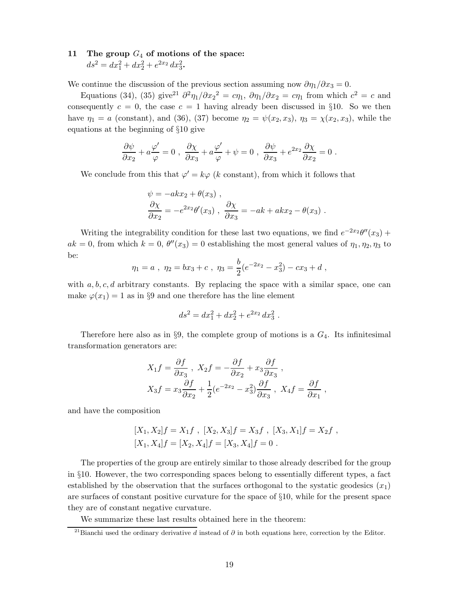## **11 The group** *G*<sup>4</sup> **of motions of the space:**  $ds^2 = dx_1^2 + dx_2^2 + e^{2x_2} dx_3^2$ .

We continue the discussion of the previous section assuming now  $\partial \eta_1 / \partial x_3 = 0$ .

Equations (34), (35) give<sup>21</sup>  $\partial^2 \eta_1 / \partial x_2^2 = c \eta_1$ ,  $\partial \eta_1 / \partial x_2 = c \eta_1$  from which  $c^2 = c$  and consequently  $c = 0$ , the case  $c = 1$  having already been discussed in §10. So we then have  $\eta_1 = a$  (constant), and (36), (37) become  $\eta_2 = \psi(x_2, x_3)$ ,  $\eta_3 = \chi(x_2, x_3)$ , while the equations at the beginning of §10 give

$$
\frac{\partial \psi}{\partial x_2} + a \frac{\varphi'}{\varphi} = 0 \ , \ \frac{\partial \chi}{\partial x_3} + a \frac{\varphi'}{\varphi} + \psi = 0 \ , \ \frac{\partial \psi}{\partial x_3} + e^{2x_2} \frac{\partial \chi}{\partial x_2} = 0 \ .
$$

We conclude from this that  $\varphi' = k\varphi$  (*k* constant), from which it follows that

$$
\psi = -akx_2 + \theta(x_3) ,
$$
  
\n
$$
\frac{\partial \chi}{\partial x_2} = -e^{2x_2} \theta'(x_3) , \frac{\partial \chi}{\partial x_3} = -ak + akx_2 - \theta(x_3) .
$$

Writing the integrability condition for these last two equations, we find  $e^{-2x_2}\theta''(x_3)$  +  $ak = 0$ , from which  $k = 0$ ,  $\theta''(x_3) = 0$  establishing the most general values of  $\eta_1, \eta_2, \eta_3$  to be:

$$
\eta_1 = a
$$
,  $\eta_2 = bx_3 + c$ ,  $\eta_3 = \frac{b}{2}(e^{-2x_2} - x_3^2) - cx_3 + d$ ,

with *a, b, c, d* arbitrary constants. By replacing the space with a similar space, one can make  $\varphi(x_1) = 1$  as in §9 and one therefore has the line element

$$
ds^2 = dx_1^2 + dx_2^2 + e^{2x_2} dx_3^2.
$$

Therefore here also as in §9, the complete group of motions is a *G*4. Its infinitesimal transformation generators are:

$$
X_1 f = \frac{\partial f}{\partial x_3}, \quad X_2 f = -\frac{\partial f}{\partial x_2} + x_3 \frac{\partial f}{\partial x_3},
$$
  

$$
X_3 f = x_3 \frac{\partial f}{\partial x_2} + \frac{1}{2} (e^{-2x_2} - x_3^2) \frac{\partial f}{\partial x_3}, \quad X_4 f = \frac{\partial f}{\partial x_1},
$$

and have the composition

$$
[X_1, X_2]f = X_1f , [X_2, X_3]f = X_3f , [X_3, X_1]f = X_2f ,
$$
  

$$
[X_1, X_4]f = [X_2, X_4]f = [X_3, X_4]f = 0 .
$$

The properties of the group are entirely similar to those already described for the group in §10. However, the two corresponding spaces belong to essentially different types, a fact established by the observation that the surfaces orthogonal to the systatic geodesics  $(x_1)$ are surfaces of constant positive curvature for the space of §10, while for the present space they are of constant negative curvature.

We summarize these last results obtained here in the theorem:

<sup>21</sup>Bianchi used the ordinary derivative *d* instead of *∂* in both equations here, correction by the Editor.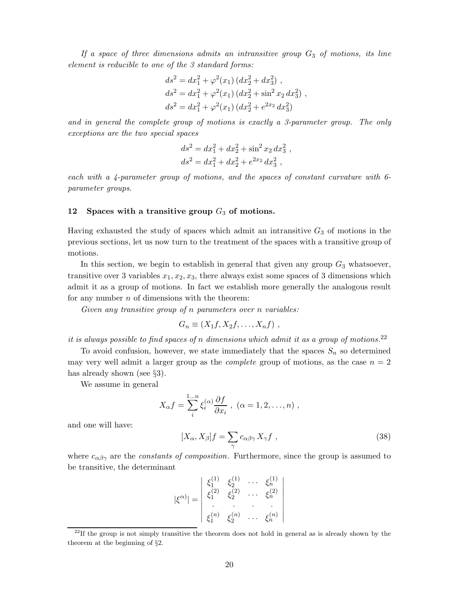*If a space of three dimensions admits an intransitive group G*<sup>3</sup> *of motions, its line element is reducible to one of the 3 standard forms:*

$$
ds^{2} = dx_{1}^{2} + \varphi^{2}(x_{1}) (dx_{2}^{2} + dx_{3}^{2}),
$$
  
\n
$$
ds^{2} = dx_{1}^{2} + \varphi^{2}(x_{1}) (dx_{2}^{2} + \sin^{2} x_{2} dx_{3}^{2}),
$$
  
\n
$$
ds^{2} = dx_{1}^{2} + \varphi^{2}(x_{1}) (dx_{2}^{2} + e^{2x_{2}} dx_{3}^{2})
$$

*and in general the complete group of motions is exactly a 3-parameter group. The only exceptions are the two special spaces*

$$
ds2 = dx12 + dx22 + sin2 x2 dx32,\nds2 = dx12 + dx22 + e2x2 dx32,
$$

*each with a 4-parameter group of motions, and the spaces of constant curvature with 6 parameter groups*.

#### **12 Spaces with a transitive group** *G*<sup>3</sup> **of motions.**

Having exhausted the study of spaces which admit an intransitive *G*<sup>3</sup> of motions in the previous sections, let us now turn to the treatment of the spaces with a transitive group of motions.

In this section, we begin to establish in general that given any group  $G_3$  whatsoever, transitive over 3 variables  $x_1, x_2, x_3$ , there always exist some spaces of 3 dimensions which admit it as a group of motions. In fact we establish more generally the analogous result for any number *n* of dimensions with the theorem:

*Given any transitive group of n parameters over n variables:*

$$
G_n \equiv (X_1f, X_2f, \ldots, X_nf) ,
$$

*it is always possible to find spaces of n dimensions which admit it as a group of motions.*<sup>22</sup>

To avoid confusion, however, we state immediately that the spaces  $S_n$  so determined may very well admit a larger group as the *complete* group of motions, as the case *n* = 2 has already shown (see §3).

We assume in general

$$
X_{\alpha}f = \sum_{i}^{1...n} \xi_i^{(\alpha)} \frac{\partial f}{\partial x_i} , \ (\alpha = 1, 2, \dots, n) ,
$$

and one will have:

$$
[X_{\alpha}, X_{\beta}]f = \sum_{\gamma} c_{\alpha\beta\gamma} X_{\gamma} f , \qquad (38)
$$

where  $c_{\alpha\beta\gamma}$  are the *constants of composition*. Furthermore, since the group is assumed to be transitive, the determinant

$$
|\xi^{\alpha\rangle}| = \begin{vmatrix} \xi_1^{(1)} & \xi_2^{(1)} & \cdots & \xi_n^{(1)} \\ \xi_1^{(2)} & \xi_2^{(2)} & \cdots & \xi_n^{(2)} \\ \vdots & \vdots & \ddots & \vdots \\ \xi_1^{(n)} & \xi_2^{(n)} & \cdots & \xi_n^{(n)} \end{vmatrix}
$$

 $^{22}$ If the group is not simply transitive the theorem does not hold in general as is already shown by the theorem at the beginning of §2.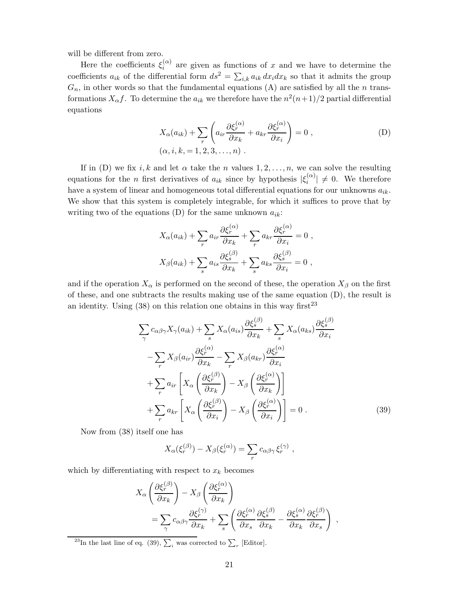will be different from zero.

Here the coefficients  $\xi_i^{(\alpha)}$  are given as functions of x and we have to determine the coefficients  $a_{ik}$  of the differential form  $ds^2 = \sum_{i,k} a_{ik} dx_i dx_k$  so that it admits the group  $G_n$ , in other words so that the fundamental equations (A) are satisfied by all the *n* transformations  $X_{\alpha}f$ . To determine the  $a_{ik}$  we therefore have the  $n^2(n+1)/2$  partial differential equations

$$
X_{\alpha}(a_{ik}) + \sum_{r} \left( a_{ir} \frac{\partial \xi_r^{(\alpha)}}{\partial x_k} + a_{kr} \frac{\partial \xi_r^{(\alpha)}}{\partial x_i} \right) = 0 ,
$$
  
( $\alpha, i, k, = 1, 2, 3, ..., n$ ). (D)

If in (D) we fix *i, k* and let  $\alpha$  take the *n* values 1, 2, ..., *n*, we can solve the resulting equations for the *n* first derivatives of  $a_{ik}$  since by hypothesis  $|\xi_i^{(\alpha)}| \neq 0$ . We therefore have a system of linear and homogeneous total differential equations for our unknowns  $a_{ik}$ . We show that this system is completely integrable, for which it suffices to prove that by writing two of the equations  $(D)$  for the same unknown  $a_{ik}$ :

$$
X_{\alpha}(a_{ik}) + \sum_{r} a_{ir} \frac{\partial \xi_r^{(\alpha)}}{\partial x_k} + \sum_{r} a_{kr} \frac{\partial \xi_r^{(\alpha)}}{\partial x_i} = 0,
$$
  

$$
X_{\beta}(a_{ik}) + \sum_{s} a_{is} \frac{\partial \xi_s^{(\beta)}}{\partial x_k} + \sum_{s} a_{ks} \frac{\partial \xi_s^{(\beta)}}{\partial x_i} = 0,
$$

and if the operation  $X_{\alpha}$  is performed on the second of these, the operation  $X_{\beta}$  on the first of these, and one subtracts the results making use of the same equation (D), the result is an identity. Using  $(38)$  on this relation one obtains in this way first<sup>23</sup>

$$
\sum_{\gamma} c_{\alpha\beta\gamma} X_{\gamma}(a_{ik}) + \sum_{s} X_{\alpha}(a_{is}) \frac{\partial \xi_{s}^{(\beta)}}{\partial x_{k}} + \sum_{s} X_{\alpha}(a_{ks}) \frac{\partial \xi_{s}^{(\beta)}}{\partial x_{i}} \n- \sum_{r} X_{\beta}(a_{ir}) \frac{\partial \xi_{r}^{(\alpha)}}{\partial x_{k}} - \sum_{r} X_{\beta}(a_{kr}) \frac{\partial \xi_{r}^{(\alpha)}}{\partial x_{i}} \n+ \sum_{r} a_{ir} \left[ X_{\alpha} \left( \frac{\partial \xi_{r}^{(\beta)}}{\partial x_{k}} \right) - X_{\beta} \left( \frac{\partial \xi_{r}^{(\alpha)}}{\partial x_{k}} \right) \right] \n+ \sum_{r} a_{kr} \left[ X_{\alpha} \left( \frac{\partial \xi_{r}^{(\beta)}}{\partial x_{i}} \right) - X_{\beta} \left( \frac{\partial \xi_{r}^{(\alpha)}}{\partial x_{i}} \right) \right] = 0.
$$
\n(39)

Now from (38) itself one has

$$
X_{\alpha}(\xi_r^{(\beta)}) - X_{\beta}(\xi_r^{(\alpha)}) = \sum_r c_{\alpha\beta\gamma} \xi_r^{(\gamma)},
$$

which by differentiating with respect to  $x_k$  becomes

$$
X_{\alpha} \left( \frac{\partial \xi_r^{(\beta)}}{\partial x_k} \right) - X_{\beta} \left( \frac{\partial \xi_r^{(\alpha)}}{\partial x_k} \right)
$$
  
=  $\sum_{\gamma} c_{\alpha \beta \gamma} \frac{\partial \xi_r^{(\gamma)}}{\partial x_k} + \sum_s \left( \frac{\partial \xi_r^{(\alpha)}}{\partial x_s} \frac{\partial \xi_s^{(\beta)}}{\partial x_k} - \frac{\partial \xi_s^{(\alpha)}}{\partial x_k} \frac{\partial \xi_r^{(\beta)}}{\partial x_s} \right)$ ,

<sup>23</sup>In the last line of eq. (39),  $\sum_i$  was corrected to  $\sum_r$  [Editor].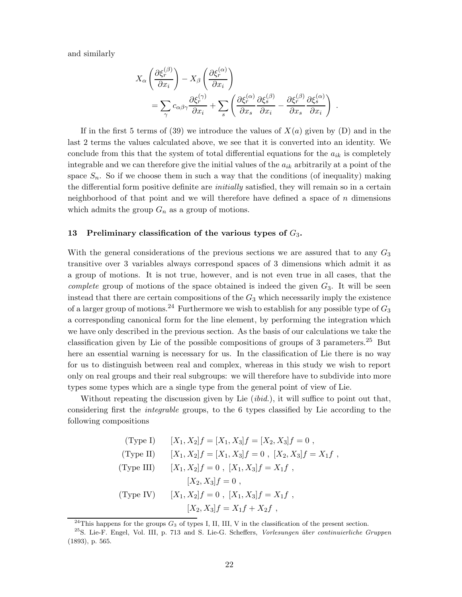and similarly

$$
X_{\alpha} \left( \frac{\partial \xi_r^{(\beta)}}{\partial x_i} \right) - X_{\beta} \left( \frac{\partial \xi_r^{(\alpha)}}{\partial x_i} \right)
$$
  
= 
$$
\sum_{\gamma} c_{\alpha\beta\gamma} \frac{\partial \xi_r^{(\gamma)}}{\partial x_i} + \sum_s \left( \frac{\partial \xi_r^{(\alpha)}}{\partial x_s} \frac{\partial \xi_s^{(\beta)}}{\partial x_i} - \frac{\partial \xi_r^{(\beta)}}{\partial x_s} \frac{\partial \xi_s^{(\alpha)}}{\partial x_i} \right) .
$$

If in the first 5 terms of (39) we introduce the values of  $X(a)$  given by (D) and in the last 2 terms the values calculated above, we see that it is converted into an identity. We conclude from this that the system of total differential equations for the  $a_{ik}$  is completely integrable and we can therefore give the initial values of the  $a_{ik}$  arbitrarily at a point of the space  $S_n$ . So if we choose them in such a way that the conditions (of inequality) making the differential form positive definite are *initially* satisfied, they will remain so in a certain neighborhood of that point and we will therefore have defined a space of *n* dimensions which admits the group  $G_n$  as a group of motions.

#### **13 Preliminary classification of the various types of** *G*3**.**

With the general considerations of the previous sections we are assured that to any *G*<sup>3</sup> transitive over 3 variables always correspond spaces of 3 dimensions which admit it as a group of motions. It is not true, however, and is not even true in all cases, that the *complete* group of motions of the space obtained is indeed the given  $G_3$ . It will be seen instead that there are certain compositions of the *G*<sup>3</sup> which necessarily imply the existence of a larger group of motions.<sup>24</sup> Furthermore we wish to establish for any possible type of *G*<sup>3</sup> a corresponding canonical form for the line element, by performing the integration which we have only described in the previous section. As the basis of our calculations we take the classification given by Lie of the possible compositions of groups of 3 parameters.<sup>25</sup> But here an essential warning is necessary for us. In the classification of Lie there is no way for us to distinguish between real and complex, whereas in this study we wish to report only on real groups and their real subgroups: we will therefore have to subdivide into more types some types which are a single type from the general point of view of Lie.

Without repeating the discussion given by Lie (*ibid.*), it will suffice to point out that, considering first the *integrable* groups, to the 6 types classified by Lie according to the following compositions

(Type I) 
$$
[X_1, X_2]f = [X_1, X_3]f = [X_2, X_3]f = 0
$$
,  
\n(Type II)  $[X_1, X_2]f = [X_1, X_3]f = 0$ ,  $[X_2, X_3]f = X_1f$ ,  
\n(Type III)  $[X_1, X_2]f = 0$ ,  $[X_1, X_3]f = X_1f$ ,  
\n $[X_2, X_3]f = 0$ ,  
\n(Type IV)  $[X_1, X_2]f = 0$ ,  $[X_1, X_3]f = X_1f$ ,  
\n $[X_2, X_3]f = X_1f + X_2f$ ,

 $^{24}$ This happens for the groups  $G_3$  of types I, II, III, V in the classification of the present section.

<sup>&</sup>lt;sup>25</sup>S. Lie-F. Engel, Vol. III, p. 713 and S. Lie-G. Scheffers, Vorlesungen über continuierliche Gruppen (1893), p. 565.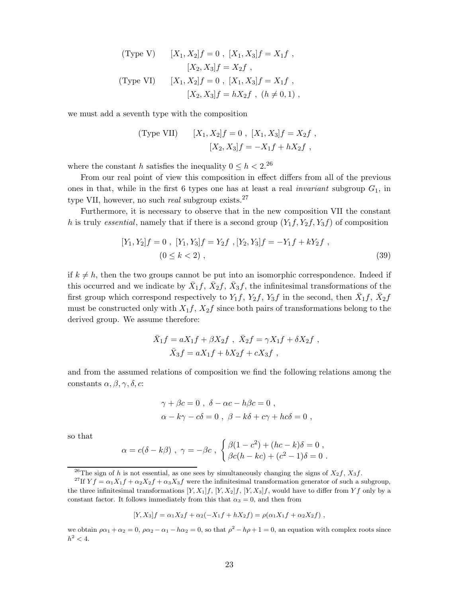(Type V) 
$$
[X_1, X_2]f = 0
$$
,  $[X_1, X_3]f = X_1f$ ,  
\n $[X_2, X_3]f = X_2f$ ,  
\n(Type VI)  $[X_1, X_2]f = 0$ ,  $[X_1, X_3]f = X_1f$ ,  
\n $[X_2, X_3]f = hX_2f$ ,  $(h \neq 0, 1)$ ,

we must add a seventh type with the composition

(Type VII) 
$$
[X_1, X_2]f = 0
$$
,  $[X_1, X_3]f = X_2f$ ,  
 $[X_2, X_3]f = -X_1f + hX_2f$ ,

where the constant *h* satisfies the inequality  $0 \le h < 2$ .<sup>26</sup>

From our real point of view this composition in effect differs from all of the previous ones in that, while in the first 6 types one has at least a real *invariant* subgroup  $G_1$ , in type VII, however, no such *real* subgroup exists.<sup>27</sup>

Furthermore, it is necessary to observe that in the new composition VII the constant *h* is truly *essential*, namely that if there is a second group  $(Y_1, Y_2, Y_3, Y_1)$  of composition

$$
[Y_1, Y_2]f = 0, [Y_1, Y_3]f = Y_2f, [Y_2, Y_3]f = -Y_1f + kY_2f,
$$
  

$$
(0 \le k < 2), \qquad (39)
$$

if  $k \neq h$ , then the two groups cannot be put into an isomorphic correspondence. Indeed if this occurred and we indicate by  $\bar{X}_1 f$ ,  $\bar{X}_2 f$ ,  $\bar{X}_3 f$ , the infinitesimal transformations of the first group which correspond respectively to  $Y_1f$ ,  $Y_2f$ ,  $Y_3f$  in the second, then  $\bar{X}_1f$ ,  $\bar{X}_2f$ must be constructed only with  $X_1 f$ ,  $X_2 f$  since both pairs of transformations belong to the derived group. We assume therefore:

$$
\bar{X}_1 f = aX_1 f + \beta X_2 f , \ \bar{X}_2 f = \gamma X_1 f + \delta X_2 f ,
$$
  

$$
\bar{X}_3 f = aX_1 f + bX_2 f + cX_3 f ,
$$

and from the assumed relations of composition we find the following relations among the constants *α, β, γ, δ, c*:

$$
\gamma + \beta c = 0 , \delta - \alpha c - h\beta c = 0 ,
$$
  

$$
\alpha - k\gamma - c\delta = 0 , \beta - k\delta + c\gamma + hc\delta = 0 ,
$$

so that

$$
\alpha = c(\delta - k\beta) , \ \gamma = -\beta c \ , \ \begin{cases} \beta(1-c^2) + (hc-k)\delta = 0 \ , \\ \beta c(h - kc) + (c^2 - 1)\delta = 0 \ . \end{cases}
$$

$$
[Y, X_3]f = \alpha_1 X_2 f + \alpha_2 (-X_1 f + hX_2 f) = \rho(\alpha_1 X_1 f + \alpha_2 X_2 f) ,
$$

we obtain  $\rho \alpha_1 + \alpha_2 = 0$ ,  $\rho \alpha_2 - \alpha_1 - h \alpha_2 = 0$ , so that  $\rho^2 - h \rho + 1 = 0$ , an equation with complex roots since  $h^2 < 4$ .

<sup>&</sup>lt;sup>26</sup>The sign of *h* is not essential, as one sees by simultaneously changing the signs of  $X_2 f$ ,  $X_3 f$ .

<sup>&</sup>lt;sup>27</sup>If  $Yf = \alpha_1 X_1 f + \alpha_2 X_2 f + \alpha_3 X_3 f$  were the infinitesimal transformation generator of such a subgroup, the three infinitesimal transformations  $[Y, X_1]f$ ,  $[Y, X_2]f$ ,  $[Y, X_3]f$ , would have to differ from  $Yf$  only by a constant factor. It follows immediately from this that  $\alpha_3 = 0$ , and then from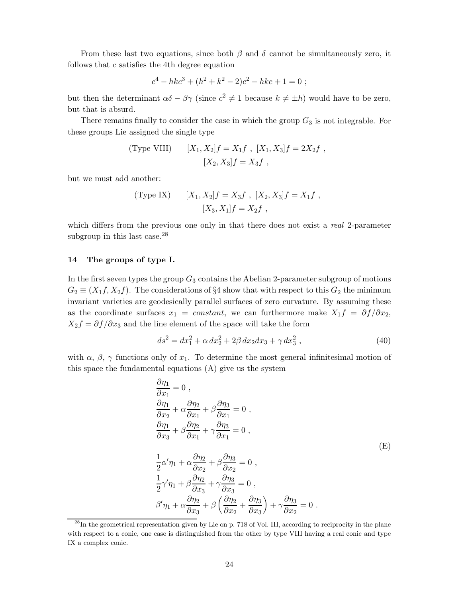From these last two equations, since both  $\beta$  and  $\delta$  cannot be simultaneously zero, it follows that *c* satisfies the 4th degree equation

$$
c4 - hkc3 + (h2 + k2 - 2)c2 - hkc + 1 = 0 ;
$$

but then the determinant  $\alpha\delta - \beta\gamma$  (since  $c^2 \neq 1$  because  $k \neq \pm h$ ) would have to be zero, but that is absurd.

There remains finally to consider the case in which the group  $G_3$  is not integrable. For these groups Lie assigned the single type

(Type VIII) 
$$
[X_1, X_2]f = X_1f, [X_1, X_3]f = 2X_2f,
$$
  
 $[X_2, X_3]f = X_3f,$ 

but we must add another:

(Type IX) 
$$
[X_1, X_2]f = X_3f , [X_2, X_3]f = X_1f ,
$$

$$
[X_3, X_1]f = X_2f ,
$$

which differs from the previous one only in that there does not exist a *real* 2-parameter subgroup in this last case. $^{28}$ 

#### **14 The groups of type I.**

In the first seven types the group  $G_3$  contains the Abelian 2-parameter subgroup of motions  $G_2 \equiv (X_1 f, X_2 f)$ . The considerations of §4 show that with respect to this  $G_2$  the minimum invariant varieties are geodesically parallel surfaces of zero curvature. By assuming these as the coordinate surfaces  $x_1 = constant$ , we can furthermore make  $X_1 f = \partial f / \partial x_2$ ,  $X_2 f = \partial f / \partial x_3$  and the line element of the space will take the form

$$
ds^{2} = dx_{1}^{2} + \alpha dx_{2}^{2} + 2\beta dx_{2} dx_{3} + \gamma dx_{3}^{2} , \qquad (40)
$$

with  $\alpha$ ,  $\beta$ ,  $\gamma$  functions only of  $x_1$ . To determine the most general infinitesimal motion of this space the fundamental equations (A) give us the system

$$
\frac{\partial \eta_1}{\partial x_1} = 0 ,\n\frac{\partial \eta_1}{\partial x_2} + \alpha \frac{\partial \eta_2}{\partial x_1} + \beta \frac{\partial \eta_3}{\partial x_1} = 0 ,\n\frac{\partial \eta_1}{\partial x_3} + \beta \frac{\partial \eta_2}{\partial x_1} + \gamma \frac{\partial \eta_3}{\partial x_1} = 0 ,\n\frac{1}{2} \alpha' \eta_1 + \alpha \frac{\partial \eta_2}{\partial x_2} + \beta \frac{\partial \eta_3}{\partial x_2} = 0 ,\n\frac{1}{2} \gamma' \eta_1 + \beta \frac{\partial \eta_2}{\partial x_3} + \gamma \frac{\partial \eta_3}{\partial x_3} = 0 ,\n\beta' \eta_1 + \alpha \frac{\partial \eta_2}{\partial x_3} + \beta \left( \frac{\partial \eta_2}{\partial x_2} + \frac{\partial \eta_3}{\partial x_3} \right) + \gamma \frac{\partial \eta_3}{\partial x_2} = 0 .
$$
\n(E)

<sup>&</sup>lt;sup>28</sup>In the geometrical representation given by Lie on p. 718 of Vol. III, according to reciprocity in the plane with respect to a conic, one case is distinguished from the other by type VIII having a real conic and type IX a complex conic.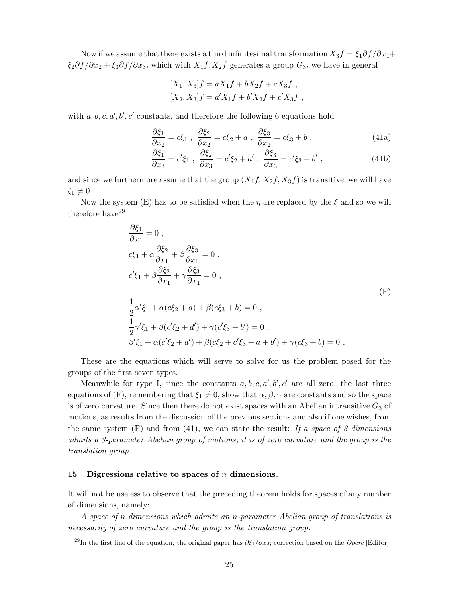Now if we assume that there exists a third infinitesimal transformation  $X_3 f = \xi_1 \partial f / \partial x_1 +$  $\xi_2 \partial f / \partial x_2 + \xi_3 \partial f / \partial x_3$ , which with  $X_1 f, X_2 f$  generates a group  $G_3$ , we have in general

$$
[X_1, X_3]f = aX_1f + bX_2f + cX_3f,
$$
  

$$
[X_2, X_3]f = a'X_1f + b'X_2f + c'X_3f,
$$

with  $a, b, c, a', b', c'$  constants, and therefore the following 6 equations hold

$$
\frac{\partial \xi_1}{\partial x_2} = c\xi_1 \ , \ \frac{\partial \xi_2}{\partial x_2} = c\xi_2 + a \ , \ \frac{\partial \xi_3}{\partial x_2} = c\xi_3 + b \ , \tag{41a}
$$

$$
\frac{\partial \xi_1}{\partial x_3} = c'\xi_1 \ , \ \frac{\partial \xi_2}{\partial x_3} = c'\xi_2 + a' \ , \ \frac{\partial \xi_3}{\partial x_3} = c'\xi_3 + b' \ , \tag{41b}
$$

and since we furthermore assume that the group  $(X_1, X_2, X_3, f)$  is transitive, we will have  $\xi_1 \neq 0.$ 

Now the system (E) has to be satisfied when the *η* are replaced by the *ξ* and so we will therefore have  $29$ 

$$
\frac{\partial \xi_1}{\partial x_1} = 0 ,
$$
  
\n
$$
c\xi_1 + \alpha \frac{\partial \xi_2}{\partial x_1} + \beta \frac{\partial \xi_3}{\partial x_1} = 0 ,
$$
  
\n
$$
c'\xi_1 + \beta \frac{\partial \xi_2}{\partial x_1} + \gamma \frac{\partial \xi_3}{\partial x_1} = 0 ,
$$
  
\n
$$
\frac{1}{2} \alpha' \xi_1 + \alpha (c\xi_2 + a) + \beta (c\xi_3 + b) = 0 ,
$$
  
\n
$$
\frac{1}{2} \gamma' \xi_1 + \beta (c' \xi_2 + d') + \gamma (c' \xi_3 + b') = 0 ,
$$
  
\n
$$
\beta' \xi_1 + \alpha (c' \xi_2 + a') + \beta (c\xi_2 + c' \xi_3 + a + b') + \gamma (c\xi_3 + b) = 0 ,
$$

These are the equations which will serve to solve for us the problem posed for the groups of the first seven types.

Meanwhile for type I, since the constants  $a, b, c, a', b', c'$  are all zero, the last three equations of (F), remembering that  $\xi_1 \neq 0$ , show that  $\alpha, \beta, \gamma$  are constants and so the space is of zero curvature. Since then there do not exist spaces with an Abelian intransitive  $G_3$  of motions, as results from the discussion of the previous sections and also if one wishes, from the same system (F) and from (41), we can state the result: *If a space of 3 dimensions admits a 3-parameter Abelian group of motions, it is of zero curvature and the group is the translation group*.

#### **15 Digressions relative to spaces of** *n* **dimensions.**

It will not be useless to observe that the preceding theorem holds for spaces of any number of dimensions, namely:

*A space of n dimensions which admits an n-parameter Abelian group of translations is necessarily of zero curvature and the group is the translation group.*

<sup>&</sup>lt;sup>29</sup>In the first line of the equation, the original paper has  $\partial \xi_1/\partial x_2$ ; correction based on the *Opere* [Editor].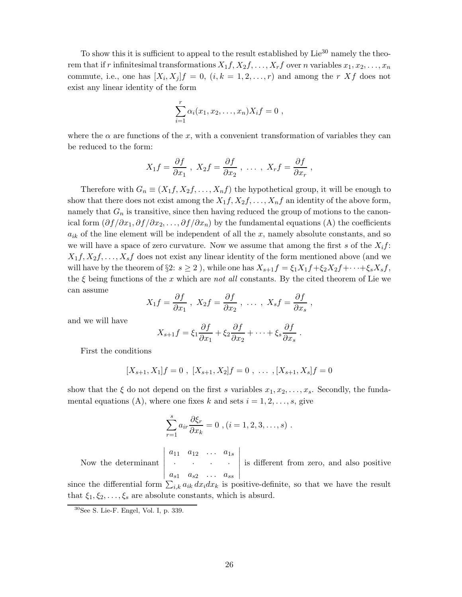To show this it is sufficient to appeal to the result established by  $Lie^{30}$  namely the theorem that if *r* infinitesimal transformations  $X_1 f, X_2 f, \ldots, X_r f$  over *n* variables  $x_1, x_2, \ldots, x_n$ commute, i.e., one has  $[X_i, X_j]f = 0$ ,  $(i, k = 1, 2, ..., r)$  and among the *r* Xf does not exist any linear identity of the form

$$
\sum_{i=1}^r \alpha_i(x_1, x_2, \dots, x_n) X_i f = 0 ,
$$

where the  $\alpha$  are functions of the x, with a convenient transformation of variables they can be reduced to the form:

$$
X_1 f = \frac{\partial f}{\partial x_1}
$$
,  $X_2 f = \frac{\partial f}{\partial x_2}$ , ...,  $X_r f = \frac{\partial f}{\partial x_r}$ ,

Therefore with  $G_n \equiv (X_1 f, X_2 f, \ldots, X_n f)$  the hypothetical group, it will be enough to show that there does not exist among the  $X_1 f, X_2 f, \ldots, X_n f$  an identity of the above form, namely that  $G_n$  is transitive, since then having reduced the group of motions to the canonical form  $(\partial f/\partial x_1, \partial f/\partial x_2, \ldots, \partial f/\partial x_n)$  by the fundamental equations (A) the coefficients  $a_{ik}$  of the line element will be independent of all the  $x$ , namely absolute constants, and so we will have a space of zero curvature. Now we assume that among the first *s* of the *X*i*f*:  $X_1 f, X_2 f, \ldots, X_s f$  does not exist any linear identity of the form mentioned above (and we will have by the theorem of §2:  $s \geq 2$ ), while one has  $X_{s+1}f = \xi_1 X_1 f + \xi_2 X_2 f + \cdots + \xi_s X_s f$ , the *ξ* being functions of the *x* which are *not all* constants. By the cited theorem of Lie we can assume

$$
X_1f = \frac{\partial f}{\partial x_1} , \ X_2f = \frac{\partial f}{\partial x_2} , \ \ldots \ , \ X_sf = \frac{\partial f}{\partial x_s} ,
$$

and we will have

$$
X_{s+1}f = \xi_1 \frac{\partial f}{\partial x_1} + \xi_2 \frac{\partial f}{\partial x_2} + \dots + \xi_s \frac{\partial f}{\partial x_s}.
$$

First the conditions

$$
[X_{s+1}, X_1]f = 0, [X_{s+1}, X_2]f = 0, \ldots, [X_{s+1}, X_s]f = 0
$$

show that the  $\xi$  do not depend on the first *s* variables  $x_1, x_2, \ldots, x_s$ . Secondly, the fundamental equations (A), where one fixes  $k$  and sets  $i = 1, 2, \ldots, s$ , give

$$
\sum_{r=1}^{s} a_{ir} \frac{\partial \xi_r}{\partial x_k} = 0 \text{ , } (i = 1, 2, 3, \dots, s) .
$$

Now the determinant  $\overline{1}$  $\overline{\phantom{a}}$  $\overline{\phantom{a}}$  $\begin{vmatrix} a_{s1} & a_{s2} & \dots & a_{ss} \end{vmatrix}$ *a*<sup>11</sup> *a*<sup>12</sup> *... a*1<sup>s</sup> ····  $\overline{1}$  $\overline{\phantom{a}}$  $\overline{\phantom{a}}$  $\overline{\phantom{a}}$  $\overline{\phantom{a}}$ is different from zero, and also positive

since the differential form  $\sum_{i,k} a_{ik} dx_i dx_k$  is positive-definite, so that we have the result that  $\xi_1, \xi_2, \ldots, \xi_s$  are absolute constants, which is absurd.

 $30$ See S. Lie-F. Engel, Vol. I, p.  $339$ .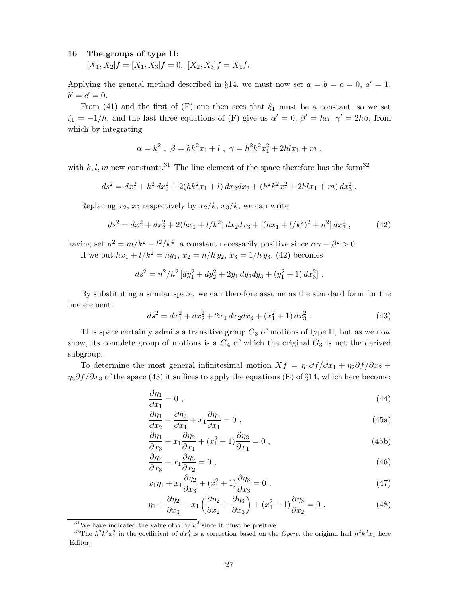#### **16 The groups of type II:**

 $[X_1, X_2]f = [X_1, X_3]f = 0, [X_2, X_3]f = X_1f$ .

Applying the general method described in §14, we must now set  $a = b = c = 0$ ,  $a' = 1$ ,  $b' = c' = 0.$ 

From (41) and the first of  $(F)$  one then sees that  $\xi_1$  must be a constant, so we set  $\xi_1 = -1/h$ , and the last three equations of (F) give us  $\alpha' = 0$ ,  $\beta' = h\alpha$ ,  $\gamma' = 2h\beta$ , from which by integrating

$$
\alpha = k^2 \; , \; \beta = hk^2x_1 + l \; , \; \gamma = h^2k^2x_1^2 + 2hlx_1 + m \; ,
$$

with  $k, l, m$  new constants.<sup>31</sup> The line element of the space therefore has the form<sup>32</sup>

$$
ds^{2} = dx_{1}^{2} + k^{2} dx_{2}^{2} + 2(hk^{2}x_{1} + l) dx_{2} dx_{3} + (h^{2}k^{2}x_{1}^{2} + 2hlx_{1} + m) dx_{3}^{2}.
$$

Replacing  $x_2$ ,  $x_3$  respectively by  $x_2/k$ ,  $x_3/k$ , we can write

$$
ds^{2} = dx_{1}^{2} + dx_{2}^{2} + 2(hx_{1} + l/k^{2}) dx_{2} dx_{3} + [(hx_{1} + l/k^{2})^{2} + n^{2}] dx_{3}^{2}, \qquad (42)
$$

having set  $n^2 = m/k^2 - l^2/k^4$ , a constant necessarily positive since  $\alpha \gamma - \beta^2 > 0$ . If we put  $hx_1 + l/k^2 = ny_1$ ,  $x_2 = n/h y_2$ ,  $x_3 = 1/h y_3$ , (42) becomes

$$
ds^{2} = n^{2}/h^{2} \left[ dy_{1}^{2} + dy_{2}^{2} + 2y_{1} dy_{2} dy_{3} + (y_{1}^{2} + 1) dx_{3}^{2} \right].
$$

By substituting a similar space, we can therefore assume as the standard form for the line element:

$$
ds^{2} = dx_{1}^{2} + dx_{2}^{2} + 2x_{1} dx_{2} dx_{3} + (x_{1}^{2} + 1) dx_{3}^{2}. \qquad (43)
$$

This space certainly admits a transitive group *G*<sup>3</sup> of motions of type II, but as we now show, its complete group of motions is a  $G_4$  of which the original  $G_3$  is not the derived subgroup.

To determine the most general infinitesimal motion  $Xf = \eta_1 \partial f / \partial x_1 + \eta_2 \partial f / \partial x_2 +$  $\eta_3 \partial f / \partial x_3$  of the space (43) it suffices to apply the equations (E) of §14, which here become:

$$
\frac{\partial \eta_1}{\partial x_1} = 0 \tag{44}
$$

$$
\frac{\partial \eta_1}{\partial x_2} + \frac{\partial \eta_2}{\partial x_1} + x_1 \frac{\partial \eta_3}{\partial x_1} = 0 \tag{45a}
$$

$$
\frac{\partial \eta_1}{\partial x_3} + x_1 \frac{\partial \eta_2}{\partial x_1} + (x_1^2 + 1) \frac{\partial \eta_3}{\partial x_1} = 0 ,
$$
\n(45b)

$$
\frac{\partial \eta_2}{\partial x_3} + x_1 \frac{\partial \eta_3}{\partial x_2} = 0 \tag{46}
$$

$$
x_1\eta_1 + x_1\frac{\partial \eta_2}{\partial x_3} + (x_1^2 + 1)\frac{\partial \eta_3}{\partial x_3} = 0 , \qquad (47)
$$

$$
\eta_1 + \frac{\partial \eta_2}{\partial x_3} + x_1 \left( \frac{\partial \eta_2}{\partial x_2} + \frac{\partial \eta_3}{\partial x_3} \right) + (x_1^2 + 1) \frac{\partial \eta_3}{\partial x_2} = 0 \tag{48}
$$

<sup>&</sup>lt;sup>31</sup>We have indicated the value of  $\alpha$  by  $k^2$  since it must be positive.

<sup>&</sup>lt;sup>32</sup>The  $h^2k^2x_1^2$  in the coefficient of  $dx_3^2$  is a correction based on the *Opere*, the original had  $h^2k^2x_1$  here [Editor].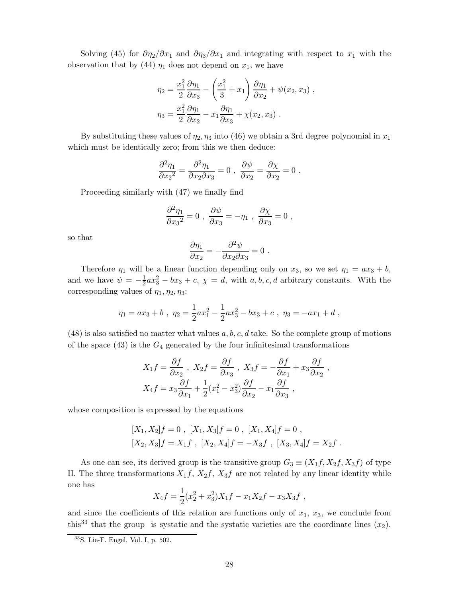Solving (45) for  $\partial \eta_2 / \partial x_1$  and  $\partial \eta_3 / \partial x_1$  and integrating with respect to  $x_1$  with the observation that by (44)  $\eta_1$  does not depend on  $x_1$ , we have

$$
\eta_2 = \frac{x_1^2}{2} \frac{\partial \eta_1}{\partial x_3} - \left(\frac{x_1^2}{3} + x_1\right) \frac{\partial \eta_1}{\partial x_2} + \psi(x_2, x_3) ,
$$

$$
\eta_3 = \frac{x_1^2}{2} \frac{\partial \eta_1}{\partial x_2} - x_1 \frac{\partial \eta_1}{\partial x_3} + \chi(x_2, x_3) .
$$

By substituting these values of  $\eta_2$ ,  $\eta_3$  into (46) we obtain a 3rd degree polynomial in  $x_1$ which must be identically zero; from this we then deduce:

$$
\frac{\partial^2 \eta_1}{\partial x_2^2} = \frac{\partial^2 \eta_1}{\partial x_2 \partial x_3} = 0 \ , \ \frac{\partial \psi}{\partial x_2} = \frac{\partial \chi}{\partial x_2} = 0 \ .
$$

Proceeding similarly with (47) we finally find

$$
\frac{\partial^2 \eta_1}{\partial x_3^2} = 0 \; , \; \frac{\partial \psi}{\partial x_3} = -\eta_1 \; , \; \frac{\partial \chi}{\partial x_3} = 0 \; ,
$$

so that

$$
\frac{\partial \eta_1}{\partial x_2} = -\frac{\partial^2 \psi}{\partial x_2 \partial x_3} = 0.
$$

Therefore  $\eta_1$  will be a linear function depending only on  $x_3$ , so we set  $\eta_1 = ax_3 + b$ , and we have  $\psi = -\frac{1}{2}ax_3^2 - bx_3 + c$ ,  $\chi = d$ , with *a*, *b*, *c*, *d* arbitrary constants. With the corresponding values of  $\eta_1, \eta_2, \eta_3$ :

$$
\eta_1 = ax_3 + b , \ \eta_2 = \frac{1}{2}ax_1^2 - \frac{1}{2}ax_3^2 - bx_3 + c , \ \eta_3 = -ax_1 + d ,
$$

(48) is also satisfied no matter what values *a, b, c, d* take. So the complete group of motions of the space (43) is the *G*<sup>4</sup> generated by the four infinitesimal transformations

$$
X_1 f = \frac{\partial f}{\partial x_2}, \quad X_2 f = \frac{\partial f}{\partial x_3}, \quad X_3 f = -\frac{\partial f}{\partial x_1} + x_3 \frac{\partial f}{\partial x_2},
$$

$$
X_4 f = x_3 \frac{\partial f}{\partial x_1} + \frac{1}{2} (x_1^2 - x_3^2) \frac{\partial f}{\partial x_2} - x_1 \frac{\partial f}{\partial x_3},
$$

whose composition is expressed by the equations

$$
[X_1, X_2]f = 0, [X_1, X_3]f = 0, [X_1, X_4]f = 0,
$$
  

$$
[X_2, X_3]f = X_1f, [X_2, X_4]f = -X_3f, [X_3, X_4]f = X_2f.
$$

As one can see, its derived group is the transitive group  $G_3 \equiv (X_1 f, X_2 f, X_3 f)$  of type II. The three transformations  $X_1 f$ ,  $X_2 f$ ,  $X_3 f$  are not related by any linear identity while one has

$$
X_4 f = \frac{1}{2} (x_2^2 + x_3^2) X_1 f - x_1 X_2 f - x_3 X_3 f,
$$

and since the coefficients of this relation are functions only of  $x_1, x_3$ , we conclude from this<sup>33</sup> that the group is systatic and the systatic varieties are the coordinate lines  $(x_2)$ .

 $33$ S. Lie-F. Engel, Vol. I, p. 502.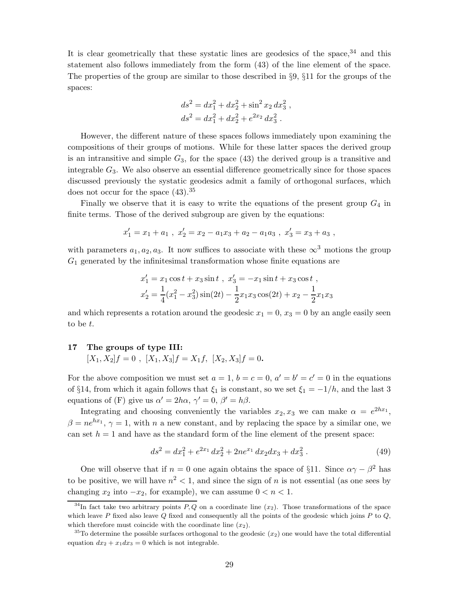It is clear geometrically that these systatic lines are geodesics of the space,  $34$  and this statement also follows immediately from the form (43) of the line element of the space. The properties of the group are similar to those described in §9, §11 for the groups of the spaces:

$$
ds2 = dx12 + dx22 + sin2 x2 dx32,\nds2 = dx12 + dx22 + e2x2 dx32.
$$

However, the different nature of these spaces follows immediately upon examining the compositions of their groups of motions. While for these latter spaces the derived group is an intransitive and simple *G*3, for the space (43) the derived group is a transitive and integrable *G*3. We also observe an essential difference geometrically since for those spaces discussed previously the systatic geodesics admit a family of orthogonal surfaces, which does not occur for the space  $(43).^{35}$ 

Finally we observe that it is easy to write the equations of the present group *G*<sup>4</sup> in finite terms. Those of the derived subgroup are given by the equations:

$$
x'_1 = x_1 + a_1 \ , \ x'_2 = x_2 - a_1 x_3 + a_2 - a_1 a_3 \ , \ x'_3 = x_3 + a_3 \ ,
$$

with parameters  $a_1, a_2, a_3$ . It now suffices to associate with these  $\infty^3$  motions the group  $G_1$  generated by the infinitesimal transformation whose finite equations are

$$
x'_1 = x_1 \cos t + x_3 \sin t , \ x'_3 = -x_1 \sin t + x_3 \cos t ,
$$
  

$$
x'_2 = \frac{1}{4} (x_1^2 - x_3^2) \sin(2t) - \frac{1}{2} x_1 x_3 \cos(2t) + x_2 - \frac{1}{2} x_1 x_3
$$

and which represents a rotation around the geodesic  $x_1 = 0$ ,  $x_3 = 0$  by an angle easily seen to be *t*.

#### **17 The groups of type III:**

$$
[X_1, X_2]f = 0, [X_1, X_3]f = X_1f, [X_2, X_3]f = 0.
$$

For the above composition we must set  $a = 1$ ,  $b = c = 0$ ,  $a' = b' = c' = 0$  in the equations of §14, from which it again follows that  $\xi_1$  is constant, so we set  $\xi_1 = -1/h$ , and the last 3 equations of (F) give us  $\alpha' = 2h\alpha$ ,  $\gamma' = 0$ ,  $\beta' = h\beta$ .

Integrating and choosing conveniently the variables  $x_2, x_3$  we can make  $\alpha = e^{2hx_1}$ ,  $\beta = ne^{hx_1}$ ,  $\gamma = 1$ , with *n* a new constant, and by replacing the space by a similar one, we can set  $h = 1$  and have as the standard form of the line element of the present space:

$$
ds^{2} = dx_{1}^{2} + e^{2x_{1}} dx_{2}^{2} + 2ne^{x_{1}} dx_{2} dx_{3} + dx_{3}^{2}. \qquad (49)
$$

One will observe that if  $n = 0$  one again obtains the space of §11. Since  $\alpha \gamma - \beta^2$  has to be positive, we will have  $n^2 < 1$ , and since the sign of *n* is not essential (as one sees by changing  $x_2$  into  $-x_2$ , for example), we can assume  $0 < n < 1$ .

<sup>&</sup>lt;sup>34</sup>In fact take two arbitrary points  $P, Q$  on a coordinate line  $(x_2)$ . Those transformations of the space which leave *P* fixed also leave *Q* fixed and consequently all the points of the geodesic which joins *P* to *Q*, which therefore must coincide with the coordinate line  $(x_2)$ .

<sup>35</sup>To determine the possible surfaces orthogonal to the geodesic (*x*2) one would have the total differential equation  $dx_2 + x_1 dx_3 = 0$  which is not integrable.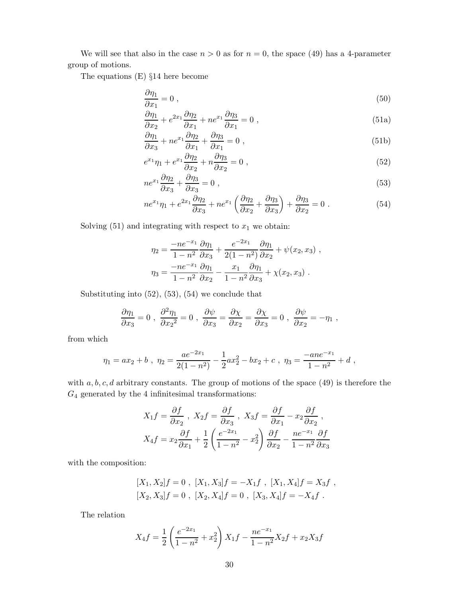We will see that also in the case  $n > 0$  as for  $n = 0$ , the space (49) has a 4-parameter group of motions.

The equations (E) §14 here become

$$
\frac{\partial \eta_1}{\partial x_1} = 0 \tag{50}
$$

$$
\frac{\partial \eta_1}{\partial x_2} + e^{2x_1} \frac{\partial \eta_2}{\partial x_1} + n e^{x_1} \frac{\partial \eta_3}{\partial x_1} = 0 , \qquad (51a)
$$

$$
\frac{\partial \eta_1}{\partial x_3} + n e^{x_1} \frac{\partial \eta_2}{\partial x_1} + \frac{\partial \eta_3}{\partial x_1} = 0 , \qquad (51b)
$$

$$
e^{x_1}\eta_1 + e^{x_1}\frac{\partial \eta_2}{\partial x_2} + n\frac{\partial \eta_3}{\partial x_2} = 0 , \qquad (52)
$$

$$
ne^{x_1}\frac{\partial \eta_2}{\partial x_3} + \frac{\partial \eta_3}{\partial x_3} = 0 ,\qquad (53)
$$

$$
ne^{x_1}\eta_1 + e^{2x_1}\frac{\partial\eta_2}{\partial x_3} + ne^{x_1}\left(\frac{\partial\eta_2}{\partial x_2} + \frac{\partial\eta_3}{\partial x_3}\right) + \frac{\partial\eta_3}{\partial x_2} = 0.
$$
 (54)

Solving  $(51)$  and integrating with respect to  $x_1$  we obtain:

$$
\eta_2 = \frac{-ne^{-x_1}}{1 - n^2} \frac{\partial \eta_1}{\partial x_3} + \frac{e^{-2x_1}}{2(1 - n^2)} \frac{\partial \eta_1}{\partial x_2} + \psi(x_2, x_3) ,
$$

$$
\eta_3 = \frac{-ne^{-x_1}}{1 - n^2} \frac{\partial \eta_1}{\partial x_2} - \frac{x_1}{1 - n^2} \frac{\partial \eta_1}{\partial x_3} + \chi(x_2, x_3) .
$$

Substituting into (52), (53), (54) we conclude that

$$
\frac{\partial \eta_1}{\partial x_3} = 0 \; , \; \frac{\partial^2 \eta_1}{\partial x_2^2} = 0 \; , \; \frac{\partial \psi}{\partial x_3} = \frac{\partial \chi}{\partial x_2} = \frac{\partial \chi}{\partial x_3} = 0 \; , \; \frac{\partial \psi}{\partial x_2} = - \eta_1 \; ,
$$

from which

$$
\eta_1 = ax_2 + b , \ \eta_2 = \frac{ae^{-2x_1}}{2(1 - n^2)} - \frac{1}{2}ax_2^2 - bx_2 + c , \ \eta_3 = \frac{-ane^{-x_1}}{1 - n^2} + d ,
$$

with  $a, b, c, d$  arbitrary constants. The group of motions of the space (49) is therefore the *G*<sup>4</sup> generated by the 4 infinitesimal transformations:

$$
X_1 f = \frac{\partial f}{\partial x_2}, \quad X_2 f = \frac{\partial f}{\partial x_3}, \quad X_3 f = \frac{\partial f}{\partial x_1} - x_2 \frac{\partial f}{\partial x_2},
$$

$$
X_4 f = x_2 \frac{\partial f}{\partial x_1} + \frac{1}{2} \left( \frac{e^{-2x_1}}{1 - n^2} - x_2^2 \right) \frac{\partial f}{\partial x_2} - \frac{ne^{-x_1}}{1 - n^2} \frac{\partial f}{\partial x_3}
$$

with the composition:

$$
[X_1, X_2]f = 0, [X_1, X_3]f = -X_1f, [X_1, X_4]f = X_3f,
$$
  

$$
[X_2, X_3]f = 0, [X_2, X_4]f = 0, [X_3, X_4]f = -X_4f.
$$

The relation

$$
X_4 f = \frac{1}{2} \left( \frac{e^{-2x_1}}{1 - n^2} + x_2^2 \right) X_1 f - \frac{ne^{-x_1}}{1 - n^2} X_2 f + x_2 X_3 f
$$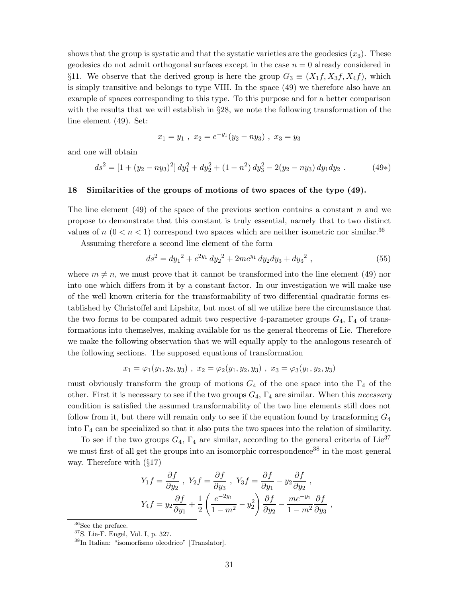shows that the group is systatic and that the systatic varieties are the geodesics  $(x_3)$ . These geodesics do not admit orthogonal surfaces except in the case *n* = 0 already considered in §11. We observe that the derived group is here the group  $G_3 \equiv (X_1 f, X_3 f, X_4 f)$ , which is simply transitive and belongs to type VIII. In the space (49) we therefore also have an example of spaces corresponding to this type. To this purpose and for a better comparison with the results that we will establish in §28, we note the following transformation of the line element (49). Set:

$$
x_1 = y_1 , x_2 = e^{-y_1}(y_2 - n y_3) , x_3 = y_3
$$

and one will obtain

$$
ds^{2} = [1 + (y_{2} - n y_{3})^{2}] dy_{1}^{2} + dy_{2}^{2} + (1 - n^{2}) dy_{3}^{2} - 2(y_{2} - n y_{3}) dy_{1} dy_{2}.
$$
 (49\*)

#### **18 Similarities of the groups of motions of two spaces of the type (49).**

The line element (49) of the space of the previous section contains a constant *n* and we propose to demonstrate that this constant is truly essential, namely that to two distinct values of  $n (0 < n < 1)$  correspond two spaces which are neither isometric nor similar.<sup>36</sup>

Assuming therefore a second line element of the form

$$
ds^{2} = dy_{1}^{2} + e^{2y_{1}} dy_{2}^{2} + 2me^{y_{1}} dy_{2} dy_{3} + dy_{3}^{2} , \qquad (55)
$$

where  $m \neq n$ , we must prove that it cannot be transformed into the line element (49) nor into one which differs from it by a constant factor. In our investigation we will make use of the well known criteria for the transformability of two differential quadratic forms established by Christoffel and Lipshitz, but most of all we utilize here the circumstance that the two forms to be compared admit two respective 4-parameter groups  $G_4$ ,  $\Gamma_4$  of transformations into themselves, making available for us the general theorems of Lie. Therefore we make the following observation that we will equally apply to the analogous research of the following sections. The supposed equations of transformation

$$
x_1 = \varphi_1(y_1, y_2, y_3) , x_2 = \varphi_2(y_1, y_2, y_3) , x_3 = \varphi_3(y_1, y_2, y_3)
$$

must obviously transform the group of motions  $G_4$  of the one space into the  $\Gamma_4$  of the other. First it is necessary to see if the two groups *G*4, Γ<sup>4</sup> are similar. When this *necessary* condition is satisfied the assumed transformability of the two line elements still does not follow from it, but there will remain only to see if the equation found by transforming *G*<sup>4</sup> into  $\Gamma_4$  can be specialized so that it also puts the two spaces into the relation of similarity.

To see if the two groups  $G_4$ ,  $\Gamma_4$  are similar, according to the general criteria of Lie<sup>37</sup> we must first of all get the groups into an isomorphic correspondence<sup>38</sup> in the most general way. Therefore with (§17)

$$
Y_1 f = \frac{\partial f}{\partial y_2}, \quad Y_2 f = \frac{\partial f}{\partial y_3}, \quad Y_3 f = \frac{\partial f}{\partial y_1} - y_2 \frac{\partial f}{\partial y_2},
$$

$$
Y_4 f = y_2 \frac{\partial f}{\partial y_1} + \frac{1}{2} \left( \frac{e^{-2y_1}}{1 - m^2} - y_2^2 \right) \frac{\partial f}{\partial y_2} - \frac{me^{-y_1}}{1 - m^2} \frac{\partial f}{\partial y_3},
$$

 $36$ See the preface.

<sup>37</sup>S. Lie-F. Engel, Vol. I, p. 327.

<sup>38</sup>In Italian: "isomorfismo oleodrico" [Translator].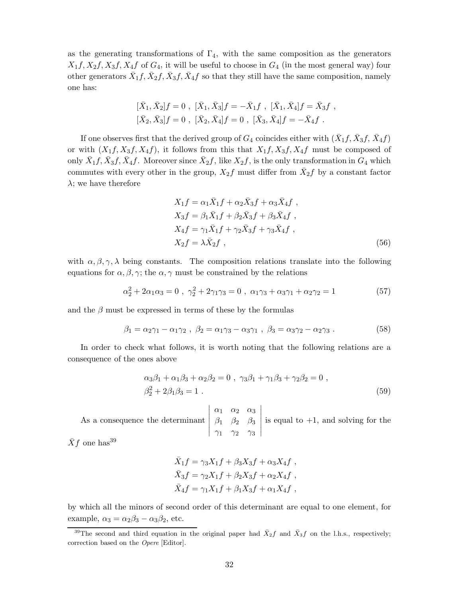as the generating transformations of  $\Gamma_4$ , with the same composition as the generators  $X_1 f, X_2 f, X_3 f, X_4 f$  of  $G_4$ , it will be useful to choose in  $G_4$  (in the most general way) four other generators  $X_1 f, X_2 f, X_3 f, X_4 f$  so that they still have the same composition, namely one has:

$$
[\bar{X}_1, \bar{X}_2]f = 0 , [\bar{X}_1, \bar{X}_3]f = -\bar{X}_1f , [\bar{X}_1, \bar{X}_4]f = \bar{X}_3f ,[\bar{X}_2, \bar{X}_3]f = 0 , [\bar{X}_2, \bar{X}_4]f = 0 , [\bar{X}_3, \bar{X}_4]f = -\bar{X}_4f .
$$

If one observes first that the derived group of  $G_4$  coincides either with  $(\bar{X}_1 f, \bar{X}_3 f, \bar{X}_4 f)$ or with  $(X_1, X_3, X_4, Y)$ , it follows from this that  $X_1, X_3, X_4, Y$  must be composed of only  $\bar{X}_1 f$ ,  $\bar{X}_3 f$ ,  $\bar{X}_4 f$ . Moreover since  $\bar{X}_2 f$ , like  $X_2 f$ , is the only transformation in  $G_4$  which commutes with every other in the group,  $X_2 f$  must differ from  $\bar{X}_2 f$  by a constant factor *λ*; we have therefore

$$
X_1 f = \alpha_1 \bar{X}_1 f + \alpha_2 \bar{X}_3 f + \alpha_3 \bar{X}_4 f,
$$
  
\n
$$
X_3 f = \beta_1 \bar{X}_1 f + \beta_2 \bar{X}_3 f + \beta_3 \bar{X}_4 f,
$$
  
\n
$$
X_4 f = \gamma_1 \bar{X}_1 f + \gamma_2 \bar{X}_3 f + \gamma_3 \bar{X}_4 f,
$$
  
\n
$$
X_2 f = \lambda \bar{X}_2 f,
$$
\n(56)

with  $\alpha, \beta, \gamma, \lambda$  being constants. The composition relations translate into the following equations for  $\alpha, \beta, \gamma$ ; the  $\alpha, \gamma$  must be constrained by the relations

$$
\alpha_2^2 + 2\alpha_1\alpha_3 = 0 , \ \gamma_2^2 + 2\gamma_1\gamma_3 = 0 , \ \alpha_1\gamma_3 + \alpha_3\gamma_1 + \alpha_2\gamma_2 = 1 \tag{57}
$$

and the  $\beta$  must be expressed in terms of these by the formulas

$$
\beta_1 = \alpha_2 \gamma_1 - \alpha_1 \gamma_2 , \ \beta_2 = \alpha_1 \gamma_3 - \alpha_3 \gamma_1 , \ \beta_3 = \alpha_3 \gamma_2 - \alpha_2 \gamma_3 . \tag{58}
$$

In order to check what follows, it is worth noting that the following relations are a consequence of the ones above

$$
\alpha_3 \beta_1 + \alpha_1 \beta_3 + \alpha_2 \beta_2 = 0 , \ \gamma_3 \beta_1 + \gamma_1 \beta_3 + \gamma_2 \beta_2 = 0 ,
$$
  

$$
\beta_2^2 + 2\beta_1 \beta_3 = 1 .
$$
 (59)

As a consequence the determinant *α*<sup>1</sup> *α*<sup>2</sup> *α*<sup>3</sup> *β*<sup>1</sup> *β*<sup>2</sup> *β*<sup>3</sup> *γ*<sup>1</sup> *γ*<sup>2</sup> *γ*<sup>3</sup> is equal to  $+1$ , and solving for the

 $\bar{X}f$  one has<sup>39</sup>

$$
\bar{X}_1 f = \gamma_3 X_1 f + \beta_3 X_3 f + \alpha_3 X_4 f ,
$$
  
\n
$$
\bar{X}_3 f = \gamma_2 X_1 f + \beta_2 X_3 f + \alpha_2 X_4 f ,
$$
  
\n
$$
\bar{X}_4 f = \gamma_1 X_1 f + \beta_1 X_3 f + \alpha_1 X_4 f ,
$$

by which all the minors of second order of this determinant are equal to one element, for example,  $\alpha_3 = \alpha_2 \beta_3 - \alpha_3 \beta_2$ , etc.

<sup>&</sup>lt;sup>39</sup>The second and third equation in the original paper had  $\bar{X}_2 f$  and  $\bar{X}_3 f$  on the l.h.s., respectively; correction based on the Opere [Editor].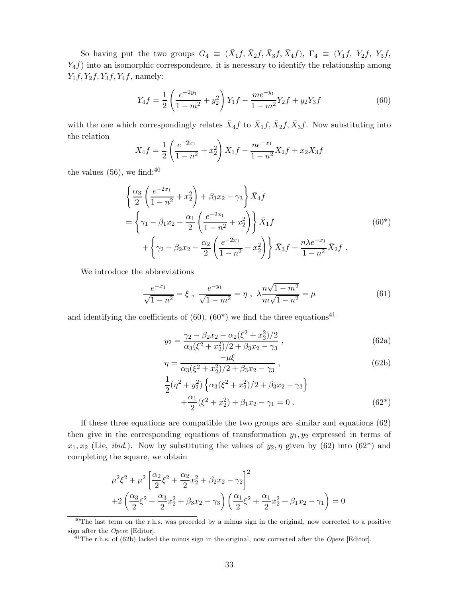So having put the two groups  $G_4 \equiv (\bar{X}_1 f, \bar{X}_2 f, \bar{X}_3 f, \bar{X}_4 f), \Gamma_4 \equiv (Y_1 f, Y_2 f, Y_3 f, \bar{Y}_4 f)$ *Y*<sub>4</sub> $f$ ) into an isomorphic correspondence, it is necessary to identify the relationship among *Y*1*f, Y*2*f, Y*3*f, Y*4*f*, namely:

$$
Y_4 f = \frac{1}{2} \left( \frac{e^{-2y_1}}{1 - m^2} + y_2^2 \right) Y_1 f - \frac{me^{-y_1}}{1 - m^2} Y_2 f + y_2 Y_3 f \tag{60}
$$

with the one which correspondingly relates  $\bar{X}_4 f$  to  $\bar{X}_1 f$ ,  $\bar{X}_2 f$ ,  $\bar{X}_3 f$ . Now substituting into the relation  $\overline{1}$  $\mathbf{r}$ 

$$
X_4 f = \frac{1}{2} \left( \frac{e^{-2x_1}}{1 - n^2} + x_2^2 \right) X_1 f - \frac{ne^{-x_1}}{1 - n^2} X_2 f + x_2 X_3 f
$$

the values  $(56)$ , we find:<sup>40</sup>

$$
\begin{split} &\left\{\frac{\alpha_3}{2}\left(\frac{e^{-2x_1}}{1-n^2}+x_2^2\right)+\beta_3x_2-\gamma_3\right\}\bar{X}_4f \\ &=\left\{\gamma_1-\beta_1x_2-\frac{\alpha_1}{2}\left(\frac{e^{-2x_1}}{1-n^2}+x_2^2\right)\right\}\bar{X}_1f \\ &\quad+\left\{\gamma_2-\beta_2x_2-\frac{\alpha_2}{2}\left(\frac{e^{-2x_1}}{1-n^2}+x_2^2\right)\right\}\bar{X}_3f+\frac{n\lambda e^{-x_1}}{1-n^2}\bar{X}_2f \end{split} \tag{60*}
$$

We introduce the abbreviations

$$
\frac{e^{-x_1}}{\sqrt{1-n^2}} = \xi \ , \ \frac{e^{-y_1}}{\sqrt{1-m^2}} = \eta \ , \ \lambda \frac{n\sqrt{1-m^2}}{m\sqrt{1-n^2}} = \mu \tag{61}
$$

and identifying the coefficients of  $(60)$ ,  $(60^*)$  we find the three equations<sup>41</sup>

$$
y_2 = \frac{\gamma_2 - \beta_2 x_2 - \alpha_2 (\xi^2 + x_2^2)/2}{\alpha_3 (\xi^2 + x_2^2)/2 + \beta_3 x_2 - \gamma_3},
$$
\n(62a)

$$
\eta = \frac{-\mu\xi}{\alpha_3(\xi^2 + x_2^2)/2 + \beta_3 x_2 - \gamma_3},
$$
\n(62b)

$$
\frac{1}{2}(\eta^2 + y_2^2) \left\{ \alpha_3(\xi^2 + x_2^2)/2 + \beta_3 x_2 - \gamma_3 \right\} \n+ \frac{\alpha_1}{2}(\xi^2 + x_2^2) + \beta_1 x_2 - \gamma_1 = 0.
$$
\n(62\*)

If these three equations are compatible the two groups are similar and equations (62) then give in the corresponding equations of transformation  $y_1, y_2$  expressed in terms of  $x_1, x_2$  (Lie, *ibid.*). Now by substituting the values of  $y_2, \eta$  given by (62) into (62<sup>\*</sup>) and completing the square, we obtain

$$
\mu^{2}\xi^{2} + \mu^{2} \left[ \frac{\alpha_{2}}{2} \xi^{2} + \frac{\alpha_{2}}{2} x_{2}^{2} + \beta_{2} x_{2} - \gamma_{2} \right]^{2}
$$
  
+2\left( \frac{\alpha\_{3}}{2} \xi^{2} + \frac{\alpha\_{3}}{2} x\_{2}^{2} + \beta\_{3} x\_{2} - \gamma\_{3} \right) \left( \frac{\alpha\_{1}}{2} \xi^{2} + \frac{\alpha\_{1}}{2} x\_{2}^{2} + \beta\_{1} x\_{2} - \gamma\_{1} \right) = 0

 $^{40}$ The last term on the r.h.s. was preceded by a minus sign in the original, now corrected to a positive sign after the Opere [Editor].

<sup>&</sup>lt;sup>41</sup>The r.h.s. of (62b) lacked the minus sign in the original, now corrected after the *Opere* [Editor].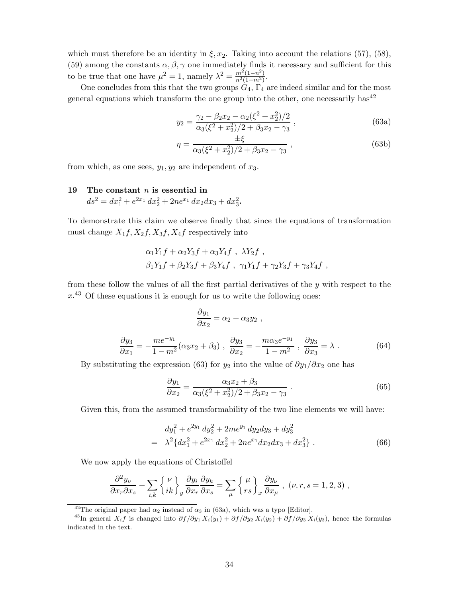which must therefore be an identity in  $\xi, x_2$ . Taking into account the relations (57), (58), (59) among the constants  $\alpha, \beta, \gamma$  one immediately finds it necessary and sufficient for this to be true that one have  $\mu^2 = 1$ , namely  $\lambda^2 = \frac{m^2(1-n^2)}{n^2(1-m^2)}$ .

One concludes from this that the two groups  $G_4$ ,  $\Gamma_4$  are indeed similar and for the most general equations which transform the one group into the other, one necessarily has<sup>42</sup>

$$
y_2 = \frac{\gamma_2 - \beta_2 x_2 - \alpha_2 (\xi^2 + x_2^2)/2}{\alpha_3 (\xi^2 + x_2^2)/2 + \beta_3 x_2 - \gamma_3},
$$
\n(63a)

$$
\eta = \frac{\pm \xi}{\alpha_3(\xi^2 + x_2^2)/2 + \beta_3 x_2 - \gamma_3},\tag{63b}
$$

from which, as one sees,  $y_1, y_2$  are independent of  $x_3$ .

## **19 The constant** *n* **is essential in**  $ds^2 = dx_1^2 + e^{2x_1} dx_2^2 + 2ne^{x_1} dx_2 dx_3 + dx_3^2$ .

To demonstrate this claim we observe finally that since the equations of transformation must change  $X_1 f, X_2 f, X_3 f, X_4 f$  respectively into

$$
\alpha_1 Y_1 f + \alpha_2 Y_3 f + \alpha_3 Y_4 f , \lambda Y_2 f ,
$$
  

$$
\beta_1 Y_1 f + \beta_2 Y_3 f + \beta_3 Y_4 f , \gamma_1 Y_1 f + \gamma_2 Y_3 f + \gamma_3 Y_4 f ,
$$

from these follow the values of all the first partial derivatives of the *y* with respect to the *x*. <sup>43</sup> Of these equations it is enough for us to write the following ones:

$$
\frac{\partial y_1}{\partial x_2} = \alpha_2 + \alpha_3 y_2 ,
$$

$$
\frac{\partial y_3}{\partial x_1} = -\frac{me^{-y_1}}{1 - m^2} (\alpha_3 x_2 + \beta_3) , \frac{\partial y_3}{\partial x_2} = -\frac{m \alpha_3 e^{-y_1}}{1 - m^2} , \frac{\partial y_3}{\partial x_3} = \lambda .
$$
(64)

By substituting the expression (63) for  $y_2$  into the value of  $\partial y_1/\partial x_2$  one has

$$
\frac{\partial y_1}{\partial x_2} = \frac{\alpha_3 x_2 + \beta_3}{\alpha_3 (\xi^2 + x_2^2)/2 + \beta_3 x_2 - \gamma_3} \,. \tag{65}
$$

Given this, from the assumed transformability of the two line elements we will have:

$$
dy_1^2 + e^{2y_1} dy_2^2 + 2me^{y_1} dy_2 dy_3 + dy_3^2
$$
  
= 
$$
\lambda^2 \{dx_1^2 + e^{2x_1} dx_2^2 + 2ne^{x_1} dx_2 dx_3 + dx_3^2\}.
$$
 (66)

We now apply the equations of Christoffel

$$
\frac{\partial^2 y_{\nu}}{\partial x_r \partial x_s} + \sum_{i,k} \left\{ \frac{\nu}{ik} \right\}_y \frac{\partial y_i}{\partial x_r} \frac{\partial y_k}{\partial x_s} = \sum_{\mu} \left\{ \frac{\mu}{rs} \right\}_x \frac{\partial y_{\nu}}{\partial x_{\mu}} , \ (\nu, r, s = 1, 2, 3) ,
$$

<sup>42</sup>The original paper had  $\alpha_2$  instead of  $\alpha_3$  in (63a), which was a typo [Editor].

<sup>&</sup>lt;sup>43</sup>In general *X<sub>i</sub>f* is changed into  $\partial f/\partial y_1 X_i(y_1) + \partial f/\partial y_2 X_i(y_2) + \partial f/\partial y_3 X_i(y_3)$ , hence the formulas indicated in the text.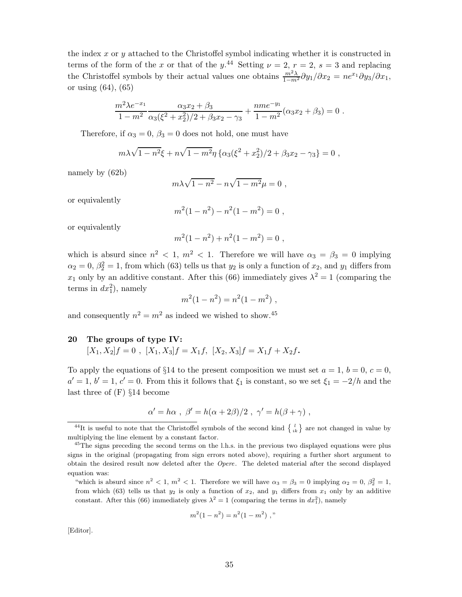the index *x* or *y* attached to the Christoffel symbol indicating whether it is constructed in terms of the form of the *x* or that of the  $y$ <sup>44</sup> Setting  $\nu = 2$ ,  $r = 2$ ,  $s = 3$  and replacing the Christoffel symbols by their actual values one obtains  $\frac{m^2\lambda}{1-m^2}\partial y_1/\partial x_2 = n e^{x_1} \partial y_3/\partial x_1$ , or using (64), (65)

$$
\frac{m^2\lambda e^{-x_1}}{1-m^2}\frac{\alpha_3x_2+\beta_3}{\alpha_3(\xi^2+x_2^2)/2+\beta_3x_2-\gamma_3}+\frac{nme^{-y_1}}{1-m^2}(\alpha_3x_2+\beta_3)=0.
$$

Therefore, if  $\alpha_3 = 0$ ,  $\beta_3 = 0$  does not hold, one must have

$$
m\lambda\sqrt{1-n^2}\xi + n\sqrt{1-m^2}\eta \left\{\alpha_3(\xi^2+x_2^2)/2+\beta_3x_2-\gamma_3\right\}=0,
$$

namely by (62b)

$$
m\lambda\sqrt{1-n^2} - n\sqrt{1-m^2}\mu = 0,
$$

or equivalently

$$
m^2(1 - n^2) - n^2(1 - m^2) = 0,
$$

or equivalently

$$
m^2(1 - n^2) + n^2(1 - m^2) = 0,
$$

which is absurd since  $n^2 < 1$ ,  $m^2 < 1$ . Therefore we will have  $\alpha_3 = \beta_3 = 0$  implying  $\alpha_2 = 0, \beta_2^2 = 1$ , from which (63) tells us that *y*<sub>2</sub> is only a function of *x*<sub>2</sub>, and *y*<sub>1</sub> differs from *x*<sub>1</sub> only by an additive constant. After this (66) immediately gives  $\lambda^2 = 1$  (comparing the terms in  $dx_1^2$ ), namely

$$
m^2(1 - n^2) = n^2(1 - m^2) ,
$$

and consequently  $n^2 = m^2$  as indeed we wished to show.<sup>45</sup>

#### **20 The groups of type IV:**

$$
[X_1, X_2]f = 0 , [X_1, X_3]f = X_1f, [X_2, X_3]f = X_1f + X_2f.
$$

To apply the equations of  $\S14$  to the present composition we must set  $a = 1, b = 0, c = 0$ ,  $a' = 1, b' = 1, c' = 0$ . From this it follows that  $\xi_1$  is constant, so we set  $\xi_1 = -2/h$  and the last three of (F) §14 become

$$
\alpha' = h\alpha \, , \ \beta' = h(\alpha + 2\beta)/2 \, , \ \gamma' = h(\beta + \gamma) \, ,
$$

$$
m^2(1 - n^2) = n^2(1 - m^2) ,
$$

[Editor].

<sup>&</sup>lt;sup>44</sup>It is useful to note that the Christoffel symbols of the second kind  $\begin{Bmatrix} l \\ ik \end{Bmatrix}$  are not changed in value by multiplying the line element by a constant factor.

 $^{45}$ The signs preceding the second terms on the l.h.s. in the previous two displayed equations were plus signs in the original (propagating from sign errors noted above), requiring a further short argument to obtain the desired result now deleted after the Opere. The deleted material after the second displayed equation was:

<sup>&</sup>quot;which is absurd since  $n^2 < 1$ ,  $m^2 < 1$ . Therefore we will have  $\alpha_3 = \beta_3 = 0$  implying  $\alpha_2 = 0$ ,  $\beta_2^2 = 1$ , from which (63) tells us that  $y_2$  is only a function of  $x_2$ , and  $y_1$  differs from  $x_1$  only by an additive constant. After this (66) immediately gives  $\lambda^2 = 1$  (comparing the terms in  $dx_1^2$ ), namely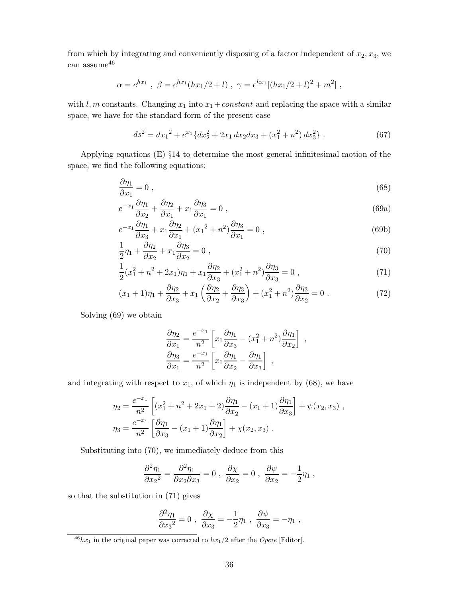from which by integrating and conveniently disposing of a factor independent of *x*2*, x*3, we can assume  $46$ 

$$
\alpha = e^{hx_1} , \ \beta = e^{hx_1}(hx_1/2 + l) , \ \gamma = e^{hx_1}[(hx_1/2 + l)^2 + m^2] ,
$$

with *l, m* constants. Changing  $x_1$  into  $x_1$  + *constant* and replacing the space with a similar space, we have for the standard form of the present case

$$
ds^{2} = dx_{1}^{2} + e^{x_{1}} \{ dx_{2}^{2} + 2x_{1} dx_{2} dx_{3} + (x_{1}^{2} + n^{2}) dx_{3}^{2} \}.
$$
 (67)

Applying equations (E) §14 to determine the most general infinitesimal motion of the space, we find the following equations:

$$
\frac{\partial \eta_1}{\partial x_1} = 0 \tag{68}
$$

$$
e^{-x_1}\frac{\partial \eta_1}{\partial x_2} + \frac{\partial \eta_2}{\partial x_1} + x_1 \frac{\partial \eta_3}{\partial x_1} = 0 , \qquad (69a)
$$

$$
e^{-x_1}\frac{\partial \eta_1}{\partial x_3} + x_1\frac{\partial \eta_2}{\partial x_1} + (x_1^2 + n^2)\frac{\partial \eta_3}{\partial x_1} = 0,
$$
\n(69b)

$$
\frac{1}{2}\eta_1 + \frac{\partial \eta_2}{\partial x_2} + x_1 \frac{\partial \eta_3}{\partial x_2} = 0 , \qquad (70)
$$

$$
\frac{1}{2}(x_1^2 + n^2 + 2x_1)\eta_1 + x_1\frac{\partial\eta_2}{\partial x_3} + (x_1^2 + n^2)\frac{\partial\eta_3}{\partial x_3} = 0,
$$
\n(71)

$$
(x_1 + 1)\eta_1 + \frac{\partial \eta_2}{\partial x_3} + x_1 \left(\frac{\partial \eta_2}{\partial x_2} + \frac{\partial \eta_3}{\partial x_3}\right) + (x_1^2 + n^2) \frac{\partial \eta_3}{\partial x_2} = 0.
$$
 (72)

Solving (69) we obtain

$$
\frac{\partial \eta_2}{\partial x_1} = \frac{e^{-x_1}}{n^2} \left[ x_1 \frac{\partial \eta_1}{\partial x_3} - (x_1^2 + n^2) \frac{\partial \eta_1}{\partial x_2} \right] ,
$$
  

$$
\frac{\partial \eta_3}{\partial x_1} = \frac{e^{-x_1}}{n^2} \left[ x_1 \frac{\partial \eta_1}{\partial x_2} - \frac{\partial \eta_1}{\partial x_3} \right] ,
$$

and integrating with respect to  $x_1$ , of which  $\eta_1$  is independent by (68), we have

$$
\eta_2 = \frac{e^{-x_1}}{n^2} \left[ (x_1^2 + n^2 + 2x_1 + 2) \frac{\partial \eta_1}{\partial x_2} - (x_1 + 1) \frac{\partial \eta_1}{\partial x_3} \right] + \psi(x_2, x_3) ,
$$
  

$$
\eta_3 = \frac{e^{-x_1}}{n^2} \left[ \frac{\partial \eta_1}{\partial x_3} - (x_1 + 1) \frac{\partial \eta_1}{\partial x_2} \right] + \chi(x_2, x_3) .
$$

Substituting into (70), we immediately deduce from this

$$
\frac{\partial^2 \eta_1}{\partial x_2{}^2} = \frac{\partial^2 \eta_1}{\partial x_2 \partial x_3} = 0 \; , \; \frac{\partial \chi}{\partial x_2} = 0 \; , \; \frac{\partial \psi}{\partial x_2} = -\frac{1}{2} \eta_1 \; ,
$$

so that the substitution in (71) gives

$$
\frac{\partial^2 \eta_1}{\partial x_3^2} = 0 \; , \; \frac{\partial \chi}{\partial x_3} = -\frac{1}{2} \eta_1 \; , \; \frac{\partial \psi}{\partial x_3} = -\eta_1 \; ,
$$

 $^{46}hx_1$  in the original paper was corrected to  $hx_1/2$  after the *Opere* [Editor].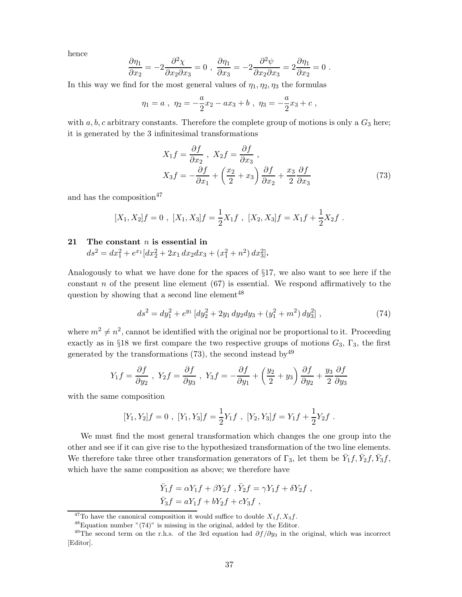hence

$$
\frac{\partial \eta_1}{\partial x_2} = -2 \frac{\partial^2 \chi}{\partial x_2 \partial x_3} = 0 \; , \; \frac{\partial \eta_1}{\partial x_3} = -2 \frac{\partial^2 \psi}{\partial x_2 \partial x_3} = 2 \frac{\partial \eta_1}{\partial x_2} = 0 \; .
$$

In this way we find for the most general values of  $\eta_1, \eta_2, \eta_3$  the formulas

$$
\eta_1 = a
$$
,  $\eta_2 = -\frac{a}{2}x_2 - ax_3 + b$ ,  $\eta_3 = -\frac{a}{2}x_3 + c$ ,

with  $a, b, c$  arbitrary constants. Therefore the complete group of motions is only a  $G_3$  here; it is generated by the 3 infinitesimal transformations

$$
X_1 f = \frac{\partial f}{\partial x_2}, \quad X_2 f = \frac{\partial f}{\partial x_3},
$$
  

$$
X_3 f = -\frac{\partial f}{\partial x_1} + \left(\frac{x_2}{2} + x_3\right) \frac{\partial f}{\partial x_2} + \frac{x_3}{2} \frac{\partial f}{\partial x_3}
$$
 (73)

and has the composition<sup>47</sup>

$$
[X_1, X_2]f = 0, [X_1, X_3]f = \frac{1}{2}X_1f, [X_2, X_3]f = X_1f + \frac{1}{2}X_2f.
$$

#### **21 The constant** *n* **is essential in**

$$
ds^{2} = dx_{1}^{2} + e^{x_{1}}[dx_{2}^{2} + 2x_{1} dx_{2} dx_{3} + (x_{1}^{2} + n^{2}) dx_{3}^{2}].
$$

Analogously to what we have done for the spaces of §17, we also want to see here if the constant *n* of the present line element (67) is essential. We respond affirmatively to the question by showing that a second line element<sup>48</sup>

$$
ds^{2} = dy_{1}^{2} + e^{y_{1}} \left[ dy_{2}^{2} + 2y_{1} dy_{2} dy_{3} + \left( y_{1}^{2} + m^{2} \right) dy_{3}^{2} \right],
$$
\n(74)

where  $m^2 \neq n^2$ , cannot be identified with the original nor be proportional to it. Proceeding exactly as in §18 we first compare the two respective groups of motions  $G_3$ ,  $\Gamma_3$ , the first generated by the transformations  $(73)$ , the second instead by  $49$ 

$$
Y_1 f = \frac{\partial f}{\partial y_2} , \ Y_2 f = \frac{\partial f}{\partial y_3} , \ Y_3 f = -\frac{\partial f}{\partial y_1} + \left(\frac{y_2}{2} + y_3\right) \frac{\partial f}{\partial y_2} + \frac{y_3}{2} \frac{\partial f}{\partial y_3}
$$

with the same composition

$$
[Y_1, Y_2]f = 0 , [Y_1, Y_3]f = \frac{1}{2}Y_1f , [Y_2, Y_3]f = Y_1f + \frac{1}{2}Y_2f.
$$

We must find the most general transformation which changes the one group into the other and see if it can give rise to the hypothesized transformation of the two line elements. We therefore take three other transformation generators of  $\Gamma_3$ , let them be  $\bar{Y}_1 f$ ,  $\bar{Y}_2 f$ ,  $\bar{Y}_3 f$ , which have the same composition as above; we therefore have

$$
\begin{split} \bar{Y}_1 f &= \alpha Y_1 f + \beta Y_2 f \ , \bar{Y}_2 f &= \gamma Y_1 f + \delta Y_2 f \ , \\ \bar{Y}_3 f &= a Y_1 f + b Y_2 f + c Y_3 f \ , \end{split}
$$

<sup>&</sup>lt;sup>47</sup>To have the canonical composition it would suffice to double  $X_1 f$ ,  $X_3 f$ .

 $48$ Equation number "(74)" is missing in the original, added by the Editor.

<sup>&</sup>lt;sup>49</sup>The second term on the r.h.s. of the 3rd equation had  $\partial f / \partial y_3$  in the original, which was incorrect [Editor].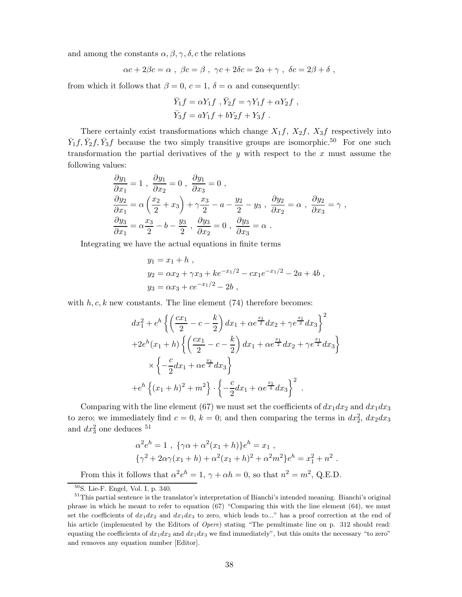and among the constants  $\alpha, \beta, \gamma, \delta, c$  the relations

$$
\alpha c + 2\beta c = \alpha \; , \; \beta c = \beta \; , \; \gamma c + 2\delta c = 2\alpha + \gamma \; , \; \delta c = 2\beta + \delta \; ,
$$

from which it follows that  $\beta = 0$ ,  $c = 1$ ,  $\delta = \alpha$  and consequently:

$$
\bar{Y}_1 f = \alpha Y_1 f , \bar{Y}_2 f = \gamma Y_1 f + \alpha Y_2 f ,
$$
  

$$
\bar{Y}_3 f = aY_1 f + bY_2 f + Y_3 f .
$$

There certainly exist transformations which change  $X_1f$ ,  $X_2f$ ,  $X_3f$  respectively into  $\bar{Y}_1 f$ ,  $\bar{Y}_2 f$ ,  $\bar{Y}_3 f$  because the two simply transitive groups are isomorphic.<sup>50</sup> For one such transformation the partial derivatives of the *y* with respect to the *x* must assume the following values:

$$
\frac{\partial y_1}{\partial x_1} = 1, \quad \frac{\partial y_1}{\partial x_2} = 0, \quad \frac{\partial y_1}{\partial x_3} = 0,
$$
  

$$
\frac{\partial y_2}{\partial x_1} = \alpha \left(\frac{x_2}{2} + x_3\right) + \gamma \frac{x_3}{2} - a - \frac{y_2}{2} - y_3, \quad \frac{\partial y_2}{\partial x_2} = \alpha, \quad \frac{\partial y_2}{\partial x_3} = \gamma,
$$
  

$$
\frac{\partial y_3}{\partial x_1} = \alpha \frac{x_3}{2} - b - \frac{y_3}{2}, \quad \frac{\partial y_3}{\partial x_2} = 0, \quad \frac{\partial y_3}{\partial x_3} = \alpha.
$$

Integrating we have the actual equations in finite terms

$$
y_1 = x_1 + h
$$
,  
\n $y_2 = \alpha x_2 + \gamma x_3 + k e^{-x_1/2} - c x_1 e^{-x_1/2} - 2a + 4b$ ,  
\n $y_3 = \alpha x_3 + c e^{-x_1/2} - 2b$ ,

with  $h, c, k$  new constants. The line element  $(74)$  therefore becomes:

$$
dx_1^2 + e^h \left\{ \left( \frac{cx_1}{2} - c - \frac{k}{2} \right) dx_1 + \alpha e^{\frac{x_1}{2}} dx_2 + \gamma e^{\frac{x_1}{2}} dx_3 \right\}^2
$$
  
+2e<sup>h</sup>(x<sub>1</sub> + h)  $\left\{ \left( \frac{cx_1}{2} - c - \frac{k}{2} \right) dx_1 + \alpha e^{\frac{x_1}{2}} dx_2 + \gamma e^{\frac{x_1}{2}} dx_3 \right\}$   

$$
\times \left\{ -\frac{c}{2} dx_1 + \alpha e^{\frac{x_1}{2}} dx_3 \right\}
$$
  
+e<sup>h</sup>  $\left\{ (x_1 + h)^2 + m^2 \right\} \cdot \left\{ -\frac{c}{2} dx_1 + \alpha e^{\frac{x_1}{2}} dx_3 \right\}^2.$ 

Comparing with the line element (67) we must set the coefficients of  $dx_1 dx_2$  and  $dx_1 dx_3$ to zero; we immediately find  $c = 0$ ,  $k = 0$ ; and then comparing the terms in  $dx_2^2$ ,  $dx_2 dx_3$ and  $dx_3^2$  one deduces <sup>51</sup>

$$
\alpha^2 e^h = 1 , \{ \gamma \alpha + \alpha^2 (x_1 + h) \} e^h = x_1 ,
$$
  

$$
\{ \gamma^2 + 2\alpha \gamma (x_1 + h) + \alpha^2 (x_1 + h)^2 + \alpha^2 m^2 \} e^h = x_1^2 + n^2 .
$$

From this it follows that  $\alpha^2 e^h = 1$ ,  $\gamma + \alpha h = 0$ , so that  $n^2 = m^2$ , Q.E.D.

<sup>50</sup>S. Lie-F. Engel, Vol. I, p. 340.

<sup>&</sup>lt;sup>51</sup>This partial sentence is the translator's interpretation of Bianchi's intended meaning. Bianchi's original phrase in which he meant to refer to equation (67) "Comparing this with the line element (64), we must set the coefficients of  $dx_1dx_2$  and  $dx_1dx_3$  to zero, which leads to..." has a proof correction at the end of his article (implemented by the Editors of Opere) stating "The penultimate line on p. 312 should read: equating the coefficients of  $dx_1dx_2$  and  $dx_1dx_3$  we find immediately", but this omits the necessary "to zero" and removes any equation number [Editor].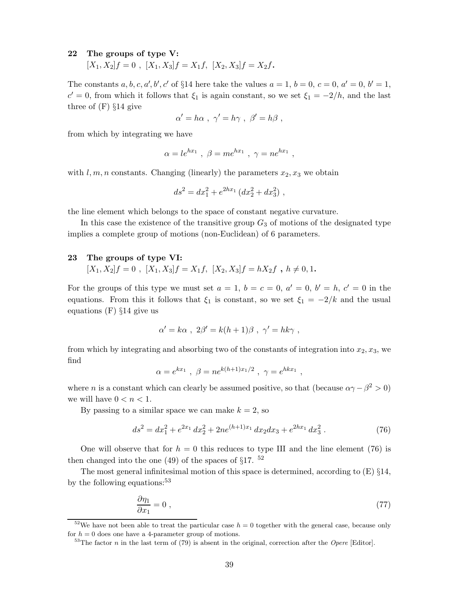#### **22 The groups of type V:**

 $[X_1, X_2]f = 0$ ,  $[X_1, X_3]f = X_1f$ ,  $[X_2, X_3]f = X_2f$ .

The constants *a*, *b*, *c*, *a'*, *b'*, *c'* of §14 here take the values  $a = 1$ ,  $b = 0$ ,  $c = 0$ ,  $a' = 0$ ,  $b' = 1$ ,  $c' = 0$ , from which it follows that  $\xi_1$  is again constant, so we set  $\xi_1 = -2/h$ , and the last three of (F) §14 give

$$
\alpha' = h\alpha \ , \ \gamma' = h\gamma \ , \ \beta' = h\beta \ ,
$$

from which by integrating we have

$$
\alpha = le^{hx_1} , \beta = me^{hx_1} , \gamma = ne^{hx_1} ,
$$

with  $l, m, n$  constants. Changing (linearly) the parameters  $x_2, x_3$  we obtain

$$
ds^2 = dx_1^2 + e^{2hx_1} (dx_2^2 + dx_3^2) ,
$$

the line element which belongs to the space of constant negative curvature.

In this case the existence of the transitive group  $G_3$  of motions of the designated type implies a complete group of motions (non-Euclidean) of 6 parameters.

#### **23 The groups of type VI:**

 $[X_1, X_2]f = 0$ ,  $[X_1, X_3]f = X_1f$ ,  $[X_2, X_3]f = hX_2f$ ,  $h \neq 0, 1$ .

For the groups of this type we must set  $a = 1$ ,  $b = c = 0$ ,  $a' = 0$ ,  $b' = h$ ,  $c' = 0$  in the equations. From this it follows that  $\xi_1$  is constant, so we set  $\xi_1 = -2/k$  and the usual equations (F) §14 give us

$$
\alpha' = k\alpha \ , \ 2\beta' = k(h+1)\beta \ , \ \gamma' = hk\gamma \ ,
$$

from which by integrating and absorbing two of the constants of integration into  $x_2, x_3$ , we find

$$
\alpha = e^{kx_1}
$$
,  $\beta = ne^{k(h+1)x_1/2}$ ,  $\gamma = e^{h k x_1}$ ,

where *n* is a constant which can clearly be assumed positive, so that (because  $\alpha \gamma - \beta^2 > 0$ ) we will have  $0 < n < 1$ .

By passing to a similar space we can make  $k = 2$ , so

$$
ds^{2} = dx_{1}^{2} + e^{2x_{1}} dx_{2}^{2} + 2ne^{(h+1)x_{1}} dx_{2} dx_{3} + e^{2hx_{1}} dx_{3}^{2}. \qquad (76)
$$

One will observe that for  $h = 0$  this reduces to type III and the line element (76) is then changed into the one (49) of the spaces of  $\S17$ . <sup>52</sup>

The most general infinitesimal motion of this space is determined, according to (E) §14, by the following equations:<sup>53</sup>

$$
\frac{\partial \eta_1}{\partial x_1} = 0 \tag{77}
$$

<sup>52</sup>We have not been able to treat the particular case  $h = 0$  together with the general case, because only for  $h = 0$  does one have a 4-parameter group of motions.

 $53$ The factor *n* in the last term of (79) is absent in the original, correction after the Opere [Editor].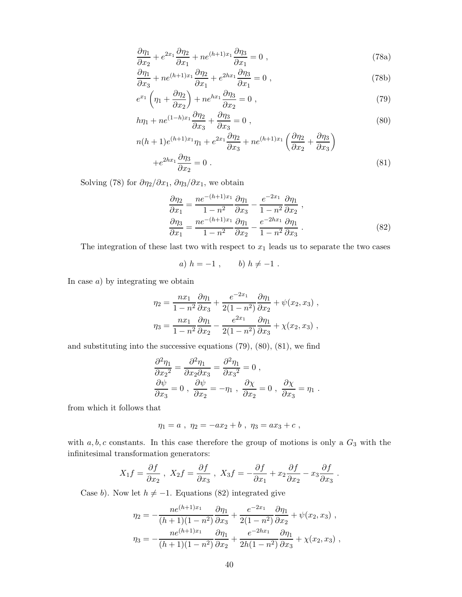$$
\frac{\partial \eta_1}{\partial x_2} + e^{2x_1} \frac{\partial \eta_2}{\partial x_1} + n e^{(h+1)x_1} \frac{\partial \eta_3}{\partial x_1} = 0 , \qquad (78a)
$$

$$
\frac{\partial \eta_1}{\partial x_3} + n e^{(h+1)x_1} \frac{\partial \eta_2}{\partial x_1} + e^{2hx_1} \frac{\partial \eta_3}{\partial x_1} = 0 , \qquad (78b)
$$

$$
e^{x_1} \left(\eta_1 + \frac{\partial \eta_2}{\partial x_2}\right) + n e^{hx_1} \frac{\partial \eta_3}{\partial x_2} = 0 , \qquad (79)
$$

$$
h\eta_1 + ne^{(1-h)x_1}\frac{\partial \eta_2}{\partial x_3} + \frac{\partial \eta_3}{\partial x_3} = 0 ,
$$
\n(80)

$$
n(h+1)e^{(h+1)x_1}\eta_1 + e^{2x_1}\frac{\partial\eta_2}{\partial x_3} + ne^{(h+1)x_1}\left(\frac{\partial\eta_2}{\partial x_2} + \frac{\partial\eta_3}{\partial x_3}\right)
$$

$$
+e^{2hx_1}\frac{\partial\eta_3}{\partial x_2} = 0.
$$
(81)

Solving (78) for  $\partial \eta_2 / \partial x_1$ ,  $\partial \eta_3 / \partial x_1$ , we obtain

$$
\frac{\partial \eta_2}{\partial x_1} = \frac{ne^{-(h+1)x_1}}{1 - n^2} \frac{\partial \eta_1}{\partial x_3} - \frac{e^{-2x_1}}{1 - n^2} \frac{\partial \eta_1}{\partial x_2} ,
$$
  

$$
\frac{\partial \eta_3}{\partial x_1} = \frac{ne^{-(h+1)x_1}}{1 - n^2} \frac{\partial \eta_1}{\partial x_2} - \frac{e^{-2hx_1}}{1 - n^2} \frac{\partial \eta_1}{\partial x_3} .
$$
 (82)

The integration of these last two with respect to  $x_1$  leads us to separate the two cases

a) 
$$
h = -1
$$
,  $b) h \neq -1$ .

In case *a*) by integrating we obtain

$$
\eta_2 = \frac{nx_1}{1 - n^2} \frac{\partial \eta_1}{\partial x_3} + \frac{e^{-2x_1}}{2(1 - n^2)} \frac{\partial \eta_1}{\partial x_2} + \psi(x_2, x_3) ,
$$
  

$$
\eta_3 = \frac{nx_1}{1 - n^2} \frac{\partial \eta_1}{\partial x_2} - \frac{e^{2x_1}}{2(1 - n^2)} \frac{\partial \eta_1}{\partial x_3} + \chi(x_2, x_3) ,
$$

and substituting into the successive equations  $(79)$ ,  $(80)$ ,  $(81)$ , we find

$$
\frac{\partial^2 \eta_1}{\partial x_2^2} = \frac{\partial^2 \eta_1}{\partial x_2 \partial x_3} = \frac{\partial^2 \eta_1}{\partial x_3^2} = 0,
$$
  

$$
\frac{\partial \psi}{\partial x_3} = 0, \ \frac{\partial \psi}{\partial x_2} = -\eta_1, \ \frac{\partial \chi}{\partial x_2} = 0, \ \frac{\partial \chi}{\partial x_3} = \eta_1.
$$

from which it follows that

$$
\eta_1 = a \ , \ \eta_2 = - a x_2 + b \ , \ \eta_3 = a x_3 + c \ ,
$$

with  $a, b, c$  constants. In this case therefore the group of motions is only a  $G_3$  with the infinitesimal transformation generators:

$$
X_1 f = \frac{\partial f}{\partial x_2} , \ X_2 f = \frac{\partial f}{\partial x_3} , \ X_3 f = -\frac{\partial f}{\partial x_1} + x_2 \frac{\partial f}{\partial x_2} - x_3 \frac{\partial f}{\partial x_3} .
$$

Case *b*). Now let  $h \neq -1$ . Equations (82) integrated give

$$
\eta_2 = -\frac{ne^{(h+1)x_1}}{(h+1)(1-n^2)} \frac{\partial \eta_1}{\partial x_3} + \frac{e^{-2x_1}}{2(1-n^2)} \frac{\partial \eta_1}{\partial x_2} + \psi(x_2, x_3) ,
$$

$$
\eta_3 = -\frac{ne^{(h+1)x_1}}{(h+1)(1-n^2)} \frac{\partial \eta_1}{\partial x_2} + \frac{e^{-2hx_1}}{2h(1-n^2)} \frac{\partial \eta_1}{\partial x_3} + \chi(x_2, x_3) ,
$$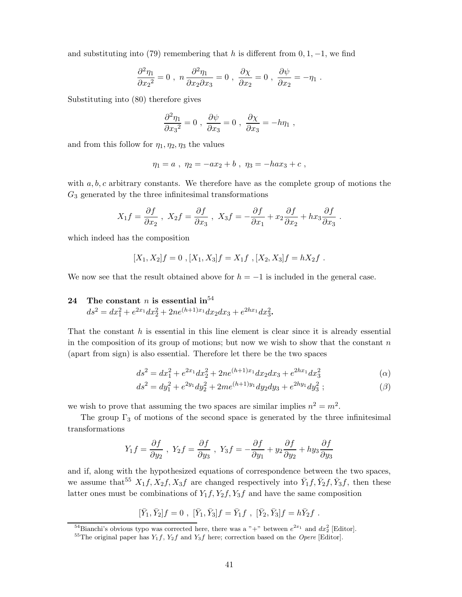and substituting into (79) remembering that *h* is different from  $0, 1, -1$ , we find

$$
\frac{\partial^2 \eta_1}{\partial x_2^2} = 0 , \quad n \frac{\partial^2 \eta_1}{\partial x_2 \partial x_3} = 0 , \quad \frac{\partial \chi}{\partial x_2} = 0 , \quad \frac{\partial \psi}{\partial x_2} = -\eta_1 .
$$

Substituting into (80) therefore gives

$$
\frac{\partial^2 \eta_1}{\partial x_3^2} = 0 \ , \ \frac{\partial \psi}{\partial x_3} = 0 \ , \ \frac{\partial \chi}{\partial x_3} = -h \eta_1 \ ,
$$

and from this follow for  $\eta_1, \eta_2, \eta_3$  the values

$$
\eta_1 = a \; , \; \eta_2 = -ax_2 + b \; , \; \eta_3 = -hax_3 + c \; ,
$$

with *a, b, c* arbitrary constants. We therefore have as the complete group of motions the *G*<sup>3</sup> generated by the three infinitesimal transformations

$$
X_1 f = \frac{\partial f}{\partial x_2} , \quad X_2 f = \frac{\partial f}{\partial x_3} , \quad X_3 f = -\frac{\partial f}{\partial x_1} + x_2 \frac{\partial f}{\partial x_2} + h x_3 \frac{\partial f}{\partial x_3} .
$$

which indeed has the composition

$$
[X_1, X_2]f = 0, [X_1, X_3]f = X_1f, [X_2, X_3]f = hX_2f.
$$

We now see that the result obtained above for  $h = -1$  is included in the general case.

# **24** The constant *n* is essential in<sup>54</sup>

$$
ds^{2} = dx_{1}^{2} + e^{2x_{1}}dx_{2}^{2} + 2ne^{(h+1)x_{1}}dx_{2}dx_{3} + e^{2hx_{1}}dx_{3}^{2}.
$$

That the constant *h* is essential in this line element is clear since it is already essential in the composition of its group of motions; but now we wish to show that the constant *n* (apart from sign) is also essential. Therefore let there be the two spaces

$$
ds^{2} = dx_{1}^{2} + e^{2x_{1}}dx_{2}^{2} + 2ne^{(h+1)x_{1}}dx_{2}dx_{3} + e^{2hx_{1}}dx_{3}^{2}
$$
 (a)

$$
ds^{2} = dy_{1}^{2} + e^{2y_{1}} dy_{2}^{2} + 2me^{(h+1)y_{1}} dy_{2} dy_{3} + e^{2hy_{1}} dy_{3}^{2};
$$
\n
$$
\tag{3}
$$

we wish to prove that assuming the two spaces are similar implies  $n^2 = m^2$ .

The group  $\Gamma_3$  of motions of the second space is generated by the three infinitesimal transformations

$$
Y_1 f = \frac{\partial f}{\partial y_2} , \ Y_2 f = \frac{\partial f}{\partial y_3} , \ Y_3 f = -\frac{\partial f}{\partial y_1} + y_2 \frac{\partial f}{\partial y_2} + hy_3 \frac{\partial f}{\partial y_3}
$$

and if, along with the hypothesized equations of correspondence between the two spaces, we assume that<sup>55</sup>  $X_1 f, X_2 f, X_3 f$  are changed respectively into  $\bar{Y}_1 f, \bar{Y}_2 f, \bar{Y}_3 f$ , then these latter ones must be combinations of  $Y_1 f, Y_2 f, Y_3 f$  and have the same composition

$$
[\bar{Y}_1, \bar{Y}_2]f = 0
$$
,  $[\bar{Y}_1, \bar{Y}_3]f = \bar{Y}_1f$ ,  $[\bar{Y}_2, \bar{Y}_3]f = h\bar{Y}_2f$ .

<sup>&</sup>lt;sup>54</sup>Bianchi's obvious typo was corrected here, there was a "+" between  $e^{2x_1}$  and  $dx_2$ <sup>2</sup> [Editor].

<sup>&</sup>lt;sup>55</sup>The original paper has  $Y_1 f$ ,  $Y_2 f$  and  $Y_3 f$  here; correction based on the *Opere* [Editor].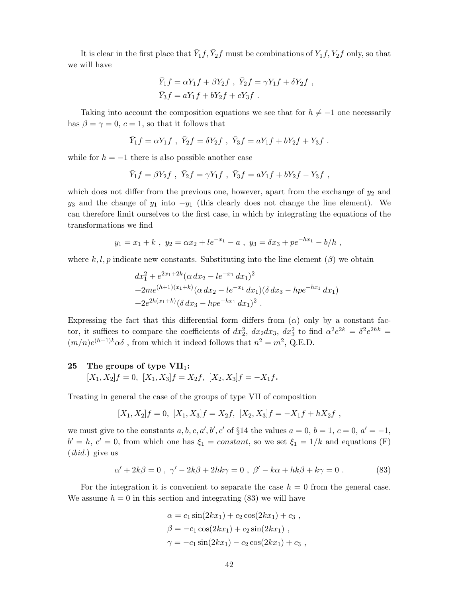It is clear in the first place that  $\bar{Y}_1 f$ ,  $\bar{Y}_2 f$  must be combinations of  $Y_1 f$ ,  $Y_2 f$  only, so that we will have

$$
\overline{Y}_1 f = \alpha Y_1 f + \beta Y_2 f , \overline{Y}_2 f = \gamma Y_1 f + \delta Y_2 f ,
$$
  

$$
\overline{Y}_3 f = a Y_1 f + b Y_2 f + c Y_3 f .
$$

Taking into account the composition equations we see that for  $h \neq -1$  one necessarily has  $\beta = \gamma = 0, c = 1$ , so that it follows that

$$
\bar{Y}_1 f = \alpha Y_1 f
$$
,  $\bar{Y}_2 f = \delta Y_2 f$ ,  $\bar{Y}_3 f = \alpha Y_1 f + \delta Y_2 f + Y_3 f$ .

while for  $h = -1$  there is also possible another case

$$
\bar{Y}_1 f = \beta Y_2 f \ , \ \bar{Y}_2 f = \gamma Y_1 f \ , \ \bar{Y}_3 f = a Y_1 f + b Y_2 f - Y_3 f \ ,
$$

which does not differ from the previous one, however, apart from the exchange of  $y_2$  and  $y_3$  and the change of  $y_1$  into  $-y_1$  (this clearly does not change the line element). We can therefore limit ourselves to the first case, in which by integrating the equations of the transformations we find

$$
y_1 = x_1 + k
$$
,  $y_2 = \alpha x_2 + l e^{-x_1} - a$ ,  $y_3 = \delta x_3 + p e^{-hx_1} - b/h$ ,

where  $k, l, p$  indicate new constants. Substituting into the line element  $(\beta)$  we obtain

$$
dx_1^2 + e^{2x_1+2k} (\alpha \, dx_2 - le^{-x_1} \, dx_1)^2
$$
  
+2me<sup>(h+1)(x\_1+k)</sup> (\alpha \, dx\_2 - le^{-x\_1} \, dx\_1)(\delta \, dx\_3 - hpe^{-hx\_1} \, dx\_1)  
+2e^{2h(x\_1+k)} (\delta \, dx\_3 - hpe^{-hx\_1} \, dx\_1)^2.

Expressing the fact that this differential form differs from  $(\alpha)$  only by a constant factor, it suffices to compare the coefficients of  $dx_2^2$ ,  $dx_2 dx_3$ ,  $dx_3^2$  to find  $\alpha^2 e^{2k} = \delta^2 e^{2hk} =$  $(m/n)e^{(h+1)k}\alpha\delta$ , from which it indeed follows that  $n^2 = m^2$ , Q.E.D.

#### **25 The groups of type VII**1**:**

$$
[X_1, X_2]f = 0, [X_1, X_3]f = X_2f, [X_2, X_3]f = -X_1f.
$$

Treating in general the case of the groups of type VII of composition

$$
[X_1, X_2]f = 0, [X_1, X_3]f = X_2f, [X_2, X_3]f = -X_1f + hX_2f,
$$

we must give to the constants  $a, b, c, a', b', c'$  of §14 the values  $a = 0, b = 1, c = 0, a' = -1$ ,  $b' = h, c' = 0$ , from which one has  $\xi_1 = constant$ , so we set  $\xi_1 = 1/k$  and equations (F) (*ibid.*) give us

$$
\alpha' + 2k\beta = 0 , \ \gamma' - 2k\beta + 2hk\gamma = 0 , \ \beta' - k\alpha + hk\beta + k\gamma = 0 . \tag{83}
$$

For the integration it is convenient to separate the case  $h = 0$  from the general case. We assume  $h = 0$  in this section and integrating  $(83)$  we will have

$$
\alpha = c_1 \sin(2kx_1) + c_2 \cos(2kx_1) + c_3 ,
$$
  
\n
$$
\beta = -c_1 \cos(2kx_1) + c_2 \sin(2kx_1) ,
$$
  
\n
$$
\gamma = -c_1 \sin(2kx_1) - c_2 \cos(2kx_1) + c_3 ,
$$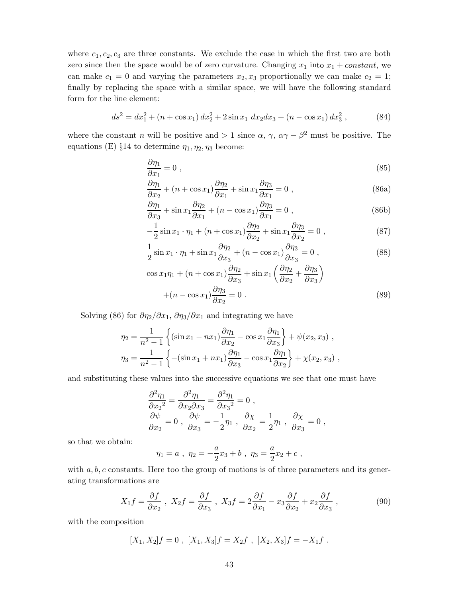where  $c_1, c_2, c_3$  are three constants. We exclude the case in which the first two are both zero since then the space would be of zero curvature. Changing  $x_1$  into  $x_1 + constant$ , we can make  $c_1 = 0$  and varying the parameters  $x_2, x_3$  proportionally we can make  $c_2 = 1$ ; finally by replacing the space with a similar space, we will have the following standard form for the line element:

$$
ds^{2} = dx_{1}^{2} + (n + \cos x_{1}) dx_{2}^{2} + 2 \sin x_{1} dx_{2} dx_{3} + (n - \cos x_{1}) dx_{3}^{2}, \qquad (84)
$$

where the constant *n* will be positive and  $> 1$  since  $\alpha$ ,  $\gamma$ ,  $\alpha\gamma - \beta^2$  must be positive. The equations (E) §14 to determine  $\eta_1, \eta_2, \eta_3$  become:

$$
\frac{\partial \eta_1}{\partial x_1} = 0 \tag{85}
$$

$$
\frac{\partial \eta_1}{\partial x_2} + (n + \cos x_1) \frac{\partial \eta_2}{\partial x_1} + \sin x_1 \frac{\partial \eta_3}{\partial x_1} = 0 ,
$$
\n(86a)

$$
\frac{\partial \eta_1}{\partial x_3} + \sin x_1 \frac{\partial \eta_2}{\partial x_1} + (n - \cos x_1) \frac{\partial \eta_3}{\partial x_1} = 0 ,
$$
\n(86b)

$$
-\frac{1}{2}\sin x_1 \cdot \eta_1 + (n + \cos x_1)\frac{\partial \eta_2}{\partial x_2} + \sin x_1 \frac{\partial \eta_3}{\partial x_2} = 0 ,\qquad (87)
$$

$$
\frac{1}{2}\sin x_1 \cdot \eta_1 + \sin x_1 \frac{\partial \eta_2}{\partial x_3} + (n - \cos x_1) \frac{\partial \eta_3}{\partial x_3} = 0 ,\qquad (88)
$$

$$
\cos x_1 \eta_1 + (n + \cos x_1) \frac{\partial \eta_2}{\partial x_3} + \sin x_1 \left( \frac{\partial \eta_2}{\partial x_2} + \frac{\partial \eta_3}{\partial x_3} \right)
$$

$$
+ (n - \cos x_1) \frac{\partial \eta_3}{\partial x_2} = 0.
$$
(89)

Solving (86) for  $\partial \eta_2 / \partial x_1$ ,  $\partial \eta_3 / \partial x_1$  and integrating we have

$$
\eta_2 = \frac{1}{n^2 - 1} \left\{ (\sin x_1 - nx_1) \frac{\partial \eta_1}{\partial x_2} - \cos x_1 \frac{\partial \eta_1}{\partial x_3} \right\} + \psi(x_2, x_3) ,
$$
  

$$
\eta_3 = \frac{1}{n^2 - 1} \left\{ -(\sin x_1 + nx_1) \frac{\partial \eta_1}{\partial x_3} - \cos x_1 \frac{\partial \eta_1}{\partial x_2} \right\} + \chi(x_2, x_3) ,
$$

and substituting these values into the successive equations we see that one must have

$$
\frac{\partial^2 \eta_1}{\partial x_2^2} = \frac{\partial^2 \eta_1}{\partial x_2 \partial x_3} = \frac{\partial^2 \eta_1}{\partial x_3^2} = 0 ,
$$
  

$$
\frac{\partial \psi}{\partial x_2} = 0 , \frac{\partial \psi}{\partial x_3} = -\frac{1}{2} \eta_1 , \frac{\partial \chi}{\partial x_2} = \frac{1}{2} \eta_1 , \frac{\partial \chi}{\partial x_3} = 0 ,
$$

so that we obtain:

$$
\eta_1 = a
$$
,  $\eta_2 = -\frac{a}{2}x_3 + b$ ,  $\eta_3 = \frac{a}{2}x_2 + c$ ,

with  $a, b, c$  constants. Here too the group of motions is of three parameters and its generating transformations are

$$
X_1 f = \frac{\partial f}{\partial x_2}, \ X_2 f = \frac{\partial f}{\partial x_3}, \ X_3 f = 2\frac{\partial f}{\partial x_1} - x_3 \frac{\partial f}{\partial x_2} + x_2 \frac{\partial f}{\partial x_3}, \tag{90}
$$

with the composition

$$
[X_1, X_2]f = 0, [X_1, X_3]f = X_2f, [X_2, X_3]f = -X_1f.
$$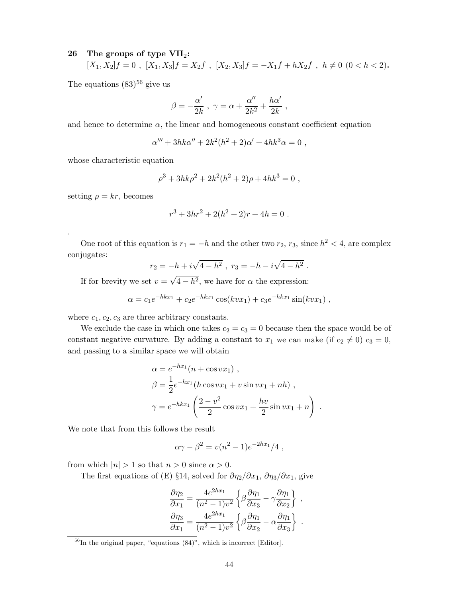#### **26 The groups of type VII**2**:**

$$
[X_1, X_2]f = 0 , [X_1, X_3]f = X_2f , [X_2, X_3]f = -X_1f + hX_2f , h \neq 0 \ (0 < h < 2).
$$

The equations  $(83)^{56}$  give us

$$
\beta = -\frac{\alpha'}{2k} \ , \ \gamma = \alpha + \frac{\alpha''}{2k^2} + \frac{h\alpha'}{2k} \ ,
$$

and hence to determine  $\alpha$ , the linear and homogeneous constant coefficient equation

$$
\alpha^{\prime\prime\prime}+3h k\alpha^{\prime\prime}+2k^2(h^2+2)\alpha^{\prime}+4h k^3\alpha=0\ ,
$$

whose characteristic equation

$$
\rho^3 + 3hk\rho^2 + 2k^2(h^2 + 2)\rho + 4hk^3 = 0,
$$

setting  $\rho = kr$ , becomes

.

$$
r^3 + 3hr^2 + 2(h^2 + 2)r + 4h = 0.
$$

One root of this equation is  $r_1 = -h$  and the other two  $r_2$ ,  $r_3$ , since  $h^2 < 4$ , are complex conjugates:

$$
r_2 = -h + i\sqrt{4 - h^2} , r_3 = -h - i\sqrt{4 - h^2} .
$$

If for brevity we set  $v = \sqrt{4-h^2}$ , we have for  $\alpha$  the expression:

$$
\alpha = c_1 e^{-hkx_1} + c_2 e^{-hkx_1} \cos(kvx_1) + c_3 e^{-hkx_1} \sin(kvx_1) ,
$$

where  $c_1, c_2, c_3$  are three arbitrary constants.

We exclude the case in which one takes  $c_2 = c_3 = 0$  because then the space would be of constant negative curvature. By adding a constant to  $x_1$  we can make (if  $c_2 \neq 0$ )  $c_3 = 0$ , and passing to a similar space we will obtain

$$
\alpha = e^{-hx_1}(n + \cos vx_1),
$$
  
\n
$$
\beta = \frac{1}{2}e^{-hx_1}(h\cos vx_1 + v\sin vx_1 + nh),
$$
  
\n
$$
\gamma = e^{-hkx_1}\left(\frac{2-v^2}{2}\cos vx_1 + \frac{hv}{2}\sin vx_1 + n\right)
$$

*.*

We note that from this follows the result

$$
\alpha \gamma - \beta^2 = v(n^2 - 1)e^{-2hx_1}/4,
$$

from which  $|n| > 1$  so that  $n > 0$  since  $\alpha > 0$ .

The first equations of (E) §14, solved for  $\partial \eta_2 / \partial x_1$ ,  $\partial \eta_3 / \partial x_1$ , give

$$
\frac{\partial \eta_2}{\partial x_1} = \frac{4e^{2hx_1}}{(n^2 - 1)v^2} \left\{ \beta \frac{\partial \eta_1}{\partial x_3} - \gamma \frac{\partial \eta_1}{\partial x_2} \right\} ,
$$

$$
\frac{\partial \eta_3}{\partial x_1} = \frac{4e^{2hx_1}}{(n^2 - 1)v^2} \left\{ \beta \frac{\partial \eta_1}{\partial x_2} - \alpha \frac{\partial \eta_1}{\partial x_3} \right\} .
$$

 $^{56}$ In the original paper, "equations  $(84)$ ", which is incorrect [Editor].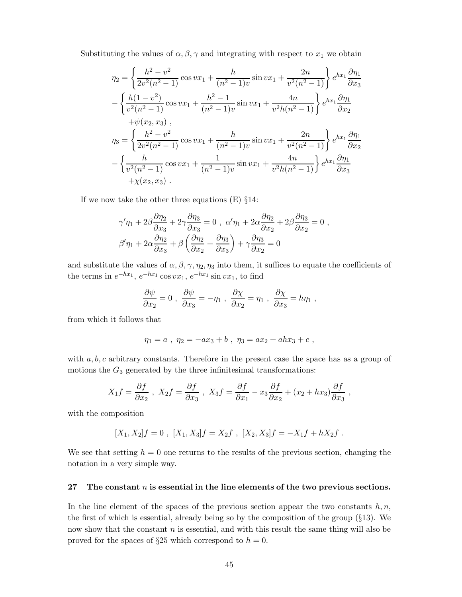Substituting the values of  $\alpha, \beta, \gamma$  and integrating with respect to  $x_1$  we obtain

$$
\eta_2 = \left\{ \frac{h^2 - v^2}{2v^2(n^2 - 1)} \cos vx_1 + \frac{h}{(n^2 - 1)v} \sin vx_1 + \frac{2n}{v^2(n^2 - 1)} \right\} e^{hx_1} \frac{\partial \eta_1}{\partial x_3}
$$

$$
- \left\{ \frac{h(1 - v^2)}{v^2(n^2 - 1)} \cos vx_1 + \frac{h^2 - 1}{(n^2 - 1)v} \sin vx_1 + \frac{4n}{v^2h(n^2 - 1)} \right\} e^{hx_1} \frac{\partial \eta_1}{\partial x_2}
$$

$$
+ \psi(x_2, x_3) ,
$$

$$
\eta_3 = \left\{ \frac{h^2 - v^2}{2v^2(n^2 - 1)} \cos vx_1 + \frac{h}{(n^2 - 1)v} \sin vx_1 + \frac{2n}{v^2(n^2 - 1)} \right\} e^{hx_1} \frac{\partial \eta_1}{\partial x_2}
$$

$$
- \left\{ \frac{h}{v^2(n^2 - 1)} \cos vx_1 + \frac{1}{(n^2 - 1)v} \sin vx_1 + \frac{4n}{v^2h(n^2 - 1)} \right\} e^{hx_1} \frac{\partial \eta_1}{\partial x_3}
$$

$$
+ \chi(x_2, x_3) .
$$

If we now take the other three equations  $(E)$  §14:

$$
\gamma'\eta_1 + 2\beta \frac{\partial \eta_2}{\partial x_3} + 2\gamma \frac{\partial \eta_3}{\partial x_3} = 0 , \alpha'\eta_1 + 2\alpha \frac{\partial \eta_2}{\partial x_2} + 2\beta \frac{\partial \eta_3}{\partial x_2} = 0 ,
$$
  

$$
\beta'\eta_1 + 2\alpha \frac{\partial \eta_2}{\partial x_3} + \beta \left(\frac{\partial \eta_2}{\partial x_2} + \frac{\partial \eta_3}{\partial x_3}\right) + \gamma \frac{\partial \eta_3}{\partial x_2} = 0
$$

and substitute the values of  $\alpha$ ,  $\beta$ ,  $\gamma$ ,  $\eta$ <sub>2</sub>,  $\eta$ <sub>3</sub> into them, it suffices to equate the coefficients of the terms in  $e^{-hx_1}$ ,  $e^{-hx_1} \cos vx_1$ ,  $e^{-hx_1} \sin vx_1$ , to find

$$
\frac{\partial \psi}{\partial x_2} = 0 \; , \; \frac{\partial \psi}{\partial x_3} = -\eta_1 \; , \; \frac{\partial \chi}{\partial x_2} = \eta_1 \; , \; \frac{\partial \chi}{\partial x_3} = h\eta_1 \; ,
$$

from which it follows that

$$
\eta_1 = a \; , \; \eta_2 = -ax_3 + b \; , \; \eta_3 = ax_2 + ahx_3 + c \; ,
$$

with *a, b, c* arbitrary constants. Therefore in the present case the space has as a group of motions the  $G_3$  generated by the three infinitesimal transformations:

$$
X_1 f = \frac{\partial f}{\partial x_2} , \ X_2 f = \frac{\partial f}{\partial x_3} , \ X_3 f = \frac{\partial f}{\partial x_1} - x_3 \frac{\partial f}{\partial x_2} + (x_2 + hx_3) \frac{\partial f}{\partial x_3} ,
$$

with the composition

$$
[X_1, X_2]f = 0, [X_1, X_3]f = X_2f, [X_2, X_3]f = -X_1f + hX_2f.
$$

We see that setting  $h = 0$  one returns to the results of the previous section, changing the notation in a very simple way.

#### **27 The constant** *n* **is essential in the line elements of the two previous sections.**

In the line element of the spaces of the previous section appear the two constants  $h, n$ , the first of which is essential, already being so by the composition of the group (§13). We now show that the constant *n* is essential, and with this result the same thing will also be proved for the spaces of  $\S 25$  which correspond to  $h = 0$ .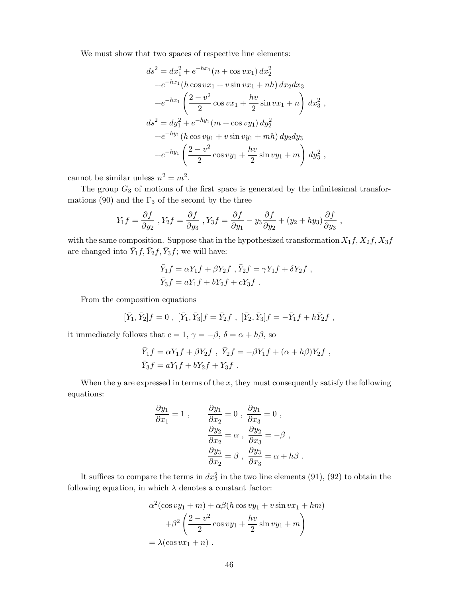We must show that two spaces of respective line elements:

$$
ds^{2} = dx_{1}^{2} + e^{-hx_{1}}(n + \cos vx_{1}) dx_{2}^{2}
$$
  
+ $e^{-hx_{1}}(h \cos vx_{1} + v \sin vx_{1} + nh) dx_{2} dx_{3}$   
+ $e^{-hx_{1}}\left(\frac{2 - v^{2}}{2} \cos vx_{1} + \frac{hv}{2} \sin vx_{1} + n\right) dx_{3}^{2}$ ,  
 $ds^{2} = dy_{1}^{2} + e^{-hy_{1}}(m + \cos vy_{1}) dy_{2}^{2}$   
+ $e^{-hy_{1}}(h \cos vy_{1} + v \sin vy_{1} + mh) dy_{2} dy_{3}$   
+ $e^{-hy_{1}}\left(\frac{2 - v^{2}}{2} \cos vy_{1} + \frac{hv}{2} \sin vy_{1} + m\right) dy_{3}^{2}$ ,

cannot be similar unless  $n^2 = m^2$ .

The group  $G_3$  of motions of the first space is generated by the infinitesimal transformations (90) and the  $\Gamma_3$  of the second by the three

$$
Y_1 f = \frac{\partial f}{\partial y_2} , Y_2 f = \frac{\partial f}{\partial y_3} , Y_3 f = \frac{\partial f}{\partial y_1} - y_3 \frac{\partial f}{\partial y_2} + (y_2 + hy_3) \frac{\partial f}{\partial y_3} ,
$$

with the same composition. Suppose that in the hypothesized transformation  $X_1 f, X_2 f, X_3 f$ are changed into  $\bar{Y}_1 f$ ,  $\bar{Y}_2 f$ ,  $\bar{Y}_3 f$ ; we will have:

$$
\bar{Y}_1 f = \alpha Y_1 f + \beta Y_2 f , \bar{Y}_2 f = \gamma Y_1 f + \delta Y_2 f ,
$$
  

$$
\bar{Y}_3 f = a Y_1 f + b Y_2 f + c Y_3 f .
$$

From the composition equations

$$
[\bar{Y}_1, \bar{Y}_2]f = 0 , [\bar{Y}_1, \bar{Y}_3]f = \bar{Y}_2f , [\bar{Y}_2, \bar{Y}_3]f = -\bar{Y}_1f + h\bar{Y}_2f ,
$$

it immediately follows that  $c = 1$ ,  $\gamma = -\beta$ ,  $\delta = \alpha + h\beta$ , so

$$
\begin{split} \bar{Y}_1f&=\alpha Y_1f+\beta Y_2f\ ,\ \bar{Y}_2f=-\beta Y_1f+(\alpha+h\beta)Y_2f\ ,\\ \bar{Y}_3f&=aY_1f+bY_2f+Y_3f\ . \end{split}
$$

When the *y* are expressed in terms of the *x*, they must consequently satisfy the following equations:

$$
\frac{\partial y_1}{\partial x_1} = 1 , \qquad \frac{\partial y_1}{\partial x_2} = 0 , \frac{\partial y_1}{\partial x_3} = 0 ,
$$

$$
\frac{\partial y_2}{\partial x_2} = \alpha , \frac{\partial y_2}{\partial x_3} = -\beta ,
$$

$$
\frac{\partial y_3}{\partial x_2} = \beta , \frac{\partial y_3}{\partial x_3} = \alpha + h\beta .
$$

It suffices to compare the terms in  $dx_2^2$  in the two line elements (91), (92) to obtain the following equation, in which  $\lambda$  denotes a constant factor:

$$
\alpha^2(\cos vy_1 + m) + \alpha\beta(h\cos vy_1 + v\sin vx_1 + hm)
$$

$$
+ \beta^2\left(\frac{2 - v^2}{2}\cos vy_1 + \frac{hv}{2}\sin vy_1 + m\right)
$$

$$
= \lambda(\cos vx_1 + n).
$$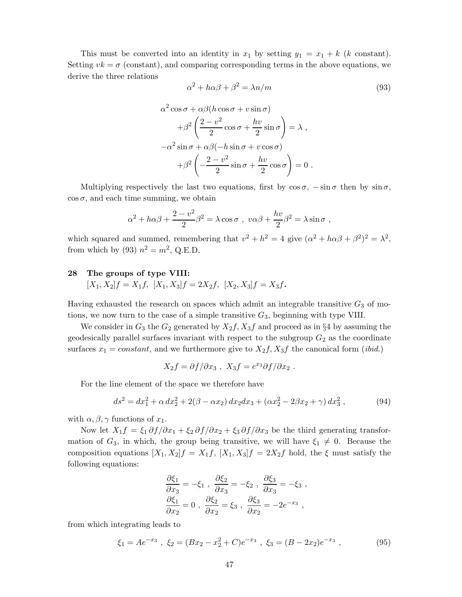This must be converted into an identity in  $x_1$  by setting  $y_1 = x_1 + k$  (*k* constant). Setting  $vk = \sigma$  (constant), and comparing corresponding terms in the above equations, we derive the three relations

$$
\alpha^2 + h\alpha\beta + \beta^2 = \lambda n/m \tag{93}
$$

$$
\alpha^2 \cos \sigma + \alpha \beta (h \cos \sigma + v \sin \sigma)
$$

$$
+ \beta^2 \left( \frac{2 - v^2}{2} \cos \sigma + \frac{hv}{2} \sin \sigma \right) = \lambda ,
$$

$$
- \alpha^2 \sin \sigma + \alpha \beta (-h \sin \sigma + v \cos \sigma)
$$

$$
+ \beta^2 \left( -\frac{2 - v^2}{2} \sin \sigma + \frac{hv}{2} \cos \sigma \right) = 0 .
$$

Multiplying respectively the last two equations, first by  $\cos \sigma$ ,  $-\sin \sigma$  then by  $\sin \sigma$ ,  $\cos \sigma$ , and each time summing, we obtain

$$
\alpha^2 + h\alpha\beta + \frac{2 - v^2}{2}\beta^2 = \lambda\cos\sigma , \ v\alpha\beta + \frac{hv}{2}\beta^2 = \lambda\sin\sigma ,
$$

which squared and summed, remembering that  $v^2 + h^2 = 4$  give  $(\alpha^2 + h\alpha\beta + \beta^2)^2 = \lambda^2$ , from which by (93)  $n^2 = m^2$ , Q.E.D.

#### **28 The groups of type VIII:**

 $[X_1, X_2]f = X_1f, [X_1, X_3]f = 2X_2f, [X_2, X_3]f = X_3f$ .

Having exhausted the research on spaces which admit an integrable transitive  $G_3$  of motions, we now turn to the case of a simple transitive  $G_3$ , beginning with type VIII.

We consider in  $G_3$  the  $G_2$  generated by  $X_2f$ ,  $X_3f$  and proceed as in §4 by assuming the geodesically parallel surfaces invariant with respect to the subgroup *G*<sup>2</sup> as the coordinate surfaces  $x_1 = constant$ , and we furthermore give to  $X_2 f$ ,  $X_3 f$  the canonical form *(ibid.)* 

$$
X_2f = \partial f/\partial x_3 , X_3f = e^{x_3}\partial f/\partial x_2 .
$$

For the line element of the space we therefore have

$$
ds^{2} = dx_{1}^{2} + \alpha dx_{2}^{2} + 2(\beta - \alpha x_{2}) dx_{2} dx_{3} + (\alpha x_{2}^{2} - 2\beta x_{2} + \gamma) dx_{3}^{2}, \qquad (94)
$$

with  $\alpha, \beta, \gamma$  functions of  $x_1$ .

Now let  $X_1 f = \xi_1 \partial f / \partial x_1 + \xi_2 \partial f / \partial x_2 + \xi_3 \partial f / \partial x_3$  be the third generating transformation of  $G_3$ , in which, the group being transitive, we will have  $\xi_1 \neq 0$ . Because the composition equations  $[X_1, X_2]f = X_1f$ ,  $[X_1, X_3]f = 2X_2f$  hold, the  $\xi$  must satisfy the following equations:

$$
\frac{\partial \xi_1}{\partial x_3} = -\xi_1 , \frac{\partial \xi_2}{\partial x_3} = -\xi_2 , \frac{\partial \xi_3}{\partial x_3} = -\xi_3 ,
$$
  

$$
\frac{\partial \xi_1}{\partial x_2} = 0 , \frac{\partial \xi_2}{\partial x_2} = \xi_3 , \frac{\partial \xi_3}{\partial x_2} = -2e^{-x_3} ,
$$

from which integrating leads to

$$
\xi_1 = Ae^{-x_3}
$$
,  $\xi_2 = (Bx_2 - x_2^2 + C)e^{-x_3}$ ,  $\xi_3 = (B - 2x_2)e^{-x_3}$ , (95)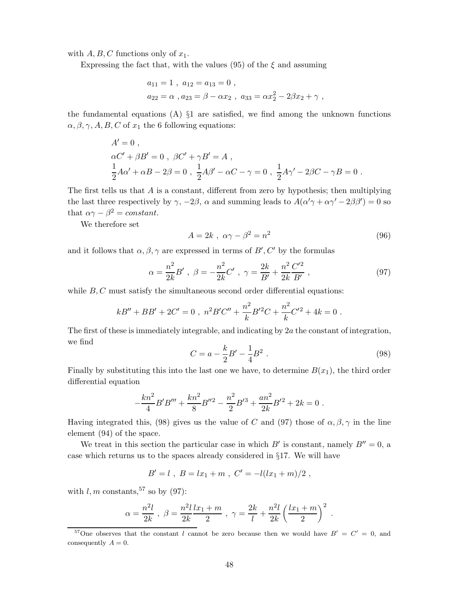with  $A, B, C$  functions only of  $x_1$ .

Expressing the fact that, with the values  $(95)$  of the  $\xi$  and assuming

$$
a_{11} = 1
$$
,  $a_{12} = a_{13} = 0$ ,  
\n $a_{22} = \alpha$ ,  $a_{23} = \beta - \alpha x_2$ ,  $a_{33} = \alpha x_2^2 - 2\beta x_2 + \gamma$ ,

the fundamental equations  $(A)$   $\S1$  are satisfied, we find among the unknown functions  $\alpha, \beta, \gamma, A, B, C$  of  $x_1$  the 6 following equations:

$$
A' = 0 ,\n\alpha C' + \beta B' = 0 , \ \beta C' + \gamma B' = A ,\n\frac{1}{2}A\alpha' + \alpha B - 2\beta = 0 , \ \frac{1}{2}A\beta' - \alpha C - \gamma = 0 , \ \frac{1}{2}A\gamma' - 2\beta C - \gamma B = 0 .
$$

The first tells us that *A* is a constant, different from zero by hypothesis; then multiplying the last three respectively by  $\gamma$ ,  $-2\beta$ ,  $\alpha$  and summing leads to  $A(\alpha'\gamma + \alpha\gamma' - 2\beta\beta') = 0$  so that  $\alpha \gamma - \beta^2 = constant$ .

We therefore set

$$
A = 2k \, , \, \alpha\gamma - \beta^2 = n^2 \tag{96}
$$

and it follows that  $\alpha, \beta, \gamma$  are expressed in terms of  $B', C'$  by the formulas

$$
\alpha = \frac{n^2}{2k} B' , \ \beta = -\frac{n^2}{2k} C' , \ \gamma = \frac{2k}{B'} + \frac{n^2}{2k} \frac{C'^2}{B'} , \tag{97}
$$

while *B*, *C* must satisfy the simultaneous second order differential equations:

$$
kB'' + BB' + 2C' = 0
$$
,  $n^2B'C'' + \frac{n^2}{k}B'^2C + \frac{n^2}{k}C'^2 + 4k = 0$ .

The first of these is immediately integrable, and indicating by 2*a* the constant of integration, we find

$$
C = a - \frac{k}{2}B' - \frac{1}{4}B^2
$$
 (98)

Finally by substituting this into the last one we have, to determine  $B(x_1)$ , the third order differential equation

$$
-\frac{kn^2}{4}B'B''' + \frac{kn^2}{8}B''^2 - \frac{n^2}{2}B'^3 + \frac{an^2}{2k}B'^2 + 2k = 0.
$$

Having integrated this, (98) gives us the value of *C* and (97) those of  $\alpha, \beta, \gamma$  in the line element (94) of the space.

We treat in this section the particular case in which  $B'$  is constant, namely  $B'' = 0$ , a case which returns us to the spaces already considered in §17. We will have

$$
B'=l \ , \ B=lx_1+m \ , \ C'= -l(lx_1+m)/2 \ ,
$$

with  $l, m$  constants, <sup>57</sup> so by (97):

$$
\alpha = \frac{n^2l}{2k}
$$
,  $\beta = \frac{n^2l}{2k} \frac{l x_1 + m}{2}$ ,  $\gamma = \frac{2k}{l} + \frac{n^2l}{2k} \left(\frac{l x_1 + m}{2}\right)^2$ .

<sup>&</sup>lt;sup>57</sup>One observes that the constant *l* cannot be zero because then we would have  $B' = C' = 0$ , and consequently  $A = 0$ .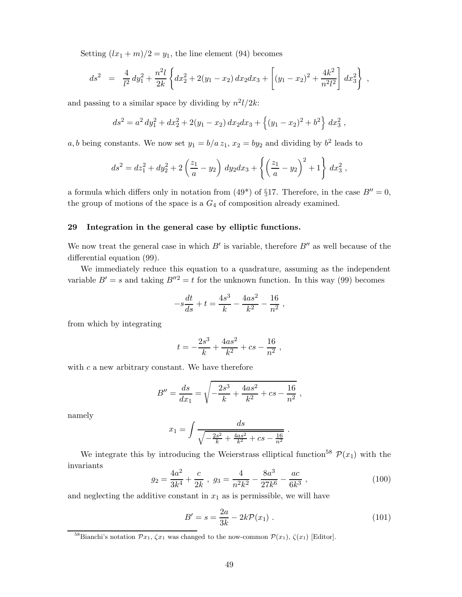Setting  $(lx_1 + m)/2 = y_1$ , the line element (94) becomes

$$
ds^2 = \frac{4}{l^2} dy_1^2 + \frac{n^2 l}{2k} \left\{ dx_2^2 + 2(y_1 - x_2) dx_2 dx_3 + \left[ (y_1 - x_2)^2 + \frac{4k^2}{n^2 l^2} \right] dx_3^2 \right\} ,
$$

and passing to a similar space by dividing by  $n^2l/2k$ :

$$
ds^{2} = a^{2} dy_{1}^{2} + dx_{2}^{2} + 2(y_{1} - x_{2}) dx_{2} dx_{3} + \{(y_{1} - x_{2})^{2} + b^{2}\} dx_{3}^{2},
$$

*a, b* being constants. We now set  $y_1 = b/a z_1$ ,  $x_2 = by_2$  and dividing by  $b^2$  leads to

$$
ds^{2} = dz_{1}^{2} + dy_{2}^{2} + 2\left(\frac{z_{1}}{a} - y_{2}\right) dy_{2} dx_{3} + \left\{\left(\frac{z_{1}}{a} - y_{2}\right)^{2} + 1\right\} dx_{3}^{2},
$$

a formula which differs only in notation from (49<sup>\*</sup>) of §17. Therefore, in the case  $B'' = 0$ , the group of motions of the space is a  $G_4$  of composition already examined.

#### **29 Integration in the general case by elliptic functions.**

We now treat the general case in which  $B'$  is variable, therefore  $B''$  as well because of the differential equation (99).

We immediately reduce this equation to a quadrature, assuming as the independent variable  $B' = s$  and taking  $B''^2 = t$  for the unknown function. In this way (99) becomes

$$
-s\frac{dt}{ds} + t = \frac{4s^3}{k} - \frac{4as^2}{k^2} - \frac{16}{n^2},
$$

from which by integrating

$$
t = -\frac{2s^3}{k} + \frac{4as^2}{k^2} + cs - \frac{16}{n^2} ,
$$

with *c* a new arbitrary constant. We have therefore

$$
B'' = \frac{ds}{dx_1} = \sqrt{-\frac{2s^3}{k} + \frac{4as^2}{k^2} + cs - \frac{16}{n^2}},
$$

namely

$$
x_1 = \int \frac{ds}{\sqrt{-\frac{2s^2}{k} + \frac{4as^2}{k^2} + cs - \frac{16}{n^2}}}.
$$

We integrate this by introducing the Weierstrass elliptical function<sup>58</sup>  $\mathcal{P}(x_1)$  with the invariants

$$
g_2 = \frac{4a^2}{3k^4} + \frac{c}{2k} , \ g_3 = \frac{4}{n^2k^2} - \frac{8a^3}{27k^6} - \frac{ac}{6k^3} , \tag{100}
$$

and neglecting the additive constant in  $x_1$  as is permissible, we will have

$$
B' = s = \frac{2a}{3k} - 2k\mathcal{P}(x_1) \tag{101}
$$

<sup>&</sup>lt;sup>58</sup>Bianchi's notation  $\mathcal{P}x_1, \zeta x_1$  was changed to the now-common  $\mathcal{P}(x_1), \zeta(x_1)$  [Editor].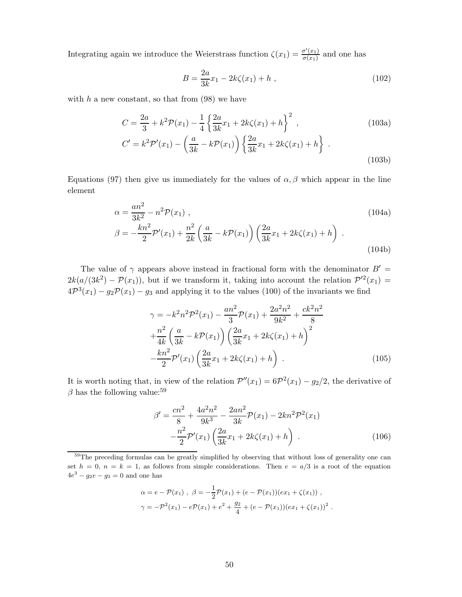Integrating again we introduce the Weierstrass function  $\zeta(x_1) = \frac{\sigma'(x_1)}{\sigma(x_1)}$  and one has

$$
B = \frac{2a}{3k}x_1 - 2k\zeta(x_1) + h \t{,} \t(102)
$$

with  $h$  a new constant, so that from  $(98)$  we have

$$
C = \frac{2a}{3} + k^2 \mathcal{P}(x_1) - \frac{1}{4} \left\{ \frac{2a}{3k} x_1 + 2k\zeta(x_1) + h \right\}^2,
$$
\n
$$
C' = k^2 \mathcal{P}'(x_1) - \left( \frac{a}{3k} - k \mathcal{P}(x_1) \right) \left\{ \frac{2a}{3k} x_1 + 2k\zeta(x_1) + h \right\}.
$$
\n(103a)

Equations (97) then give us immediately for the values of  $\alpha$ ,  $\beta$  which appear in the line element

$$
\alpha = \frac{an^2}{3k^2} - n^2 \mathcal{P}(x_1) ,
$$
\n
$$
\beta = -\frac{kn^2}{2} \mathcal{P}'(x_1) + \frac{n^2}{2k} \left( \frac{a}{3k} - k \mathcal{P}(x_1) \right) \left( \frac{2a}{3k} x_1 + 2k\zeta(x_1) + h \right) .
$$
\n(104b)

The value of  $\gamma$  appears above instead in fractional form with the denominator  $B' =$  $2k(a/(3k^2) - \mathcal{P}(x_1))$ , but if we transform it, taking into account the relation  $\mathcal{P}'^2(x_1) =$  $4\mathcal{P}^{3}(x_1) - g_2\mathcal{P}(x_1) - g_3$  and applying it to the values (100) of the invariants we find

$$
\gamma = -k^2 n^2 \mathcal{P}^2(x_1) - \frac{an^2}{3} \mathcal{P}(x_1) + \frac{2a^2 n^2}{9k^2} + \frac{ck^2 n^2}{8} \n+ \frac{n^2}{4k} \left( \frac{a}{3k} - k \mathcal{P}(x_1) \right) \left( \frac{2a}{3k} x_1 + 2k \zeta(x_1) + h \right)^2 \n- \frac{kn^2}{2} \mathcal{P}'(x_1) \left( \frac{2a}{3k} x_1 + 2k \zeta(x_1) + h \right).
$$
\n(105)

It is worth noting that, in view of the relation  $\mathcal{P}''(x_1)=6\mathcal{P}^2(x_1)-g_2/2$ , the derivative of  $\beta$  has the following value:<sup>59</sup>

$$
\beta' = \frac{cn^2}{8} + \frac{4a^2n^2}{9k^3} - \frac{2an^2}{3k}\mathcal{P}(x_1) - 2kn^2\mathcal{P}^2(x_1) - \frac{n^2}{2}\mathcal{P}'(x_1)\left(\frac{2a}{3k}x_1 + 2k\zeta(x_1) + h\right) \,. \tag{106}
$$

$$
\alpha = e - \mathcal{P}(x_1) , \ \beta = -\frac{1}{2}\mathcal{P}(x_1) + (e - \mathcal{P}(x_1))(ex_1 + \zeta(x_1)) ,
$$
  

$$
\gamma = -\mathcal{P}^2(x_1) - e\mathcal{P}(x_1) + e^2 + \frac{g_2}{4} + (e - \mathcal{P}(x_1))(ex_1 + \zeta(x_1))^2 .
$$

<sup>&</sup>lt;sup>59</sup>The preceding formulas can be greatly simplified by observing that without loss of generality one can set  $h = 0$ ,  $n = k = 1$ , as follows from simple considerations. Then  $e = a/3$  is a root of the equation  $4e^3 - g_2e - g_3 = 0$  and one has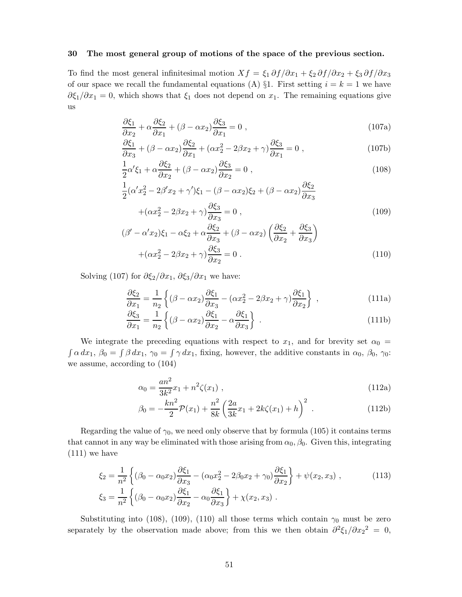#### **30 The most general group of motions of the space of the previous section.**

To find the most general infinitesimal motion  $Xf = \xi_1 \frac{\partial f}{\partial x_1} + \xi_2 \frac{\partial f}{\partial x_2} + \xi_3 \frac{\partial f}{\partial x_3}$ of our space we recall the fundamental equations (A)  $\S1$ . First setting  $i = k = 1$  we have  $\partial \xi_1/\partial x_1 = 0$ , which shows that  $\xi_1$  does not depend on  $x_1$ . The remaining equations give us

$$
\frac{\partial \xi_1}{\partial x_2} + \alpha \frac{\partial \xi_2}{\partial x_1} + (\beta - \alpha x_2) \frac{\partial \xi_3}{\partial x_1} = 0 ,
$$
\n(107a)

$$
\frac{\partial \xi_1}{\partial x_3} + (\beta - \alpha x_2) \frac{\partial \xi_2}{\partial x_1} + (\alpha x_2^2 - 2\beta x_2 + \gamma) \frac{\partial \xi_3}{\partial x_1} = 0,
$$
\n(107b)

$$
\frac{1}{2}\alpha'\xi_1 + \alpha\frac{\partial\xi_2}{\partial x_2} + (\beta - \alpha x_2)\frac{\partial\xi_3}{\partial x_2} = 0,
$$
\n(108)

$$
\frac{1}{2}(\alpha' x_2^2 - 2\beta' x_2 + \gamma')\xi_1 - (\beta - \alpha x_2)\xi_2 + (\beta - \alpha x_2)\frac{\partial \xi_2}{\partial x_3} + (\alpha x_2^2 - 2\beta x_2 + \gamma)\frac{\partial \xi_3}{\partial x_3} = 0,
$$
\n(109)

$$
+(\alpha x_2^2 - 2\beta x_2 + \gamma) \frac{\partial \varsigma_3}{\partial x_3} = 0,
$$
\n
$$
(\beta' - \alpha' x_2)\xi_1 - \alpha \xi_2 + \alpha \frac{\partial \xi_2}{\partial x_3} + (\beta - \alpha x_2) \left(\frac{\partial \xi_2}{\partial x_2} + \frac{\partial \xi_3}{\partial x_3}\right)
$$
\n(109)

$$
+(\alpha x_2^2 - 2\beta x_2 + \gamma)\frac{\partial \xi_3}{\partial x_2} = 0.
$$
\n(110)

Solving (107) for  $\partial \xi_2 / \partial x_1$ ,  $\partial \xi_3 / \partial x_1$  we have:

$$
\frac{\partial \xi_2}{\partial x_1} = \frac{1}{n_2} \left\{ (\beta - \alpha x_2) \frac{\partial \xi_1}{\partial x_3} - (\alpha x_2^2 - 2\beta x_2 + \gamma) \frac{\partial \xi_1}{\partial x_2} \right\},
$$
\n(111a)

$$
\frac{\partial \xi_3}{\partial x_1} = \frac{1}{n_2} \left\{ (\beta - \alpha x_2) \frac{\partial \xi_1}{\partial x_2} - \alpha \frac{\partial \xi_1}{\partial x_3} \right\}.
$$
\n(111b)

We integrate the preceding equations with respect to  $x_1$ , and for brevity set  $\alpha_0 =$ <br> $\int \alpha dx_1$ ,  $\beta_0 = \int \beta dx_1$ ,  $\gamma_0 = \int \gamma dx_1$ , fixing, however, the additive constants in  $\alpha_0$ ,  $\beta_0$ ,  $\gamma_0$ : we assume, according to (104)

$$
\alpha_0 = \frac{an^2}{3k^2}x_1 + n^2\zeta(x_1) \tag{112a}
$$

$$
\beta_0 = -\frac{k n^2}{2} \mathcal{P}(x_1) + \frac{n^2}{8k} \left( \frac{2a}{3k} x_1 + 2k\zeta(x_1) + h \right)^2 \,. \tag{112b}
$$

Regarding the value of  $\gamma_0$ , we need only observe that by formula (105) it contains terms that cannot in any way be eliminated with those arising from  $\alpha_0$ ,  $\beta_0$ . Given this, integrating (111) we have

$$
\xi_2 = \frac{1}{n^2} \left\{ (\beta_0 - \alpha_0 x_2) \frac{\partial \xi_1}{\partial x_3} - (\alpha_0 x_2^2 - 2\beta_0 x_2 + \gamma_0) \frac{\partial \xi_1}{\partial x_2} \right\} + \psi(x_2, x_3) ,
$$
\n(113)\n
$$
\xi_3 = \frac{1}{n^2} \left\{ (\beta_0 - \alpha_0 x_2) \frac{\partial \xi_1}{\partial x_2} - \alpha_0 \frac{\partial \xi_1}{\partial x_3} \right\} + \chi(x_2, x_3) .
$$

Substituting into (108), (109), (110) all those terms which contain  $\gamma_0$  must be zero separately by the observation made above; from this we then obtain  $\partial^2 \xi_1 / \partial x_2^2 = 0$ ,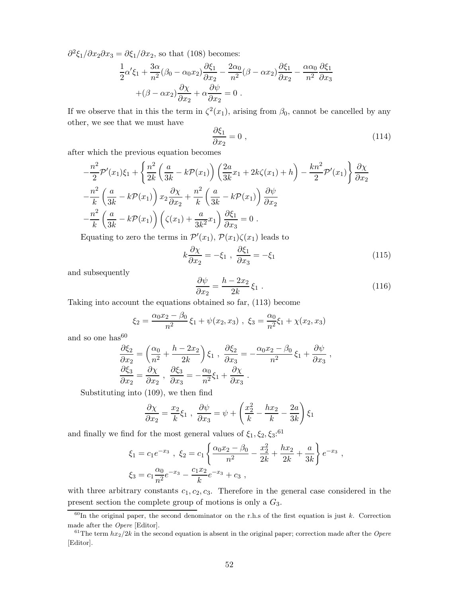$\partial^2 \xi_1 / \partial x_2 \partial x_3 = \partial \xi_1 / \partial x_2$ , so that (108) becomes:

$$
\frac{1}{2}\alpha'\xi_1 + \frac{3\alpha}{n^2}(\beta_0 - \alpha_0 x_2)\frac{\partial \xi_1}{\partial x_2} - \frac{2\alpha_0}{n^2}(\beta - \alpha x_2)\frac{\partial \xi_1}{\partial x_2} - \frac{\alpha \alpha_0}{n^2}\frac{\partial \xi_1}{\partial x_3} \n+ (\beta - \alpha x_2)\frac{\partial \chi}{\partial x_2} + \alpha \frac{\partial \psi}{\partial x_2} = 0.
$$

If we observe that in this the term in  $\zeta^2(x_1)$ , arising from  $\beta_0$ , cannot be cancelled by any other, we see that we must have

$$
\frac{\partial \xi_1}{\partial x_2} = 0 \tag{114}
$$

after which the previous equation becomes

$$
-\frac{n^2}{2}\mathcal{P}'(x_1)\xi_1 + \left\{\frac{n^2}{2k}\left(\frac{a}{3k} - k\mathcal{P}(x_1)\right)\left(\frac{2a}{3k}x_1 + 2k\zeta(x_1) + h\right) - \frac{kn^2}{2}\mathcal{P}'(x_1)\right\}\frac{\partial\chi}{\partial x_2} -\frac{n^2}{k}\left(\frac{a}{3k} - k\mathcal{P}(x_1)\right)x_2\frac{\partial\chi}{\partial x_2} + \frac{n^2}{k}\left(\frac{a}{3k} - k\mathcal{P}(x_1)\right)\frac{\partial\psi}{\partial x_2} -\frac{n^2}{k}\left(\frac{a}{3k} - k\mathcal{P}(x_1)\right)\left(\zeta(x_1) + \frac{a}{3k^2}x_1\right)\frac{\partial\xi_1}{\partial x_3} = 0.
$$

Equating to zero the terms in  $\mathcal{P}'(x_1)$ ,  $\mathcal{P}(x_1)\zeta(x_1)$  leads to

$$
k\frac{\partial \chi}{\partial x_2} = -\xi_1 \ , \ \frac{\partial \xi_1}{\partial x_3} = -\xi_1 \tag{115}
$$

and subsequently

$$
\frac{\partial \psi}{\partial x_2} = \frac{h - 2x_2}{2k} \xi_1 \,. \tag{116}
$$

Taking into account the equations obtained so far, (113) become

$$
\xi_2 = \frac{\alpha_0 x_2 - \beta_0}{n^2} \xi_1 + \psi(x_2, x_3) , \xi_3 = \frac{\alpha_0}{n^2} \xi_1 + \chi(x_2, x_3)
$$

and so one  $\rm has^{60}$ 

$$
\frac{\partial \xi_2}{\partial x_2} = \left(\frac{\alpha_0}{n^2} + \frac{h - 2x_2}{2k}\right) \xi_1 , \frac{\partial \xi_2}{\partial x_3} = -\frac{\alpha_0 x_2 - \beta_0}{n^2} \xi_1 + \frac{\partial \psi}{\partial x_3} ,
$$
  

$$
\frac{\partial \xi_3}{\partial x_2} = \frac{\partial \chi}{\partial x_2} , \frac{\partial \xi_3}{\partial x_3} = -\frac{\alpha_0}{n^2} \xi_1 + \frac{\partial \chi}{\partial x_3} .
$$

Substituting into (109), we then find

$$
\frac{\partial \chi}{\partial x_2} = \frac{x_2}{k} \xi_1 , \frac{\partial \psi}{\partial x_3} = \psi + \left( \frac{x_2^2}{k} - \frac{hx_2}{k} - \frac{2a}{3k} \right) \xi_1
$$

and finally we find for the most general values of  $\xi_1, \xi_2, \xi_3$ <sup>.61</sup>

$$
\xi_1 = c_1 e^{-x_3} , \xi_2 = c_1 \left\{ \frac{\alpha_0 x_2 - \beta_0}{n^2} - \frac{x_2^2}{2k} + \frac{hx_2}{2k} + \frac{a}{3k} \right\} e^{-x_3} ,
$$
  

$$
\xi_3 = c_1 \frac{\alpha_0}{n^2} e^{-x_3} - \frac{c_1 x_2}{k} e^{-x_3} + c_3 ,
$$

with three arbitrary constants  $c_1, c_2, c_3$ . Therefore in the general case considered in the present section the complete group of motions is only a *G*3.

 $60$ In the original paper, the second denominator on the r.h.s of the first equation is just *k*. Correction made after the Opere [Editor].

 $61$ The term  $hx_2/2k$  in the second equation is absent in the original paper; correction made after the *Opere* [Editor].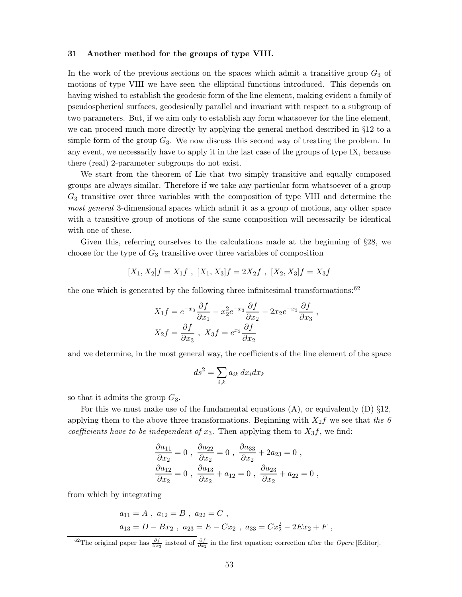#### **31 Another method for the groups of type VIII.**

In the work of the previous sections on the spaces which admit a transitive group *G*<sup>3</sup> of motions of type VIII we have seen the elliptical functions introduced. This depends on having wished to establish the geodesic form of the line element, making evident a family of pseudospherical surfaces, geodesically parallel and invariant with respect to a subgroup of two parameters. But, if we aim only to establish any form whatsoever for the line element, we can proceed much more directly by applying the general method described in §12 to a simple form of the group  $G_3$ . We now discuss this second way of treating the problem. In any event, we necessarily have to apply it in the last case of the groups of type IX, because there (real) 2-parameter subgroups do not exist.

We start from the theorem of Lie that two simply transitive and equally composed groups are always similar. Therefore if we take any particular form whatsoever of a group *G*<sup>3</sup> transitive over three variables with the composition of type VIII and determine the *most general* 3-dimensional spaces which admit it as a group of motions, any other space with a transitive group of motions of the same composition will necessarily be identical with one of these.

Given this, referring ourselves to the calculations made at the beginning of §28, we choose for the type of *G*<sup>3</sup> transitive over three variables of composition

$$
[X_1, X_2]f = X_1f , [X_1, X_3]f = 2X_2f , [X_2, X_3]f = X_3f
$$

the one which is generated by the following three infinitesimal transformations:<sup>62</sup>

$$
X_1 f = e^{-x_3} \frac{\partial f}{\partial x_1} - x_2^2 e^{-x_3} \frac{\partial f}{\partial x_2} - 2x_2 e^{-x_3} \frac{\partial f}{\partial x_3} ,
$$
  

$$
X_2 f = \frac{\partial f}{\partial x_3} , X_3 f = e^{x_3} \frac{\partial f}{\partial x_2}
$$

and we determine, in the most general way, the coefficients of the line element of the space

$$
ds^2 = \sum_{i,k} a_{ik} dx_i dx_k
$$

so that it admits the group *G*3.

For this we must make use of the fundamental equations  $(A)$ , or equivalently  $(D) \S 12$ , applying them to the above three transformations. Beginning with *X*2*f* we see that *the 6 coefficients have to be independent of*  $x_3$ . Then applying them to  $X_3f$ , we find:

$$
\frac{\partial a_{11}}{\partial x_2} = 0, \quad \frac{\partial a_{22}}{\partial x_2} = 0, \quad \frac{\partial a_{33}}{\partial x_2} + 2a_{23} = 0,
$$
  

$$
\frac{\partial a_{12}}{\partial x_2} = 0, \quad \frac{\partial a_{13}}{\partial x_2} + a_{12} = 0, \quad \frac{\partial a_{23}}{\partial x_2} + a_{22} = 0,
$$

from which by integrating

$$
a_{11} = A
$$
,  $a_{12} = B$ ,  $a_{22} = C$ ,  
 $a_{13} = D - Bx_2$ ,  $a_{23} = E - Cx_2$ ,  $a_{33} = Cx_2^2 - 2Ex_2 + F$ ,

<sup>&</sup>lt;sup>62</sup>The original paper has  $\frac{\partial f}{\partial x_3}$  instead of  $\frac{\partial f}{\partial x_2}$  in the first equation; correction after the *Opere* [Editor].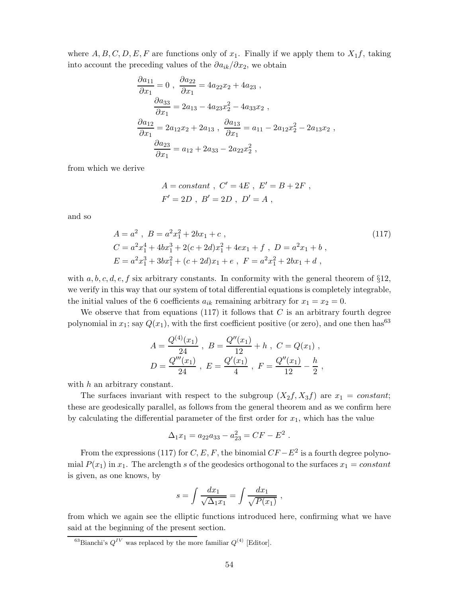where  $A, B, C, D, E, F$  are functions only of  $x_1$ . Finally if we apply them to  $X_1 f$ , taking into account the preceding values of the *∂a*ik*/∂x*2, we obtain

$$
\frac{\partial a_{11}}{\partial x_1} = 0, \quad \frac{\partial a_{22}}{\partial x_1} = 4a_{22}x_2 + 4a_{23},
$$
  

$$
\frac{\partial a_{33}}{\partial x_1} = 2a_{13} - 4a_{23}x_2^2 - 4a_{33}x_2,
$$
  

$$
\frac{\partial a_{12}}{\partial x_1} = 2a_{12}x_2 + 2a_{13}, \quad \frac{\partial a_{13}}{\partial x_1} = a_{11} - 2a_{12}x_2^2 - 2a_{13}x_2,
$$
  

$$
\frac{\partial a_{23}}{\partial x_1} = a_{12} + 2a_{33} - 2a_{22}x_2^2,
$$

from which we derive

$$
A = constant
$$
,  $C' = 4E$ ,  $E' = B + 2F$ ,  
 $F' = 2D$ ,  $B' = 2D$ ,  $D' = A$ ,

and so

$$
A = a2, B = a2x12 + 2bx1 + c,
$$
  
\nC = a<sup>2</sup>x<sub>1</sub><sup>4</sup> + 4bx<sub>1</sub><sup>3</sup> + 2(c + 2d)x<sub>1</sub><sup>2</sup> + 4ex<sub>1</sub> + f, D = a<sup>2</sup>x<sub>1</sub> + b,  
\nE = a<sup>2</sup>x<sub>1</sub><sup>3</sup> + 3bx<sub>1</sub><sup>2</sup> + (c + 2d)x<sub>1</sub> + e, F = a<sup>2</sup>x<sub>1</sub><sup>2</sup> + 2bx<sub>1</sub> + d,\n(117)

with  $a, b, c, d, e, f$  six arbitrary constants. In conformity with the general theorem of §12, we verify in this way that our system of total differential equations is completely integrable, the initial values of the 6 coefficients  $a_{ik}$  remaining arbitrary for  $x_1 = x_2 = 0$ .

We observe that from equations (117) it follows that *C* is an arbitrary fourth degree polynomial in  $x_1$ ; say  $Q(x_1)$ , with the first coefficient positive (or zero), and one then has<sup>63</sup>

$$
A = \frac{Q^{(4)}(x_1)}{24} , B = \frac{Q''(x_1)}{12} + h , C = Q(x_1) ,
$$
  

$$
D = \frac{Q'''(x_1)}{24} , E = \frac{Q'(x_1)}{4} , F = \frac{Q''(x_1)}{12} - \frac{h}{2} ,
$$

with *h* an arbitrary constant.

The surfaces invariant with respect to the subgroup  $(X_2f, X_3f)$  are  $x_1 = constant$ ; these are geodesically parallel, as follows from the general theorem and as we confirm here by calculating the differential parameter of the first order for  $x_1$ , which has the value

$$
\Delta_1 x_1 = a_{22} a_{33} - a_{23}^2 = C F - E^2.
$$

From the expressions (117) for *C*, *E*, *F*, the binomial  $CF - E^2$  is a fourth degree polynomial  $P(x_1)$  in  $x_1$ . The arclength *s* of the geodesics orthogonal to the surfaces  $x_1 = constant$ is given, as one knows, by

$$
s = \int \frac{dx_1}{\sqrt{\Delta_1 x_1}} = \int \frac{dx_1}{\sqrt{P(x_1)}},
$$

from which we again see the elliptic functions introduced here, confirming what we have said at the beginning of the present section.

 $^{63}$ Bianchi's  $Q^{IV}$  was replaced by the more familiar  $Q^{(4)}$  [Editor].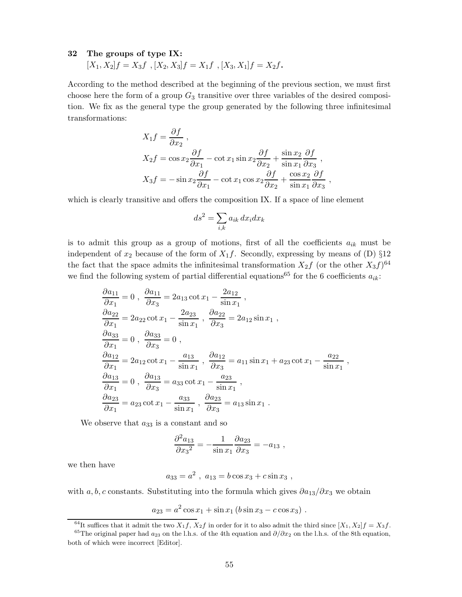#### **32 The groups of type IX:**

 $[X_1, X_2]f = X_3f$ ,  $[X_2, X_3]f = X_1f$ ,  $[X_3, X_1]f = X_2f$ .

According to the method described at the beginning of the previous section, we must first choose here the form of a group *G*<sup>3</sup> transitive over three variables of the desired composition. We fix as the general type the group generated by the following three infinitesimal transformations:

$$
X_1 f = \frac{\partial f}{\partial x_2},
$$
  
\n
$$
X_2 f = \cos x_2 \frac{\partial f}{\partial x_1} - \cot x_1 \sin x_2 \frac{\partial f}{\partial x_2} + \frac{\sin x_2}{\sin x_1} \frac{\partial f}{\partial x_3},
$$
  
\n
$$
X_3 f = -\sin x_2 \frac{\partial f}{\partial x_1} - \cot x_1 \cos x_2 \frac{\partial f}{\partial x_2} + \frac{\cos x_2}{\sin x_1} \frac{\partial f}{\partial x_3},
$$

which is clearly transitive and offers the composition IX. If a space of line element

$$
ds^2 = \sum_{i,k} a_{ik} \, dx_i dx_k
$$

is to admit this group as a group of motions, first of all the coefficients  $a_{ik}$  must be independent of  $x_2$  because of the form of  $X_1 f$ . Secondly, expressing by means of (D)  $\S12$ the fact that the space admits the infinitesimal transformation  $X_2 f$  (or the other  $X_3 f$ )<sup>64</sup> we find the following system of partial differential equations<sup>65</sup> for the 6 coefficients  $a_{ik}$ :

$$
\frac{\partial a_{11}}{\partial x_1} = 0, \quad \frac{\partial a_{11}}{\partial x_3} = 2a_{13} \cot x_1 - \frac{2a_{12}}{\sin x_1}, \n\frac{\partial a_{22}}{\partial x_1} = 2a_{22} \cot x_1 - \frac{2a_{23}}{\sin x_1}, \quad \frac{\partial a_{22}}{\partial x_3} = 2a_{12} \sin x_1, \n\frac{\partial a_{33}}{\partial x_1} = 0, \quad \frac{\partial a_{33}}{\partial x_3} = 0, \n\frac{\partial a_{12}}{\partial x_1} = 2a_{12} \cot x_1 - \frac{a_{13}}{\sin x_1}, \quad \frac{\partial a_{12}}{\partial x_3} = a_{11} \sin x_1 + a_{23} \cot x_1 - \frac{a_{22}}{\sin x_1}, \n\frac{\partial a_{13}}{\partial x_1} = 0, \quad \frac{\partial a_{13}}{\partial x_3} = a_{33} \cot x_1 - \frac{a_{23}}{\sin x_1}, \n\frac{\partial a_{23}}{\partial x_1} = a_{23} \cot x_1 - \frac{a_{33}}{\sin x_1}, \quad \frac{\partial a_{23}}{\partial x_3} = a_{13} \sin x_1.
$$

We observe that  $a_{33}$  is a constant and so

$$
\frac{\partial^2 a_{13}}{\partial x_3^2} = -\frac{1}{\sin x_1} \frac{\partial a_{23}}{\partial x_3} = -a_{13} ,
$$

we then have

$$
a_{33} = a^2 , a_{13} = b \cos x_3 + c \sin x_3 ,
$$

with *a, b, c* constants. Substituting into the formula which gives *∂a*13*/∂x*<sup>3</sup> we obtain

$$
a_{23} = a^2 \cos x_1 + \sin x_1 (b \sin x_3 - c \cos x_3).
$$

<sup>&</sup>lt;sup>64</sup>It suffices that it admit the two  $X_1 f$ ,  $X_2 f$  in order for it to also admit the third since  $[X_1, X_2]f = X_3 f$ .

<sup>65</sup>The original paper had *a*<sup>23</sup> on the l.h.s. of the 4th equation and *∂/∂x*<sup>2</sup> on the l.h.s. of the 8th equation, both of which were incorrect [Editor].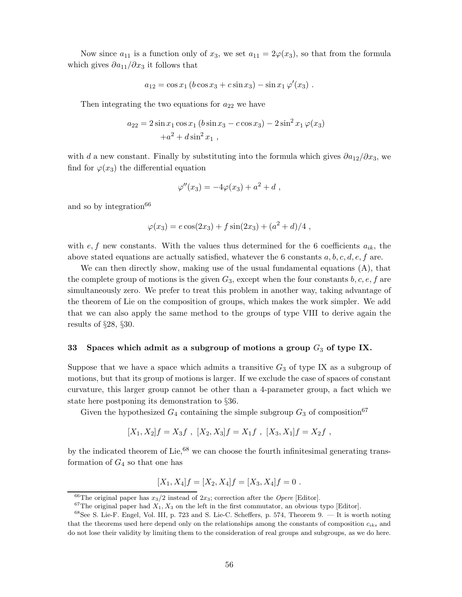Now since  $a_{11}$  is a function only of  $x_3$ , we set  $a_{11} = 2\varphi(x_3)$ , so that from the formula which gives  $\partial a_{11}/\partial x_3$  it follows that

$$
a_{12} = \cos x_1 (b \cos x_3 + c \sin x_3) - \sin x_1 \varphi'(x_3) .
$$

Then integrating the two equations for  $a_{22}$  we have

$$
a_{22} = 2\sin x_1 \cos x_1 (b\sin x_3 - c\cos x_3) - 2\sin^2 x_1 \varphi(x_3)
$$

$$
+a^2 + d\sin^2 x_1 ,
$$

with *d* a new constant. Finally by substituting into the formula which gives *∂a*12*/∂x*3, we find for  $\varphi(x_3)$  the differential equation

$$
\varphi''(x_3) = -4\varphi(x_3) + a^2 + d,
$$

and so by integration<sup>66</sup>

$$
\varphi(x_3) = e \cos(2x_3) + f \sin(2x_3) + (a^2 + d)/4,
$$

with  $e, f$  new constants. With the values thus determined for the 6 coefficients  $a_{ik}$ , the above stated equations are actually satisfied, whatever the 6 constants *a, b, c, d, e, f* are.

We can then directly show, making use of the usual fundamental equations  $(A)$ , that the complete group of motions is the given  $G_3$ , except when the four constants  $b, c, e, f$  are simultaneously zero. We prefer to treat this problem in another way, taking advantage of the theorem of Lie on the composition of groups, which makes the work simpler. We add that we can also apply the same method to the groups of type VIII to derive again the results of §28, §30.

#### **33 Spaces which admit as a subgroup of motions a group** *G*<sup>3</sup> **of type IX.**

Suppose that we have a space which admits a transitive  $G_3$  of type IX as a subgroup of motions, but that its group of motions is larger. If we exclude the case of spaces of constant curvature, this larger group cannot be other than a 4-parameter group, a fact which we state here postponing its demonstration to §36.

Given the hypothesized  $G_4$  containing the simple subgroup  $G_3$  of composition<sup>67</sup>

$$
[X_1, X_2]f = X_3f , [X_2, X_3]f = X_1f , [X_3, X_1]f = X_2f ,
$$

by the indicated theorem of Lie,  $68$  we can choose the fourth infinitesimal generating transformation of  $G_4$  so that one has

$$
[X_1, X_4]f = [X_2, X_4]f = [X_3, X_4]f = 0.
$$

<sup>&</sup>lt;sup>66</sup>The original paper has  $x_3/2$  instead of  $2x_3$ ; correction after the *Opere* [Editor].

 $67$ The original paper had  $X_1, X_3$  on the left in the first commutator, an obvious typo [Editor].

<sup>68</sup>See S. Lie-F. Engel, Vol. III, p. 723 and S. Lie-C. Scheffers, p. 574, Theorem 9. — It is worth noting that the theorems used here depend only on the relationships among the constants of composition  $c_{iks}$  and do not lose their validity by limiting them to the consideration of real groups and subgroups, as we do here.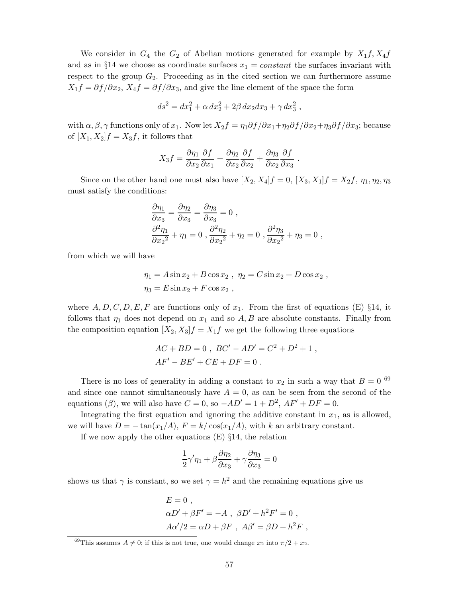We consider in  $G_4$  the  $G_2$  of Abelian motions generated for example by  $X_1 f, X_4 f$ and as in  $\S 14$  we choose as coordinate surfaces  $x_1 = constant$  the surfaces invariant with respect to the group  $G_2$ . Proceeding as in the cited section we can furthermore assume  $X_1 f = \partial f / \partial x_2$ ,  $X_4 f = \partial f / \partial x_3$ , and give the line element of the space the form

$$
ds^2 = dx_1^2 + \alpha \, dx_2^2 + 2\beta \, dx_2 dx_3 + \gamma \, dx_3^2 \;,
$$

with  $\alpha, \beta, \gamma$  functions only of  $x_1$ . Now let  $X_2f = \eta_1 \partial f / \partial x_1 + \eta_2 \partial f / \partial x_2 + \eta_3 \partial f / \partial x_3$ ; because of  $[X_1, X_2]$ *f* =  $X_3$ *f*, it follows that

$$
X_3 f = \frac{\partial \eta_1}{\partial x_2} \frac{\partial f}{\partial x_1} + \frac{\partial \eta_2}{\partial x_2} \frac{\partial f}{\partial x_2} + \frac{\partial \eta_3}{\partial x_2} \frac{\partial f}{\partial x_3}.
$$

Since on the other hand one must also have  $[X_2, X_4]f = 0$ ,  $[X_3, X_1]f = X_2f$ ,  $\eta_1, \eta_2, \eta_3$ must satisfy the conditions:

$$
\frac{\partial \eta_1}{\partial x_3} = \frac{\partial \eta_2}{\partial x_3} = \frac{\partial \eta_3}{\partial x_3} = 0,
$$
  

$$
\frac{\partial^2 \eta_1}{\partial x_2^2} + \eta_1 = 0, \frac{\partial^2 \eta_2}{\partial x_2^2} + \eta_2 = 0, \frac{\partial^2 \eta_3}{\partial x_2^2} + \eta_3 = 0,
$$

from which we will have

$$
\eta_1 = A \sin x_2 + B \cos x_2 , \ \eta_2 = C \sin x_2 + D \cos x_2 ,
$$
  

$$
\eta_3 = E \sin x_2 + F \cos x_2 ,
$$

where  $A, D, C, D, E, F$  are functions only of  $x_1$ . From the first of equations (E) §14, it follows that  $\eta_1$  does not depend on  $x_1$  and so  $A, B$  are absolute constants. Finally from the composition equation  $[X_2, X_3]f = X_1f$  we get the following three equations

$$
AC + BD = 0
$$
,  $BC' - AD' = C^2 + D^2 + 1$ ,  
 $AF' - BE' + CE + DF = 0$ .

There is no loss of generality in adding a constant to  $x_2$  in such a way that  $B = 0$  <sup>69</sup> and since one cannot simultaneously have  $A = 0$ , as can be seen from the second of the equations ( $\beta$ ), we will also have  $C = 0$ , so  $-AD' = 1 + D^2$ ,  $AF' + DF = 0$ .

Integrating the first equation and ignoring the additive constant in  $x_1$ , as is allowed, we will have  $D = -\tan(x_1/A)$ ,  $F = k/\cos(x_1/A)$ , with *k* an arbitrary constant.

If we now apply the other equations  $(E) \S 14$ , the relation

$$
\frac{1}{2}\gamma'\eta_1 + \beta \frac{\partial \eta_2}{\partial x_3} + \gamma \frac{\partial \eta_3}{\partial x_3} = 0
$$

shows us that  $\gamma$  is constant, so we set  $\gamma = h^2$  and the remaining equations give us

$$
E = 0 ,
$$
  
\n
$$
\alpha D' + \beta F' = -A , \ \beta D' + h^2 F' = 0 ,
$$
  
\n
$$
A\alpha'/2 = \alpha D + \beta F , \ A\beta' = \beta D + h^2 F ,
$$

<sup>&</sup>lt;sup>69</sup>This assumes  $A \neq 0$ ; if this is not true, one would change  $x_2$  into  $\pi/2 + x_2$ .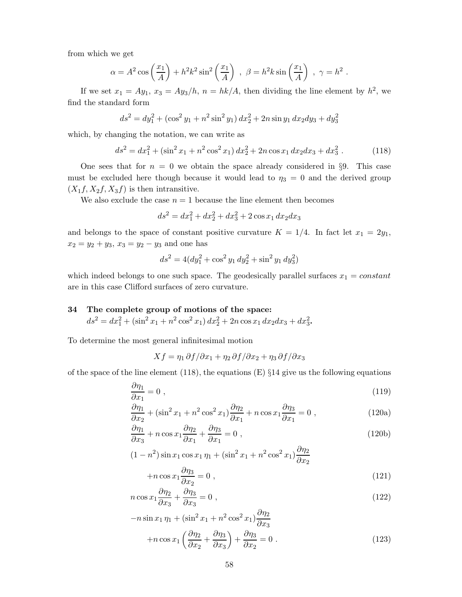from which we get

$$
\alpha = A^2 \cos\left(\frac{x_1}{A}\right) + h^2 k^2 \sin^2\left(\frac{x_1}{A}\right) , \ \beta = h^2 k \sin\left(\frac{x_1}{A}\right) , \ \gamma = h^2 .
$$

If we set  $x_1 = Ay_1$ ,  $x_3 = Ay_3/h$ ,  $n = hk/A$ , then dividing the line element by  $h^2$ , we find the standard form

$$
ds^{2} = dy_{1}^{2} + (\cos^{2} y_{1} + n^{2} \sin^{2} y_{1}) dx_{2}^{2} + 2n \sin y_{1} dx_{2} dy_{3} + dy_{3}^{2}
$$

which, by changing the notation, we can write as

$$
ds^{2} = dx_{1}^{2} + (\sin^{2} x_{1} + n^{2} \cos^{2} x_{1}) dx_{2}^{2} + 2n \cos x_{1} dx_{2} dx_{3} + dx_{3}^{2}.
$$
 (118)

One sees that for  $n = 0$  we obtain the space already considered in §9. This case must be excluded here though because it would lead to  $\eta_3 = 0$  and the derived group  $(X_1f, X_2f, X_3f)$  is then intransitive.

We also exclude the case  $n = 1$  because the line element then becomes

$$
ds^2 = dx_1^2 + dx_2^2 + dx_3^2 + 2\cos x_1 dx_2 dx_3
$$

and belongs to the space of constant positive curvature  $K = 1/4$ . In fact let  $x_1 = 2y_1$ ,  $x_2 = y_2 + y_3$ ,  $x_3 = y_2 - y_3$  and one has

$$
ds^{2} = 4(dy_{1}^{2} + \cos^{2} y_{1} dy_{2}^{2} + \sin^{2} y_{1} dy_{3}^{2})
$$

which indeed belongs to one such space. The geodesically parallel surfaces  $x_1 = constant$ are in this case Clifford surfaces of zero curvature.

## **34 The complete group of motions of the space:**  $ds^2 = dx_1^2 + (\sin^2 x_1 + n^2 \cos^2 x_1) dx_2^2 + 2n \cos x_1 dx_2 dx_3 + dx_3^2$ .

To determine the most general infinitesimal motion

$$
Xf = \eta_1 \,\partial f/\partial x_1 + \eta_2 \,\partial f/\partial x_2 + \eta_3 \,\partial f/\partial x_3
$$

of the space of the line element  $(118)$ , the equations  $(E) \$  14 give us the following equations

$$
\frac{\partial \eta_1}{\partial x_1} = 0 \tag{119}
$$

$$
\frac{\partial \eta_1}{\partial x_2} + (\sin^2 x_1 + n^2 \cos^2 x_1) \frac{\partial \eta_2}{\partial x_1} + n \cos x_1 \frac{\partial \eta_3}{\partial x_1} = 0 ,
$$
\n(120a)

$$
\frac{\partial \eta_1}{\partial x_3} + n \cos x_1 \frac{\partial \eta_2}{\partial x_1} + \frac{\partial \eta_3}{\partial x_1} = 0 , \qquad (120b)
$$

$$
(1 - n^2)\sin x_1 \cos x_1 \eta_1 + (\sin^2 x_1 + n^2 \cos^2 x_1)\frac{\partial \eta_2}{\partial x_2}
$$

$$
+n\cos x_1\frac{\partial \eta_3}{\partial x_2} = 0\,,\tag{121}
$$

$$
n\cos x_1 \frac{\partial \eta_2}{\partial x_3} + \frac{\partial \eta_3}{\partial x_3} = 0 ,\qquad (122)
$$

$$
-n\sin x_1\eta_1 + (\sin^2 x_1 + n^2 \cos^2 x_1)\frac{\partial \eta_2}{\partial x_3} +n\cos x_1\left(\frac{\partial \eta_2}{\partial x_2} + \frac{\partial \eta_3}{\partial x_3}\right) + \frac{\partial \eta_3}{\partial x_2} = 0.
$$
\n(123)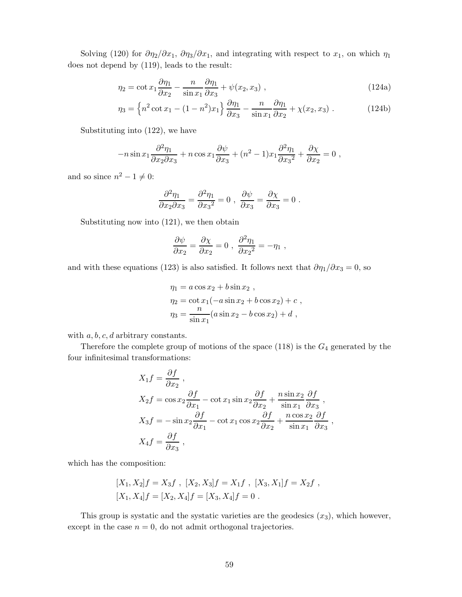Solving (120) for  $\partial \eta_2 / \partial x_1$ ,  $\partial \eta_3 / \partial x_1$ , and integrating with respect to  $x_1$ , on which  $\eta_1$ does not depend by (119), leads to the result:

$$
\eta_2 = \cot x_1 \frac{\partial \eta_1}{\partial x_2} - \frac{n}{\sin x_1} \frac{\partial \eta_1}{\partial x_3} + \psi(x_2, x_3) , \qquad (124a)
$$

$$
\eta_3 = \left\{ n^2 \cot x_1 - (1 - n^2) x_1 \right\} \frac{\partial \eta_1}{\partial x_3} - \frac{n}{\sin x_1} \frac{\partial \eta_1}{\partial x_2} + \chi(x_2, x_3) \ . \tag{124b}
$$

Substituting into (122), we have

$$
-n\sin x_1\frac{\partial^2 \eta_1}{\partial x_2 \partial x_3} + n\cos x_1\frac{\partial \psi}{\partial x_3} + (n^2 - 1)x_1\frac{\partial^2 \eta_1}{\partial x_3^2} + \frac{\partial \chi}{\partial x_2} = 0,
$$

and so since  $n^2 - 1 \neq 0$ :

$$
\frac{\partial^2 \eta_1}{\partial x_2 \partial x_3} = \frac{\partial^2 \eta_1}{\partial x_3^2} = 0 \ , \ \frac{\partial \psi}{\partial x_3} = \frac{\partial \chi}{\partial x_3} = 0 \ .
$$

Substituting now into (121), we then obtain

$$
\frac{\partial \psi}{\partial x_2} = \frac{\partial \chi}{\partial x_2} = 0 \; , \; \frac{\partial^2 \eta_1}{\partial x_2^2} = -\eta_1 \; ,
$$

and with these equations (123) is also satisfied. It follows next that  $\partial \eta_1 / \partial x_3 = 0$ , so

$$
\eta_1 = a \cos x_2 + b \sin x_2 ,
$$
  
\n
$$
\eta_2 = \cot x_1(-a \sin x_2 + b \cos x_2) + c ,
$$
  
\n
$$
\eta_3 = \frac{n}{\sin x_1}(a \sin x_2 - b \cos x_2) + d ,
$$

with *a, b, c, d* arbitrary constants.

Therefore the complete group of motions of the space (118) is the *G*<sup>4</sup> generated by the four infinitesimal transformations:

$$
X_1 f = \frac{\partial f}{\partial x_2},
$$
  
\n
$$
X_2 f = \cos x_2 \frac{\partial f}{\partial x_1} - \cot x_1 \sin x_2 \frac{\partial f}{\partial x_2} + \frac{n \sin x_2}{\sin x_1} \frac{\partial f}{\partial x_3},
$$
  
\n
$$
X_3 f = -\sin x_2 \frac{\partial f}{\partial x_1} - \cot x_1 \cos x_2 \frac{\partial f}{\partial x_2} + \frac{n \cos x_2}{\sin x_1} \frac{\partial f}{\partial x_3},
$$
  
\n
$$
X_4 f = \frac{\partial f}{\partial x_3},
$$

which has the composition:

$$
[X_1, X_2]f = X_3f , [X_2, X_3]f = X_1f , [X_3, X_1]f = X_2f ,
$$
  

$$
[X_1, X_4]f = [X_2, X_4]f = [X_3, X_4]f = 0 .
$$

This group is systatic and the systatic varieties are the geodesics (*x*3), which however, except in the case  $n = 0$ , do not admit orthogonal trajectories.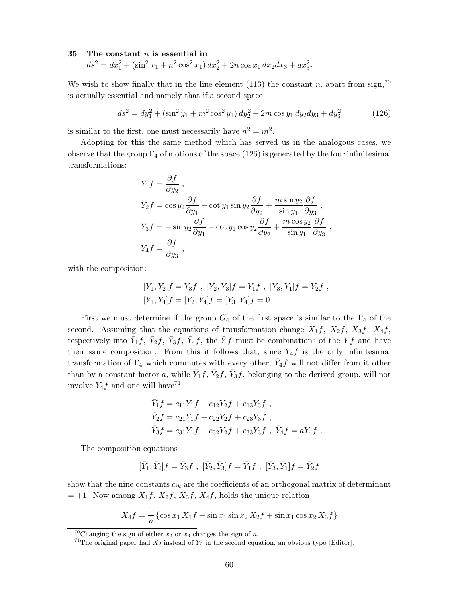#### **35 The constant** *n* **is essential in**

 $ds^2 = dx_1^2 + (\sin^2 x_1 + n^2 \cos^2 x_1) dx_2^2 + 2n \cos x_1 dx_2 dx_3 + dx_3^2$ .

We wish to show finally that in the line element  $(113)$  the constant *n*, apart from sign,<sup>70</sup> is actually essential and namely that if a second space

$$
ds^{2} = dy_{1}^{2} + (\sin^{2} y_{1} + m^{2} \cos^{2} y_{1}) dy_{2}^{2} + 2m \cos y_{1} dy_{2} dy_{3} + dy_{3}^{2}
$$
 (126)

is similar to the first, one must necessarily have  $n^2 = m^2$ .

Adopting for this the same method which has served us in the analogous cases, we observe that the group  $\Gamma_4$  of motions of the space (126) is generated by the four infinitesimal transformations:

$$
Y_1 f = \frac{\partial f}{\partial y_2},
$$
  
\n
$$
Y_2 f = \cos y_2 \frac{\partial f}{\partial y_1} - \cot y_1 \sin y_2 \frac{\partial f}{\partial y_2} + \frac{m \sin y_2}{\sin y_1} \frac{\partial f}{\partial y_3},
$$
  
\n
$$
Y_3 f = -\sin y_2 \frac{\partial f}{\partial y_1} - \cot y_1 \cos y_2 \frac{\partial f}{\partial y_2} + \frac{m \cos y_2}{\sin y_1} \frac{\partial f}{\partial y_3},
$$
  
\n
$$
Y_4 f = \frac{\partial f}{\partial y_3},
$$

with the composition:

$$
[Y_1, Y_2]f = Y_3f , [Y_2, Y_3]f = Y_1f , [Y_3, Y_1]f = Y_2f ,[Y_1, Y_4]f = [Y_2, Y_4]f = [Y_3, Y_4]f = 0 .
$$

First we must determine if the group  $G_4$  of the first space is similar to the  $\Gamma_4$  of the second. Assuming that the equations of transformation change  $X_1f$ ,  $X_2f$ ,  $X_3f$ ,  $X_4f$ , respectively into  $\bar{Y}_1 f$ ,  $\bar{Y}_2 f$ ,  $\bar{Y}_3 f$ ,  $\bar{Y}_4 f$ , the  $\bar{Y} f$  must be combinations of the  $Y f$  and have their same composition. From this it follows that, since  $Y_4 f$  is the only infinitesimal transformation of  $\Gamma_4$  which commutes with every other,  $Y_4 f$  will not differ from it other than by a constant factor *a*, while  $\bar{Y}_1 f$ ,  $\bar{Y}_2 f$ ,  $\bar{Y}_3 f$ , belonging to the derived group, will not involve  $Y_4 f$  and one will have<sup>71</sup>

$$
\begin{aligned}\n\bar{Y}_1 f &= c_{11} Y_1 f + c_{12} Y_2 f + c_{13} Y_3 f \;, \\
\bar{Y}_2 f &= c_{21} Y_1 f + c_{22} Y_2 f + c_{23} Y_3 f \;, \\
\bar{Y}_3 f &= c_{31} Y_1 f + c_{32} Y_2 f + c_{33} Y_3 f \;, \ \bar{Y}_4 f &= a Y_4 f \;. \n\end{aligned}
$$

The composition equations

$$
[\bar{Y}_1, \bar{Y}_2]f = \bar{Y}_3f \ , \ [\bar{Y}_2, \bar{Y}_3]f = \bar{Y}_1f \ , \ [\bar{Y}_3, \bar{Y}_1]f = \bar{Y}_2f
$$

show that the nine constants  $c_{ik}$  are the coefficients of an orthogonal matrix of determinant  $= +1$ . Now among  $X_1f$ ,  $X_2f$ ,  $X_3f$ ,  $X_4f$ , holds the unique relation

$$
X_4 f = \frac{1}{n} \left\{ \cos x_1 X_1 f + \sin x_1 \sin x_2 X_2 f + \sin x_1 \cos x_2 X_3 f \right\}
$$

<sup>&</sup>lt;sup>70</sup>Changing the sign of either  $x_2$  or  $x_3$  changes the sign of *n*.

<sup>&</sup>lt;sup>71</sup>The original paper had  $X_2$  instead of  $Y_2$  in the second equation, an obvious typo [Editor].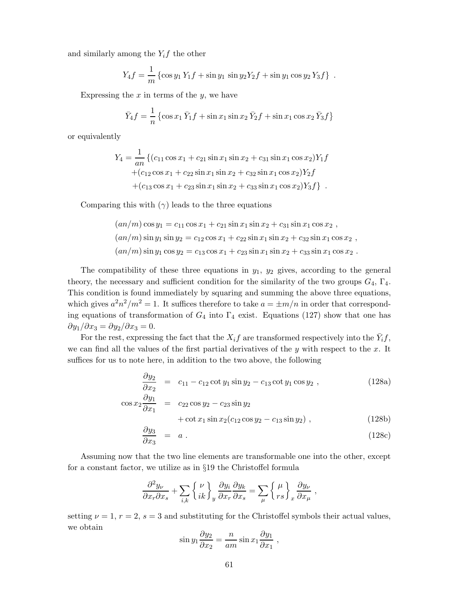and similarly among the *Y*i*f* the other

$$
Y_4 f = \frac{1}{m} \left\{ \cos y_1 Y_1 f + \sin y_1 \sin y_2 Y_2 f + \sin y_1 \cos y_2 Y_3 f \right\} .
$$

Expressing the *x* in terms of the *y*, we have

$$
\bar{Y}_4 f = \frac{1}{n} \left\{ \cos x_1 \, \bar{Y}_1 f + \sin x_1 \sin x_2 \, \bar{Y}_2 f + \sin x_1 \cos x_2 \, \bar{Y}_3 f \right\}
$$

or equivalently

$$
Y_4 = \frac{1}{an} \{ (c_{11} \cos x_1 + c_{21} \sin x_1 \sin x_2 + c_{31} \sin x_1 \cos x_2) Y_1 f
$$
  
+ 
$$
(c_{12} \cos x_1 + c_{22} \sin x_1 \sin x_2 + c_{32} \sin x_1 \cos x_2) Y_2 f
$$
  
+ 
$$
(c_{13} \cos x_1 + c_{23} \sin x_1 \sin x_2 + c_{33} \sin x_1 \cos x_2) Y_3 f \}.
$$

Comparing this with  $(\gamma)$  leads to the three equations

$$
(an/m)\cos y_1 = c_{11}\cos x_1 + c_{21}\sin x_1\sin x_2 + c_{31}\sin x_1\cos x_2 ,
$$
  
\n
$$
(an/m)\sin y_1\sin y_2 = c_{12}\cos x_1 + c_{22}\sin x_1\sin x_2 + c_{32}\sin x_1\cos x_2 ,
$$
  
\n
$$
(an/m)\sin y_1\cos y_2 = c_{13}\cos x_1 + c_{23}\sin x_1\sin x_2 + c_{33}\sin x_1\cos x_2 .
$$

The compatibility of these three equations in  $y_1$ ,  $y_2$  gives, according to the general theory, the necessary and sufficient condition for the similarity of the two groups  $G_4$ ,  $\Gamma_4$ . This condition is found immediately by squaring and summing the above three equations, which gives  $a^2n^2/m^2 = 1$ . It suffices therefore to take  $a = \pm m/n$  in order that corresponding equations of transformation of  $G_4$  into  $\Gamma_4$  exist. Equations (127) show that one has  $\partial y_1/\partial x_3 = \partial y_2/\partial x_3 = 0.$ 

For the rest, expressing the fact that the  $X_i f$  are transformed respectively into the  $\bar{Y}_i f$ , we can find all the values of the first partial derivatives of the *y* with respect to the *x*. It suffices for us to note here, in addition to the two above, the following

$$
\frac{\partial y_2}{\partial x_2} = c_{11} - c_{12} \cot y_1 \sin y_2 - c_{13} \cot y_1 \cos y_2 , \qquad (128a)
$$

$$
\cos x_2 \frac{\partial y_1}{\partial x_1} = c_{22} \cos y_2 - c_{23} \sin y_2 \n+ \cot x_1 \sin x_2 (c_{12} \cos y_2 - c_{13} \sin y_2),
$$
\n(128b)

$$
\frac{\partial y_3}{\partial x_3} = a . \tag{128c}
$$

Assuming now that the two line elements are transformable one into the other, except for a constant factor, we utilize as in §19 the Christoffel formula

$$
\frac{\partial^2 y_\nu}{\partial x_r \partial x_s} + \sum_{i,k} \left\{ \frac{\nu}{ik} \right\}_y \frac{\partial y_i}{\partial x_r} \frac{\partial y_k}{\partial x_s} = \sum_\mu \left\{ \frac{\mu}{r s} \right\}_x \frac{\partial y_\nu}{\partial x_\mu} \ ,
$$

setting  $\nu = 1, r = 2, s = 3$  and substituting for the Christoffel symbols their actual values, we obtain

$$
\sin y_1 \frac{\partial y_2}{\partial x_2} = \frac{n}{am} \sin x_1 \frac{\partial y_1}{\partial x_1} ,
$$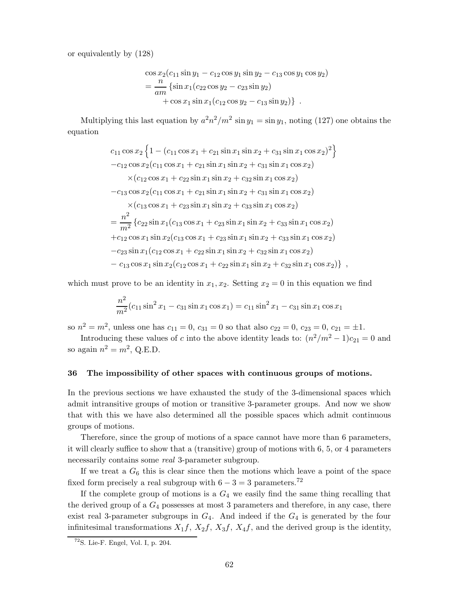or equivalently by (128)

$$
\cos x_2(c_{11}\sin y_1 - c_{12}\cos y_1\sin y_2 - c_{13}\cos y_1\cos y_2)
$$
  
= 
$$
\frac{n}{am}\left\{\sin x_1(c_{22}\cos y_2 - c_{23}\sin y_2) + \cos x_1\sin x_1(c_{12}\cos y_2 - c_{13}\sin y_2)\right\}.
$$

Multiplying this last equation by  $a^2n^2/m^2 \sin y_1 = \sin y_1$ , noting (127) one obtains the equation

$$
c_{11}\cos x_2\left\{1-(c_{11}\cos x_1+c_{21}\sin x_1\sin x_2+c_{31}\sin x_1\cos x_2)^2\right\}-c_{12}\cos x_2(c_{11}\cos x_1+c_{21}\sin x_1\sin x_2+c_{31}\sin x_1\cos x_2)\times(c_{12}\cos x_1+c_{22}\sin x_1\sin x_2+c_{32}\sin x_1\cos x_2)-c_{13}\cos x_2(c_{11}\cos x_1+c_{21}\sin x_1\sin x_2+c_{31}\sin x_1\cos x_2)\times(c_{13}\cos x_1+c_{23}\sin x_1\sin x_2+c_{33}\sin x_1\cos x_2)=\frac{n^2}{m^2}\left\{c_{22}\sin x_1(c_{13}\cos x_1+c_{23}\sin x_1\sin x_2+c_{33}\sin x_1\cos x_2)+c_{12}\cos x_1\sin x_2(c_{13}\cos x_1+c_{23}\sin x_1\sin x_2+c_{33}\sin x_1\cos x_2)-c_{23}\sin x_1(c_{12}\cos x_1+c_{22}\sin x_1\sin x_2+c_{32}\sin x_1\cos x_2)-c_{13}\cos x_1\sin x_2(c_{12}\cos x_1+c_{22}\sin x_1\sin x_2+c_{32}\sin x_1\cos x_2)\right\},
$$

which must prove to be an identity in  $x_1, x_2$ . Setting  $x_2 = 0$  in this equation we find

$$
\frac{n^2}{m^2}(c_{11}\sin^2 x_1 - c_{31}\sin x_1\cos x_1) = c_{11}\sin^2 x_1 - c_{31}\sin x_1\cos x_1
$$

so  $n^2 = m^2$ , unless one has  $c_{11} = 0$ ,  $c_{31} = 0$  so that also  $c_{22} = 0$ ,  $c_{23} = 0$ ,  $c_{21} = \pm 1$ .

Introducing these values of *c* into the above identity leads to:  $(n^2/m^2 - 1)c_{21} = 0$  and so again  $n^2 = m^2$ , Q.E.D.

#### **36 The impossibility of other spaces with continuous groups of motions.**

In the previous sections we have exhausted the study of the 3-dimensional spaces which admit intransitive groups of motion or transitive 3-parameter groups. And now we show that with this we have also determined all the possible spaces which admit continuous groups of motions.

Therefore, since the group of motions of a space cannot have more than 6 parameters, it will clearly suffice to show that a (transitive) group of motions with 6, 5, or 4 parameters necessarily contains some *real* 3-parameter subgroup.

If we treat a  $G_6$  this is clear since then the motions which leave a point of the space fixed form precisely a real subgroup with  $6-3=3$  parameters. $^{72}$ 

If the complete group of motions is a *G*<sup>4</sup> we easily find the same thing recalling that the derived group of a *G*<sup>4</sup> possesses at most 3 parameters and therefore, in any case, there exist real 3-parameter subgroups in *G*4. And indeed if the *G*<sup>4</sup> is generated by the four infinitesimal transformations  $X_1f$ ,  $X_2f$ ,  $X_3f$ ,  $X_4f$ , and the derived group is the identity,

 $72$ S. Lie-F. Engel, Vol. I, p. 204.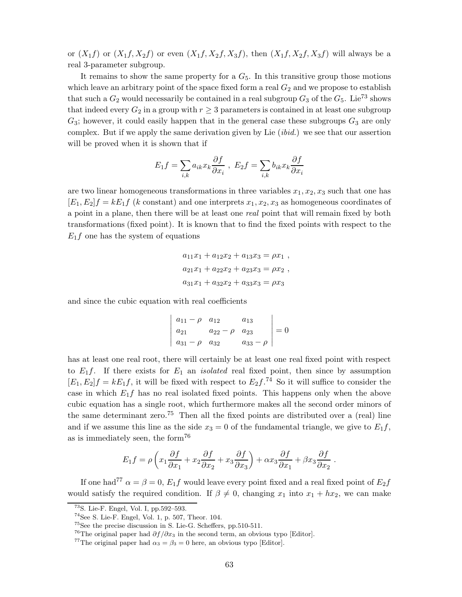or  $(X_1 f)$  or  $(X_1 f, X_2 f)$  or even  $(X_1 f, X_2 f, X_3 f)$ , then  $(X_1 f, X_2 f, X_3 f)$  will always be a real 3-parameter subgroup.

It remains to show the same property for a  $G<sub>5</sub>$ . In this transitive group those motions which leave an arbitrary point of the space fixed form a real  $G_2$  and we propose to establish that such a  $G_2$  would necessarily be contained in a real subgroup  $G_3$  of the  $G_5$ . Lie<sup>73</sup> shows that indeed every  $G_2$  in a group with  $r \geq 3$  parameters is contained in at least one subgroup *G*3; however, it could easily happen that in the general case these subgroups *G*<sup>3</sup> are only complex. But if we apply the same derivation given by Lie (*ibid.*) we see that our assertion will be proved when it is shown that if

$$
E_1 f = \sum_{i,k} a_{ik} x_k \frac{\partial f}{\partial x_i} , E_2 f = \sum_{i,k} b_{ik} x_k \frac{\partial f}{\partial x_i}
$$

are two linear homogeneous transformations in three variables  $x_1, x_2, x_3$  such that one has  $[E_1, E_2]f = kE_1f$  (*k* constant) and one interprets  $x_1, x_2, x_3$  as homogeneous coordinates of a point in a plane, then there will be at least one *real* point that will remain fixed by both transformations (fixed point). It is known that to find the fixed points with respect to the  $E_1 f$  one has the system of equations

$$
a_{11}x_1 + a_{12}x_2 + a_{13}x_3 = \rho x_1 ,
$$
  
\n
$$
a_{21}x_1 + a_{22}x_2 + a_{23}x_3 = \rho x_2 ,
$$
  
\n
$$
a_{31}x_1 + a_{32}x_2 + a_{33}x_3 = \rho x_3
$$

and since the cubic equation with real coefficients

$$
\begin{vmatrix} a_{11} - \rho & a_{12} & a_{13} \\ a_{21} & a_{22} - \rho & a_{23} \\ a_{31} - \rho & a_{32} & a_{33} - \rho \end{vmatrix} = 0
$$

has at least one real root, there will certainly be at least one real fixed point with respect to  $E_1 f$ . If there exists for  $E_1$  an *isolated* real fixed point, then since by assumption  $[E_1, E_2]f = kE_1f$ , it will be fixed with respect to  $E_2f^{74}$ . So it will suffice to consider the case in which  $E_1 f$  has no real isolated fixed points. This happens only when the above cubic equation has a single root, which furthermore makes all the second order minors of the same determinant zero.<sup>75</sup> Then all the fixed points are distributed over a (real) line and if we assume this line as the side  $x_3 = 0$  of the fundamental triangle, we give to  $E_1 f$ , as is immediately seen, the form<sup>76</sup>

$$
E_1 f = \rho \left( x_1 \frac{\partial f}{\partial x_1} + x_2 \frac{\partial f}{\partial x_2} + x_3 \frac{\partial f}{\partial x_3} \right) + \alpha x_3 \frac{\partial f}{\partial x_1} + \beta x_3 \frac{\partial f}{\partial x_2}.
$$

If one had<sup>77</sup>  $\alpha = \beta = 0$ ,  $E_1 f$  would leave every point fixed and a real fixed point of  $E_2 f$ would satisfy the required condition. If  $\beta \neq 0$ , changing  $x_1$  into  $x_1 + hx_2$ , we can make

<sup>73</sup>S. Lie-F. Engel, Vol. I, pp.592–593.

<sup>74</sup>See S. Lie-F. Engel, Vol. 1, p. 507, Theor. 104.

 $^{75}$  See the precise discussion in S. Lie-G. Scheffers, pp.510-511.

<sup>&</sup>lt;sup>76</sup>The original paper had  $\partial f / \partial x_3$  in the second term, an obvious typo [Editor].

<sup>&</sup>lt;sup>77</sup>The original paper had  $\alpha_3 = \beta_3 = 0$  here, an obvious typo [Editor].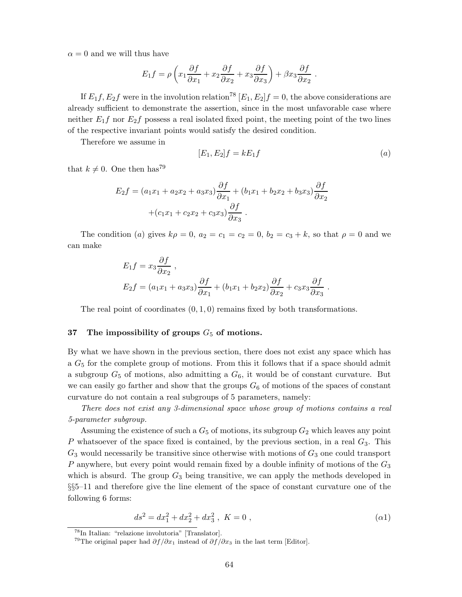$\alpha = 0$  and we will thus have

$$
E_1 f = \rho \left( x_1 \frac{\partial f}{\partial x_1} + x_2 \frac{\partial f}{\partial x_2} + x_3 \frac{\partial f}{\partial x_3} \right) + \beta x_3 \frac{\partial f}{\partial x_2}.
$$

If  $E_1 f$ ,  $E_2 f$  were in the involution relation<sup>78</sup>  $[E_1, E_2]f = 0$ , the above considerations are already sufficient to demonstrate the assertion, since in the most unfavorable case where neither  $E_1 f$  nor  $E_2 f$  possess a real isolated fixed point, the meeting point of the two lines of the respective invariant points would satisfy the desired condition.

Therefore we assume in

$$
[E_1, E_2]f = kE_1f \tag{a}
$$

that  $k \neq 0$ . One then has<sup>79</sup>

$$
E_2 f = (a_1 x_1 + a_2 x_2 + a_3 x_3) \frac{\partial f}{\partial x_1} + (b_1 x_1 + b_2 x_2 + b_3 x_3) \frac{\partial f}{\partial x_2} + (c_1 x_1 + c_2 x_2 + c_3 x_3) \frac{\partial f}{\partial x_3}.
$$

The condition (*a*) gives  $k\rho = 0$ ,  $a_2 = c_1 = c_2 = 0$ ,  $b_2 = c_3 + k$ , so that  $\rho = 0$  and we can make

$$
E_1 f = x_3 \frac{\partial f}{\partial x_2},
$$
  
\n
$$
E_2 f = (a_1 x_1 + a_3 x_3) \frac{\partial f}{\partial x_1} + (b_1 x_1 + b_2 x_2) \frac{\partial f}{\partial x_2} + c_3 x_3 \frac{\partial f}{\partial x_3}.
$$

The real point of coordinates (0*,* 1*,* 0) remains fixed by both transformations.

#### **37 The impossibility of groups** *G*<sup>5</sup> **of motions.**

By what we have shown in the previous section, there does not exist any space which has a *G*<sup>5</sup> for the complete group of motions. From this it follows that if a space should admit a subgroup  $G_5$  of motions, also admitting a  $G_6$ , it would be of constant curvature. But we can easily go farther and show that the groups  $G_6$  of motions of the spaces of constant curvature do not contain a real subgroups of 5 parameters, namely:

*There does not exist any 3-dimensional space whose group of motions contains a real 5-parameter subgroup.*

Assuming the existence of such a  $G_5$  of motions, its subgroup  $G_2$  which leaves any point *P* whatsoever of the space fixed is contained, by the previous section, in a real *G*3. This  $G_3$  would necessarily be transitive since otherwise with motions of  $G_3$  one could transport *P* anywhere, but every point would remain fixed by a double infinity of motions of the *G*<sup>3</sup> which is absurd. The group  $G_3$  being transitive, we can apply the methods developed in §§5–11 and therefore give the line element of the space of constant curvature one of the following 6 forms:

$$
ds^2 = dx_1^2 + dx_2^2 + dx_3^2 , K = 0 ,
$$
 (a1)

<sup>78</sup>In Italian: "relazione involutoria" [Translator].

<sup>&</sup>lt;sup>79</sup>The original paper had  $\partial f/\partial x_1$  instead of  $\partial f/\partial x_3$  in the last term [Editor].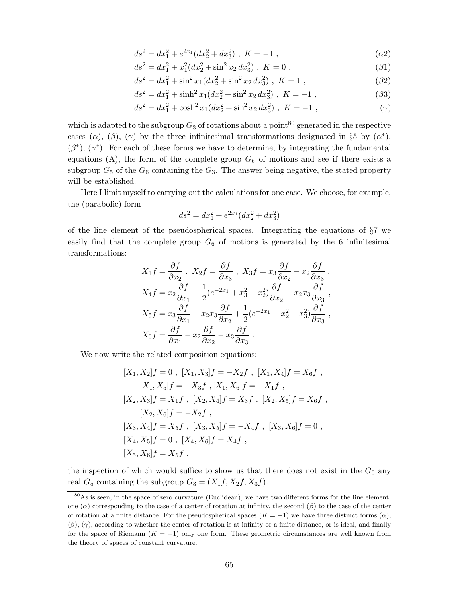$$
ds^{2} = dx_{1}^{2} + e^{2x_{1}}(dx_{2}^{2} + dx_{3}^{2}), K = -1,
$$
\n
$$
(a2)
$$

$$
ds^{2} = dx_{1}^{2} + x_{1}^{2} (dx_{2}^{2} + \sin^{2} x_{2} dx_{3}^{2}), K = 0,
$$
\n(31)

$$
ds^{2} = dx_{1}^{2} + \sin^{2} x_{1} (dx_{2}^{2} + \sin^{2} x_{2} dx_{3}^{2}), K = 1,
$$
\n(32)

$$
ds^{2} = dx_{1}^{2} + \sinh^{2} x_{1} (dx_{2}^{2} + \sin^{2} x_{2} dx_{3}^{2}), K = -1,
$$
\n(33)

$$
ds^{2} = dx_{1}^{2} + \cosh^{2} x_{1} (dx_{2}^{2} + \sin^{2} x_{2} dx_{3}^{2}), K = -1,
$$
 (7)

which is adapted to the subgroup  $G_3$  of rotations about a point<sup>80</sup> generated in the respective cases ( $\alpha$ ), ( $\beta$ ), ( $\gamma$ ) by the three infinitesimal transformations designated in §5 by ( $\alpha^*$ ),  $(\beta^*)$ ,  $(\gamma^*)$ . For each of these forms we have to determine, by integrating the fundamental equations  $(A)$ , the form of the complete group  $G_6$  of motions and see if there exists a subgroup  $G_5$  of the  $G_6$  containing the  $G_3$ . The answer being negative, the stated property will be established.

Here I limit myself to carrying out the calculations for one case. We choose, for example, the (parabolic) form

$$
ds^2 = dx_1^2 + e^{2x_1}(dx_2^2 + dx_3^2)
$$

of the line element of the pseudospherical spaces. Integrating the equations of  $\S7$  we easily find that the complete group  $G_6$  of motions is generated by the 6 infinitesimal transformations:

$$
X_1 f = \frac{\partial f}{\partial x_2}, \quad X_2 f = \frac{\partial f}{\partial x_3}, \quad X_3 f = x_3 \frac{\partial f}{\partial x_2} - x_2 \frac{\partial f}{\partial x_3},
$$
  
\n
$$
X_4 f = x_2 \frac{\partial f}{\partial x_1} + \frac{1}{2} (e^{-2x_1} + x_3^2 - x_2^2) \frac{\partial f}{\partial x_2} - x_2 x_3 \frac{\partial f}{\partial x_3},
$$
  
\n
$$
X_5 f = x_3 \frac{\partial f}{\partial x_1} - x_2 x_3 \frac{\partial f}{\partial x_2} + \frac{1}{2} (e^{-2x_1} + x_2^2 - x_3^2) \frac{\partial f}{\partial x_3},
$$
  
\n
$$
X_6 f = \frac{\partial f}{\partial x_1} - x_2 \frac{\partial f}{\partial x_2} - x_3 \frac{\partial f}{\partial x_3}.
$$

We now write the related composition equations:

$$
[X_1, X_2]f = 0, [X_1, X_3]f = -X_2f, [X_1, X_4]f = X_6f,
$$
  
\n
$$
[X_1, X_5]f = -X_3f, [X_1, X_6]f = -X_1f,
$$
  
\n
$$
[X_2, X_3]f = X_1f, [X_2, X_4]f = X_3f, [X_2, X_5]f = X_6f,
$$
  
\n
$$
[X_2, X_6]f = -X_2f,
$$
  
\n
$$
[X_3, X_4]f = X_5f, [X_3, X_5]f = -X_4f, [X_3, X_6]f = 0,
$$
  
\n
$$
[X_4, X_5]f = 0, [X_4, X_6]f = X_4f,
$$
  
\n
$$
[X_5, X_6]f = X_5f,
$$

the inspection of which would suffice to show us that there does not exist in the  $G_6$  any real  $G_5$  containing the subgroup  $G_3 = (X_1 f, X_2 f, X_3 f)$ .

<sup>80</sup>As is seen, in the space of zero curvature (Euclidean), we have two different forms for the line element, one  $(\alpha)$  corresponding to the case of a center of rotation at infinity, the second  $(\beta)$  to the case of the center of rotation at a finite distance. For the pseudospherical spaces  $(K = -1)$  we have three distinct forms  $(\alpha)$ , (*β*), (*γ*), according to whether the center of rotation is at infinity or a finite distance, or is ideal, and finally for the space of Riemann  $(K = +1)$  only one form. These geometric circumstances are well known from the theory of spaces of constant curvature.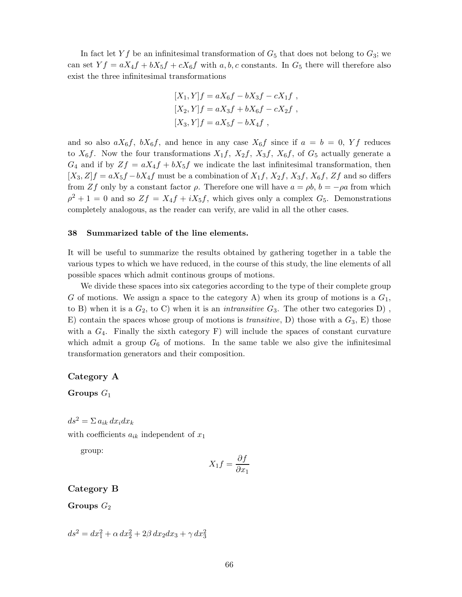In fact let  $Yf$  be an infinitesimal transformation of  $G_5$  that does not belong to  $G_3$ ; we can set  $Yf = aX_4f + bX_5f + cX_6f$  with *a, b, c* constants. In  $G_5$  there will therefore also exist the three infinitesimal transformations

$$
[X_1, Y]f = aX_6f - bX_3f - cX_1f,
$$
  
\n
$$
[X_2, Y]f = aX_3f + bX_6f - cX_2f,
$$
  
\n
$$
[X_3, Y]f = aX_5f - bX_4f,
$$

and so also  $aX_6f$ ,  $bX_6f$ , and hence in any case  $X_6f$  since if  $a = b = 0$ , Yf reduces to  $X_6f$ . Now the four transformations  $X_1f$ ,  $X_2f$ ,  $X_3f$ ,  $X_6f$ , of  $G_5$  actually generate a  $G_4$  and if by  $Zf = aX_4f + bX_5f$  we indicate the last infinitesimal transformation, then  $[X_3, Z]$ *f* =  $aX_5f - bX_4f$  must be a combination of  $X_1f$ ,  $X_2f$ ,  $X_3f$ ,  $X_6f$ ,  $Zf$  and so differs from *Zf* only by a constant factor  $\rho$ . Therefore one will have  $a = \rho b$ ,  $b = -\rho a$  from which  $\rho^2 + 1 = 0$  and so  $Zf = X_4f + iX_5f$ , which gives only a complex  $G_5$ . Demonstrations completely analogous, as the reader can verify, are valid in all the other cases.

#### **38 Summarized table of the line elements.**

It will be useful to summarize the results obtained by gathering together in a table the various types to which we have reduced, in the course of this study, the line elements of all possible spaces which admit continous groups of motions.

We divide these spaces into six categories according to the type of their complete group *G* of motions. We assign a space to the category A) when its group of motions is a *G*1, to B) when it is a  $G_2$ , to C) when it is an *intransitive*  $G_3$ . The other two categories D), E) contain the spaces whose group of motions is *transitive*, D) those with a *G*3, E) those with a  $G_4$ . Finally the sixth category F) will include the spaces of constant curvature which admit a group  $G_6$  of motions. In the same table we also give the infinitesimal transformation generators and their composition.

#### **Category A**

**Groups** *G*<sup>1</sup>

 $ds^2 = \sum a_{ik} dx_i dx_k$ 

with coefficients  $a_{ik}$  independent of  $x_1$ 

group:

$$
X_1 f = \frac{\partial f}{\partial x_1}
$$

#### **Category B**

 $Groups\ G_2$ 

$$
ds^{2} = dx_{1}^{2} + \alpha dx_{2}^{2} + 2\beta dx_{2}dx_{3} + \gamma dx_{3}^{2}
$$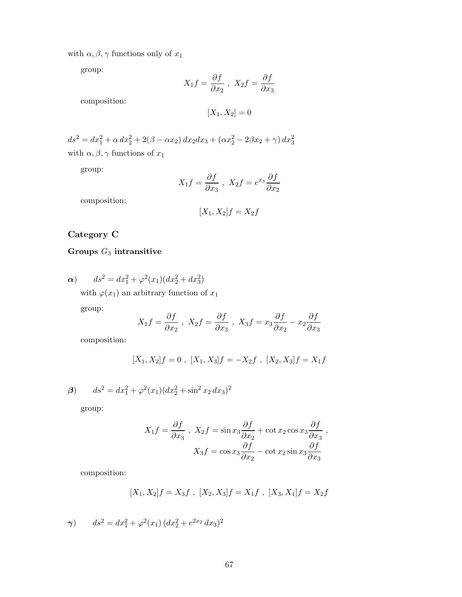with  $\alpha, \beta, \gamma$  functions only of  $x_1$ 

group:

$$
X_1 f = \frac{\partial f}{\partial x_2} , \ X_2 f = \frac{\partial f}{\partial x_3}
$$

composition:

$$
[X_1, X_2] = 0
$$

 $ds^2 = dx_1^2 + \alpha \, dx_2^2 + 2(\beta - \alpha x_2) \, dx_2 dx_3 + (\alpha x_2^2 - 2\beta x_2 + \gamma) \, dx_3^2$ with  $\alpha, \beta, \gamma$  functions of  $x_1$ 

group:

$$
X_1 f = \frac{\partial f}{\partial x_3} , \ X_2 f = e^{x_3} \frac{\partial f}{\partial x_2}
$$

composition:

$$
[X_1, X_2]f = X_2f
$$

## **Category C**

## **Groups** *G*<sup>3</sup> **intransitive**

 $\alpha$ )  $ds^2 = dx_1^2 + \varphi^2(x_1)(dx_2^2 + dx_3^2)$ 

with  $\varphi(x_1)$  an arbitrary function of  $x_1$ 

group:

$$
X_1 f = \frac{\partial f}{\partial x_2}, \ X_2 f = \frac{\partial f}{\partial x_3}, \ X_3 f = x_3 \frac{\partial f}{\partial x_2} - x_2 \frac{\partial f}{\partial x_3}
$$

composition:

$$
[X_1, X_2]f = 0 , [X_1, X_3]f = -X_2f , [X_2, X_3]f = X_1f
$$

*β*)  $ds^2 = dx_1^2 + φ^2(x_1)(dx_2^2 + \sin^2 x_2 dx_3)^2$ 

group:

$$
X_1 f = \frac{\partial f}{\partial x_3}, \quad X_2 f = \sin x_3 \frac{\partial f}{\partial x_2} + \cot x_2 \cos x_3 \frac{\partial f}{\partial x_3},
$$

$$
X_3 f = \cos x_3 \frac{\partial f}{\partial x_2} - \cot x_2 \sin x_3 \frac{\partial f}{\partial x_3}
$$

composition:

$$
[X_1, X_2]f = X_3f , [X_2, X_3]f = X_1f , [X_3, X_1]f = X_2f
$$

$$
\gamma) \qquad ds^2 = dx_1^2 + \varphi^2(x_1) \left( dx_2^2 + e^{2x_2} \, dx_3 \right)^2
$$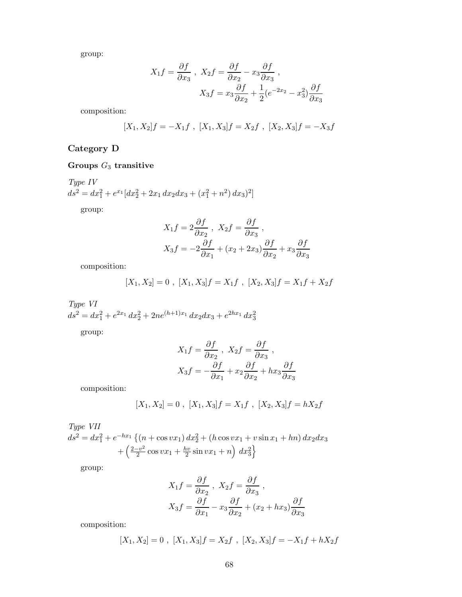group:

$$
X_1 f = \frac{\partial f}{\partial x_3}, \quad X_2 f = \frac{\partial f}{\partial x_2} - x_3 \frac{\partial f}{\partial x_3},
$$

$$
X_3 f = x_3 \frac{\partial f}{\partial x_2} + \frac{1}{2} (e^{-2x_2} - x_3^2) \frac{\partial f}{\partial x_3}
$$

composition:

$$
[X_1, X_2]f = -X_1f , [X_1, X_3]f = X_2f , [X_2, X_3]f = -X_3f
$$

## **Category D**

## **Groups** *G*<sup>3</sup> **transitive**

*Type IV*  $ds^2 = dx_1^2 + e^{x_1} \left[ dx_2^2 + 2x_1 dx_2 dx_3 + \left( x_1^2 + n^2 \right) dx_3 \right)^2$ 

group:

$$
X_1 f = 2 \frac{\partial f}{\partial x_2}, \quad X_2 f = \frac{\partial f}{\partial x_3},
$$
  

$$
X_3 f = -2 \frac{\partial f}{\partial x_1} + (x_2 + 2x_3) \frac{\partial f}{\partial x_2} + x_3 \frac{\partial f}{\partial x_3}
$$

composition:

$$
[X_1, X_2] = 0 , [X_1, X_3]f = X_1f , [X_2, X_3]f = X_1f + X_2f
$$

*Type VI*  $ds^2 = dx_1^2 + e^{2x_1} dx_2^2 + 2ne^{(h+1)x_1} dx_2 dx_3 + e^{2hx_1} dx_3^2$ 

group:

$$
X_1 f = \frac{\partial f}{\partial x_2}, \quad X_2 f = \frac{\partial f}{\partial x_3},
$$
  

$$
X_3 f = -\frac{\partial f}{\partial x_1} + x_2 \frac{\partial f}{\partial x_2} + hx_3 \frac{\partial f}{\partial x_3}
$$

composition:

$$
[X_1, X_2] = 0 , [X_1, X_3]f = X_1f , [X_2, X_3]f = hX_2f
$$

*Type VII*  $ds^2 = dx_1^2 + e^{-hx_1} \{ (n + \cos vx_1) dx_2^2 + (h \cos vx_1 + v \sin x_1 + hn) dx_2 dx_3$  $+\left(\frac{2-v^2}{2}\cos vx_1 + \frac{hv}{2}\sin vx_1 + n\right) dx_3^2$ o

group:

$$
X_1 f = \frac{\partial f}{\partial x_2}, \quad X_2 f = \frac{\partial f}{\partial x_3},
$$

$$
X_3 f = \frac{\partial f}{\partial x_1} - x_3 \frac{\partial f}{\partial x_2} + (x_2 + hx_3) \frac{\partial f}{\partial x_3}
$$

composition:

$$
[X_1, X_2] = 0 , [X_1, X_3]f = X_2f , [X_2, X_3]f = -X_1f + hX_2f
$$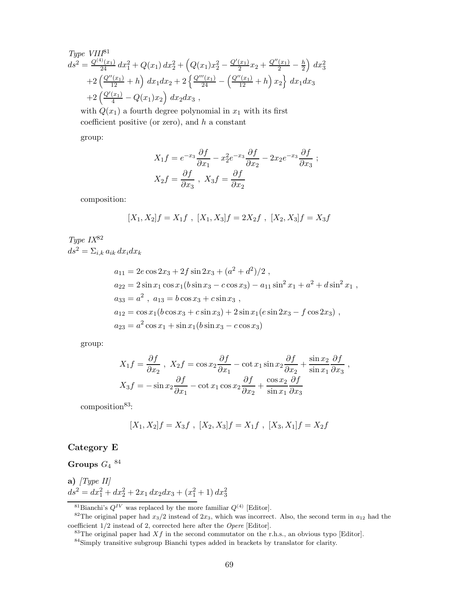Type VIII<sup>81</sup>  
\n
$$
ds^{2} = \frac{Q^{(4)}(x_{1})}{24} dx_{1}^{2} + Q(x_{1}) dx_{2}^{2} + (Q(x_{1})x_{2}^{2} - \frac{Q'(x_{1})}{2}x_{2} + \frac{Q''(x_{1})}{2} - \frac{h}{2}) dx_{3}^{2}
$$
\n
$$
+ 2\left(\frac{Q''(x_{1})}{12} + h\right) dx_{1} dx_{2} + 2\left\{\frac{Q'''(x_{1})}{24} - \left(\frac{Q''(x_{1})}{12} + h\right)x_{2}\right\} dx_{1} dx_{3}
$$
\n
$$
+ 2\left(\frac{Q'(x_{1})}{4} - Q(x_{1})x_{2}\right) dx_{2} dx_{3},
$$

with  $Q(x_1)$  a fourth degree polynomial in  $x_1$  with its first coefficient positive (or zero), and *h* a constant

group:

$$
X_1 f = e^{-x_3} \frac{\partial f}{\partial x_1} - x_2^2 e^{-x_3} \frac{\partial f}{\partial x_2} - 2x_2 e^{-x_3} \frac{\partial f}{\partial x_3} ;
$$
  

$$
X_2 f = \frac{\partial f}{\partial x_3}, \quad X_3 f = \frac{\partial f}{\partial x_2}
$$

composition:

$$
[X_1, X_2]f = X_1f , [X_1, X_3]f = 2X_2f , [X_2, X_3]f = X_3f
$$

*Type IX*<sup>82</sup>  $ds^2 = \sum_{i,k} a_{ik} dx_i dx_k$ 

$$
a_{11} = 2e \cos 2x_3 + 2f \sin 2x_3 + (a^2 + d^2)/2,
$$
  
\n
$$
a_{22} = 2 \sin x_1 \cos x_1 (b \sin x_3 - c \cos x_3) - a_{11} \sin^2 x_1 + a^2 + d \sin^2 x_1,
$$
  
\n
$$
a_{33} = a^2, \ a_{13} = b \cos x_3 + c \sin x_3,
$$
  
\n
$$
a_{12} = \cos x_1 (b \cos x_3 + c \sin x_3) + 2 \sin x_1 (e \sin 2x_3 - f \cos 2x_3),
$$
  
\n
$$
a_{23} = a^2 \cos x_1 + \sin x_1 (b \sin x_3 - c \cos x_3)
$$

group:

$$
X_1 f = \frac{\partial f}{\partial x_2}, \quad X_2 f = \cos x_2 \frac{\partial f}{\partial x_1} - \cot x_1 \sin x_2 \frac{\partial f}{\partial x_2} + \frac{\sin x_2}{\sin x_1} \frac{\partial f}{\partial x_3},
$$

$$
X_3 f = -\sin x_2 \frac{\partial f}{\partial x_1} - \cot x_1 \cos x_2 \frac{\partial f}{\partial x_2} + \frac{\cos x_2}{\sin x_1} \frac{\partial f}{\partial x_3}
$$

composition<sup>83</sup>:

$$
[X_1, X_2]f = X_3f , [X_2, X_3]f = X_1f , [X_3, X_1]f = X_2f
$$

### **Category E**

 $G$ **roups**  $G_4$   $^{84}$ 

**a)** 
$$
[Type II]
$$
  

$$
ds^2 = dx_1^2 + dx_2^2 + 2x_1 dx_2 dx_3 + (x_1^2 + 1) dx_3^2
$$

<sup>&</sup>lt;sup>81</sup>Bianchi's  $Q^{IV}$  was replaced by the more familiar  $Q^{(4)}$  [Editor].

<sup>&</sup>lt;sup>82</sup>The original paper had  $x_3/2$  instead of  $2x_3$ , which was incorrect. Also, the second term in  $a_{12}$  had the coefficient 1/2 instead of 2, corrected here after the Opere [Editor].

<sup>&</sup>lt;sup>83</sup>The original paper had  $Xf$  in the second commutator on the r.h.s., an obvious typo [Editor].

<sup>84</sup>Simply transitive subgroup Bianchi types added in brackets by translator for clarity.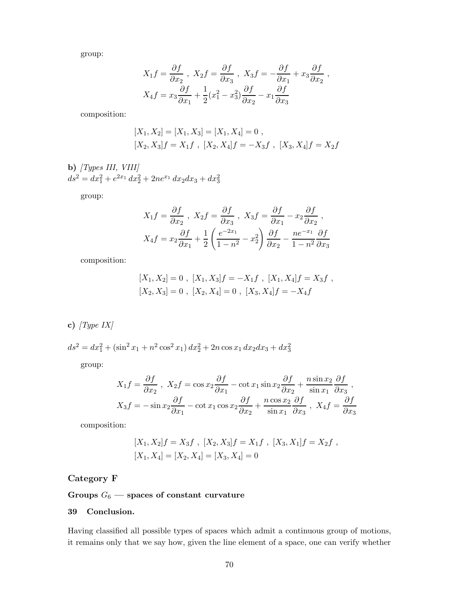group:

$$
X_1 f = \frac{\partial f}{\partial x_2}, \quad X_2 f = \frac{\partial f}{\partial x_3}, \quad X_3 f = -\frac{\partial f}{\partial x_1} + x_3 \frac{\partial f}{\partial x_2},
$$
  

$$
X_4 f = x_3 \frac{\partial f}{\partial x_1} + \frac{1}{2} (x_1^2 - x_3^2) \frac{\partial f}{\partial x_2} - x_1 \frac{\partial f}{\partial x_3}
$$

composition:

$$
[X_1, X_2] = [X_1, X_3] = [X_1, X_4] = 0,
$$
  

$$
[X_2, X_3]f = X_1f , [X_2, X_4]f = -X_3f , [X_3, X_4]f = X_2f
$$

**b)** *[Types III, VIII]*  $ds^2 = dx_1^2 + e^{2x_1} dx_2^2 + 2ne^{x_1} dx_2 dx_3 + dx_3^2$ 

group:

$$
X_1 f = \frac{\partial f}{\partial x_2}, \quad X_2 f = \frac{\partial f}{\partial x_3}, \quad X_3 f = \frac{\partial f}{\partial x_1} - x_2 \frac{\partial f}{\partial x_2},
$$

$$
X_4 f = x_2 \frac{\partial f}{\partial x_1} + \frac{1}{2} \left( \frac{e^{-2x_1}}{1 - n^2} - x_2^2 \right) \frac{\partial f}{\partial x_2} - \frac{ne^{-x_1}}{1 - n^2} \frac{\partial f}{\partial x_3}
$$

composition:

$$
[X_1, X_2] = 0, [X_1, X_3]f = -X_1f, [X_1, X_4]f = X_3f,
$$
  

$$
[X_2, X_3] = 0, [X_2, X_4] = 0, [X_3, X_4]f = -X_4f
$$

**c)** *[Type IX]*

$$
ds^{2} = dx_{1}^{2} + (\sin^{2} x_{1} + n^{2} \cos^{2} x_{1}) dx_{2}^{2} + 2n \cos x_{1} dx_{2} dx_{3} + dx_{3}^{2}
$$

group:

$$
X_1 f = \frac{\partial f}{\partial x_2}, \quad X_2 f = \cos x_2 \frac{\partial f}{\partial x_1} - \cot x_1 \sin x_2 \frac{\partial f}{\partial x_2} + \frac{n \sin x_2}{\sin x_1} \frac{\partial f}{\partial x_3},
$$
  

$$
X_3 f = -\sin x_2 \frac{\partial f}{\partial x_1} - \cot x_1 \cos x_2 \frac{\partial f}{\partial x_2} + \frac{n \cos x_2}{\sin x_1} \frac{\partial f}{\partial x_3}, \quad X_4 f = \frac{\partial f}{\partial x_3}
$$

composition:

$$
[X_1, X_2]f = X_3f , [X_2, X_3]f = X_1f , [X_3, X_1]f = X_2f ,
$$
  

$$
[X_1, X_4] = [X_2, X_4] = [X_3, X_4] = 0
$$

## **Category F**

## Groups  $G_6$  — spaces of constant curvature

#### **39 Conclusion.**

Having classified all possible types of spaces which admit a continuous group of motions, it remains only that we say how, given the line element of a space, one can verify whether